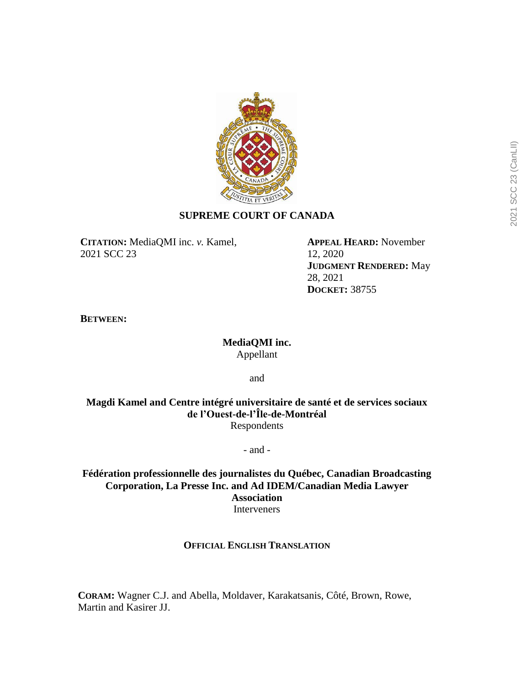

# **SUPREME COURT OF CANADA**

**CITATION:** MediaQMI inc. *v.* Kamel, 2021 SCC 23

**APPEAL HEARD:** November 12, 2020 **JUDGMENT RENDERED:** May 28, 2021 **DOCKET:** 38755

**BETWEEN:**

# **MediaQMI inc.** Appellant

and

**Magdi Kamel and Centre intégré universitaire de santé et de services sociaux de l'Ouest-de-l'Île-de-Montréal** Respondents

- and -

**Fédération professionnelle des journalistes du Québec, Canadian Broadcasting Corporation, La Presse Inc. and Ad IDEM/Canadian Media Lawyer Association** Interveners

## **OFFICIAL ENGLISH TRANSLATION**

**CORAM:** Wagner C.J. and Abella, Moldaver, Karakatsanis, Côté, Brown, Rowe, Martin and Kasirer JJ.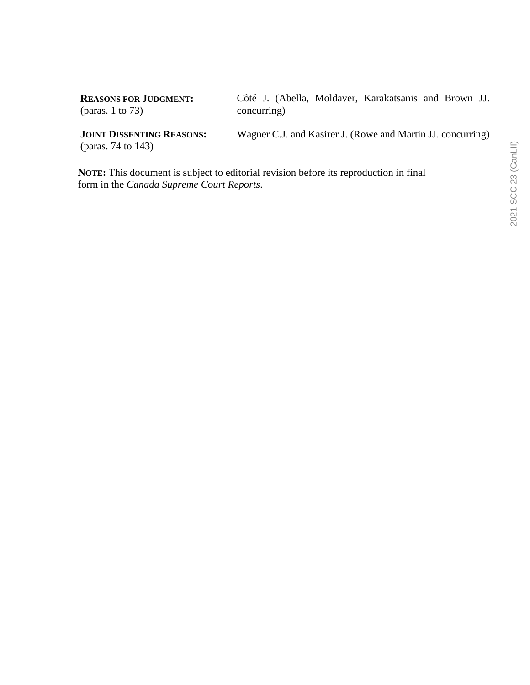**REASONS FOR JUDGMENT:** (paras. 1 to 73)

Côté J. (Abella, Moldaver, Karakatsanis and Brown JJ. concurring)

**JOINT DISSENTING REASONS:** (paras. 74 to 143)

Wagner C.J. and Kasirer J. (Rowe and Martin JJ. concurring)

**NOTE:** This document is subject to editorial revision before its reproduction in final form in the *Canada Supreme Court Reports*.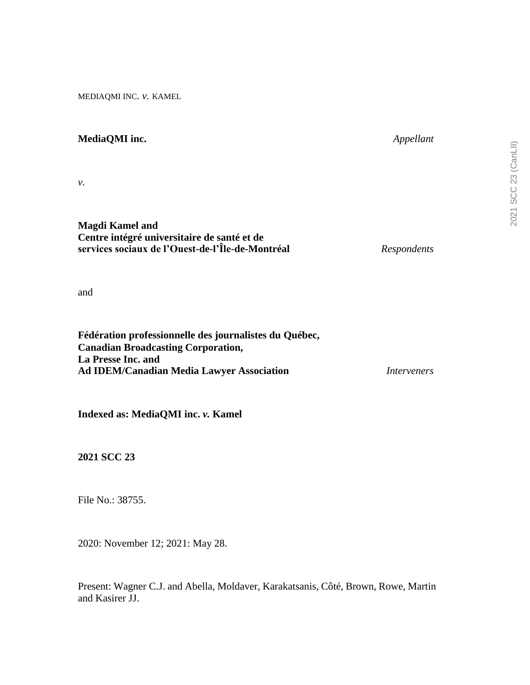MEDIAQMI INC. *v.* KAMEL

# *v.* **Magdi Kamel and**

**MediaQMI inc.** *Appellant*

# **Centre intégré universitaire de santé et de services sociaux de l'Ouest-de-l'Île-de-Montréal** *Respondents*

and

| Fédération professionnelle des journalistes du Québec, |             |
|--------------------------------------------------------|-------------|
| <b>Canadian Broadcasting Corporation,</b>              |             |
| La Presse Inc. and                                     |             |
| <b>Ad IDEM/Canadian Media Lawyer Association</b>       | Interveners |

**Indexed as: MediaQMI inc.** *v.* **Kamel**

**2021 SCC 23**

File No.: 38755.

2020: November 12; 2021: May 28.

Present: Wagner C.J. and Abella, Moldaver, Karakatsanis, Côté, Brown, Rowe, Martin and Kasirer JJ.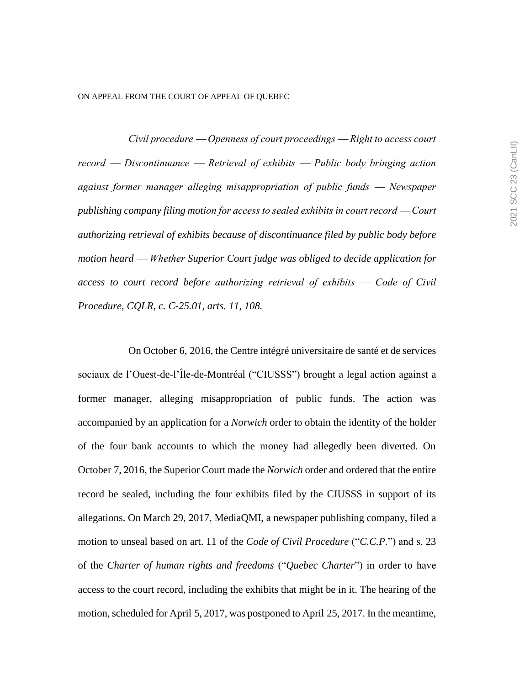ON APPEAL FROM THE COURT OF APPEAL OF QUEBEC

*Civil procedure ⸺ Openness of court proceedings ⸺ Right to access court record ⸺ Discontinuance ⸺ Retrieval of exhibits ⸺ Public body bringing action against former manager alleging misappropriation of public funds ⸺ Newspaper publishing company filing motion for access to sealed exhibits in court record ⸺ Court authorizing retrieval of exhibits because of discontinuance filed by public body before motion heard ⸺ Whether Superior Court judge was obliged to decide application for access to court record before authorizing retrieval of exhibits ⸺ Code of Civil Procedure, CQLR, c. C-25.01, arts. 11, 108.*

On October 6, 2016, the Centre intégré universitaire de santé et de services sociaux de l'Ouest-de-l'Île-de-Montréal ("CIUSSS") brought a legal action against a former manager, alleging misappropriation of public funds. The action was accompanied by an application for a *Norwich* order to obtain the identity of the holder of the four bank accounts to which the money had allegedly been diverted. On October 7, 2016, the Superior Court made the *Norwich* order and ordered that the entire record be sealed, including the four exhibits filed by the CIUSSS in support of its allegations. On March 29, 2017, MediaQMI, a newspaper publishing company, filed a motion to unseal based on art. 11 of the *Code of Civil Procedure* ("*C.C.P.*") and s. 23 of the *Charter of human rights and freedoms* ("*Quebec Charter*") in order to have access to the court record, including the exhibits that might be in it. The hearing of the motion, scheduled for April 5, 2017, was postponed to April 25, 2017. In the meantime,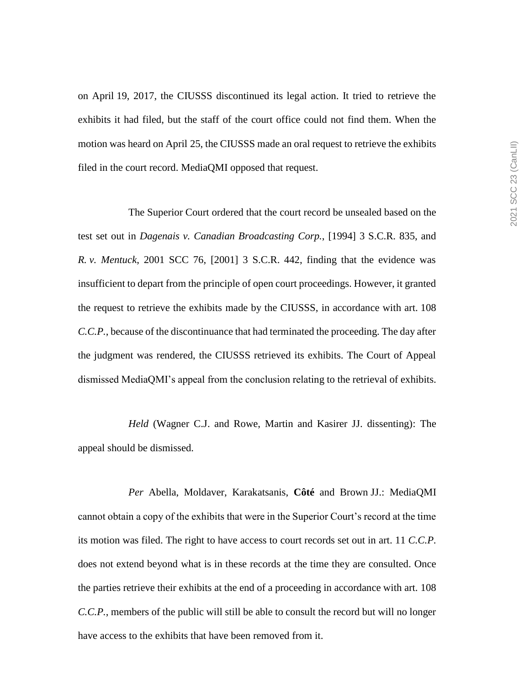on April 19, 2017, the CIUSSS discontinued its legal action. It tried to retrieve the exhibits it had filed, but the staff of the court office could not find them. When the motion was heard on April 25, the CIUSSS made an oral request to retrieve the exhibits filed in the court record. MediaQMI opposed that request.

The Superior Court ordered that the court record be unsealed based on the test set out in *Dagenais v. Canadian Broadcasting Corp.*, [1994] 3 S.C.R. 835, and *R. v. Mentuck*, 2001 SCC 76, [2001] 3 S.C.R. 442, finding that the evidence was insufficient to depart from the principle of open court proceedings. However, it granted the request to retrieve the exhibits made by the CIUSSS, in accordance with art. 108 *C.C.P.*, because of the discontinuance that had terminated the proceeding. The day after the judgment was rendered, the CIUSSS retrieved its exhibits. The Court of Appeal dismissed MediaQMI's appeal from the conclusion relating to the retrieval of exhibits.

*Held* (Wagner C.J. and Rowe, Martin and Kasirer JJ. dissenting): The appeal should be dismissed.

*Per* Abella, Moldaver, Karakatsanis, **Côté** and Brown JJ.: MediaQMI cannot obtain a copy of the exhibits that were in the Superior Court's record at the time its motion was filed. The right to have access to court records set out in art. 11 *C.C.P.* does not extend beyond what is in these records at the time they are consulted. Once the parties retrieve their exhibits at the end of a proceeding in accordance with art. 108 *C.C.P.*, members of the public will still be able to consult the record but will no longer have access to the exhibits that have been removed from it.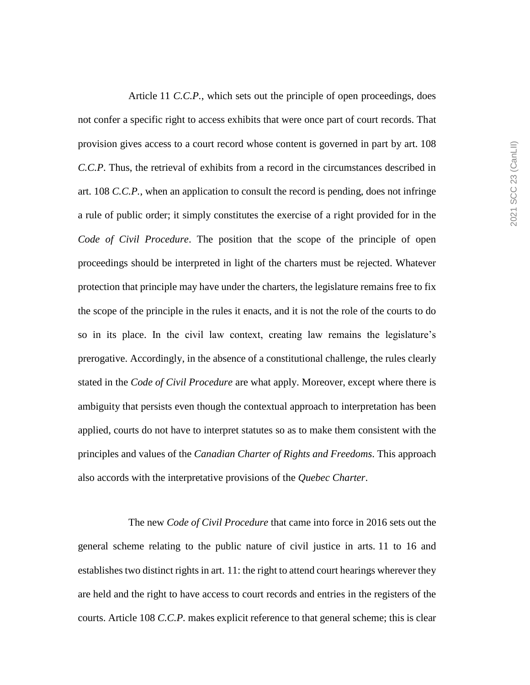Article 11 *C.C.P.*, which sets out the principle of open proceedings, does not confer a specific right to access exhibits that were once part of court records. That provision gives access to a court record whose content is governed in part by art. 108 *C.C.P*. Thus, the retrieval of exhibits from a record in the circumstances described in art. 108 *C.C.P.*, when an application to consult the record is pending, does not infringe a rule of public order; it simply constitutes the exercise of a right provided for in the *Code of Civil Procedure*. The position that the scope of the principle of open proceedings should be interpreted in light of the charters must be rejected. Whatever protection that principle may have under the charters, the legislature remains free to fix the scope of the principle in the rules it enacts, and it is not the role of the courts to do so in its place. In the civil law context, creating law remains the legislature's prerogative. Accordingly, in the absence of a constitutional challenge, the rules clearly stated in the *Code of Civil Procedure* are what apply. Moreover, except where there is ambiguity that persists even though the contextual approach to interpretation has been applied, courts do not have to interpret statutes so as to make them consistent with the principles and values of the *Canadian Charter of Rights and Freedoms*. This approach also accords with the interpretative provisions of the *Quebec Charter*.

The new *Code of Civil Procedure* that came into force in 2016 sets out the general scheme relating to the public nature of civil justice in arts. 11 to 16 and establishes two distinct rights in art. 11: the right to attend court hearings wherever they are held and the right to have access to court records and entries in the registers of the courts. Article 108 *C.C.P.* makes explicit reference to that general scheme; this is clear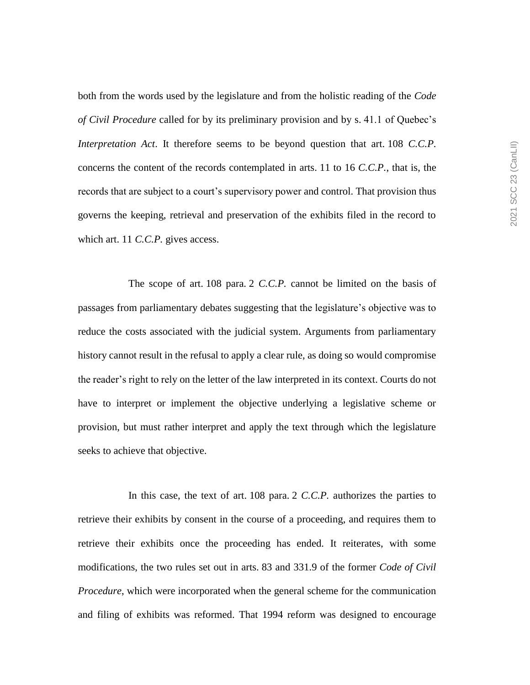both from the words used by the legislature and from the holistic reading of the *Code of Civil Procedure* called for by its preliminary provision and by s. 41.1 of Quebec's *Interpretation Act*. It therefore seems to be beyond question that art. 108 *C.C.P.* concerns the content of the records contemplated in arts. 11 to 16 *C.C.P.*, that is, the records that are subject to a court's supervisory power and control. That provision thus governs the keeping, retrieval and preservation of the exhibits filed in the record to which art. 11 *C.C.P.* gives access.

The scope of art. 108 para. 2 *C.C.P.* cannot be limited on the basis of passages from parliamentary debates suggesting that the legislature's objective was to reduce the costs associated with the judicial system. Arguments from parliamentary history cannot result in the refusal to apply a clear rule, as doing so would compromise the reader's right to rely on the letter of the law interpreted in its context. Courts do not have to interpret or implement the objective underlying a legislative scheme or provision, but must rather interpret and apply the text through which the legislature seeks to achieve that objective.

In this case, the text of art. 108 para. 2 *C.C.P.* authorizes the parties to retrieve their exhibits by consent in the course of a proceeding, and requires them to retrieve their exhibits once the proceeding has ended. It reiterates, with some modifications, the two rules set out in arts. 83 and 331.9 of the former *Code of Civil Procedure*, which were incorporated when the general scheme for the communication and filing of exhibits was reformed. That 1994 reform was designed to encourage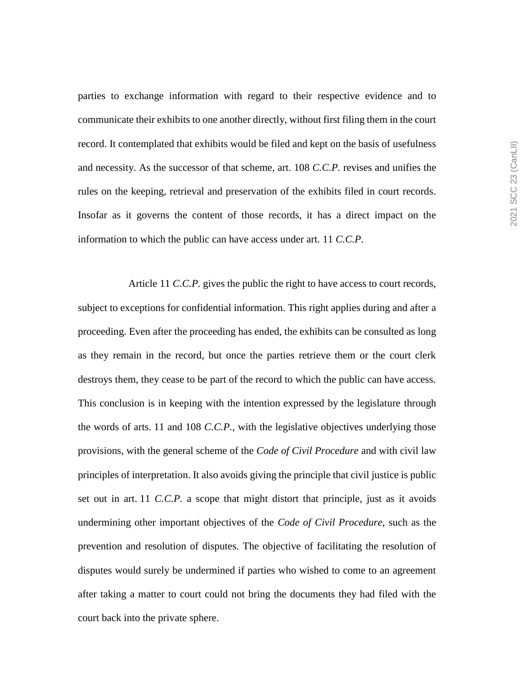parties to exchange information with regard to their respective evidence and to communicate their exhibits to one another directly, without first filing them in the court record. It contemplated that exhibits would be filed and kept on the basis of usefulness and necessity. As the successor of that scheme, art. 108 *C.C.P.* revises and unifies the rules on the keeping, retrieval and preservation of the exhibits filed in court records. Insofar as it governs the content of those records, it has a direct impact on the information to which the public can have access under art. 11 *C.C.P*.

Article 11 *C.C.P.* gives the public the right to have access to court records, subject to exceptions for confidential information. This right applies during and after a proceeding. Even after the proceeding has ended, the exhibits can be consulted as long as they remain in the record, but once the parties retrieve them or the court clerk destroys them, they cease to be part of the record to which the public can have access. This conclusion is in keeping with the intention expressed by the legislature through the words of arts. 11 and 108 *C.C.P.*, with the legislative objectives underlying those provisions, with the general scheme of the *Code of Civil Procedure* and with civil law principles of interpretation. It also avoids giving the principle that civil justice is public set out in art. 11 *C.C.P.* a scope that might distort that principle, just as it avoids undermining other important objectives of the *Code of Civil Procedure*, such as the prevention and resolution of disputes. The objective of facilitating the resolution of disputes would surely be undermined if parties who wished to come to an agreement after taking a matter to court could not bring the documents they had filed with the court back into the private sphere.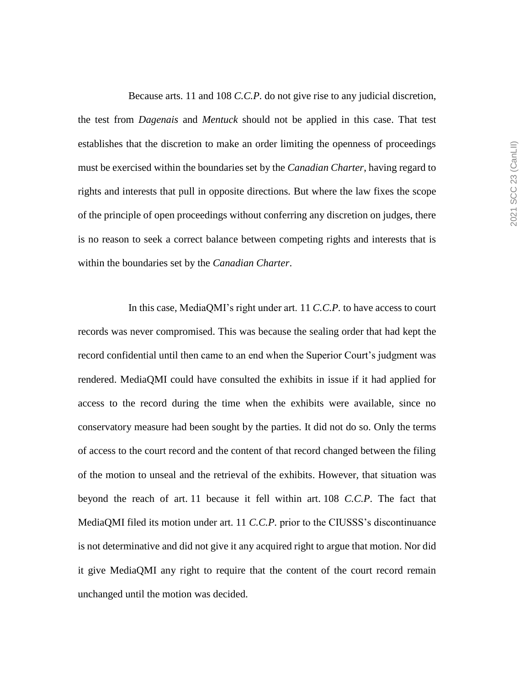Because arts. 11 and 108 *C.C.P.* do not give rise to any judicial discretion, the test from *Dagenais* and *Mentuck* should not be applied in this case. That test establishes that the discretion to make an order limiting the openness of proceedings must be exercised within the boundaries set by the *Canadian Charter*, having regard to rights and interests that pull in opposite directions. But where the law fixes the scope of the principle of open proceedings without conferring any discretion on judges, there is no reason to seek a correct balance between competing rights and interests that is within the boundaries set by the *Canadian Charter*.

In this case, MediaQMI's right under art. 11 *C.C.P.* to have access to court records was never compromised. This was because the sealing order that had kept the record confidential until then came to an end when the Superior Court's judgment was rendered. MediaQMI could have consulted the exhibits in issue if it had applied for access to the record during the time when the exhibits were available, since no conservatory measure had been sought by the parties. It did not do so. Only the terms of access to the court record and the content of that record changed between the filing of the motion to unseal and the retrieval of the exhibits. However, that situation was beyond the reach of art. 11 because it fell within art. 108 *C.C.P*. The fact that MediaQMI filed its motion under art. 11 *C.C.P.* prior to the CIUSSS's discontinuance is not determinative and did not give it any acquired right to argue that motion. Nor did it give MediaQMI any right to require that the content of the court record remain unchanged until the motion was decided.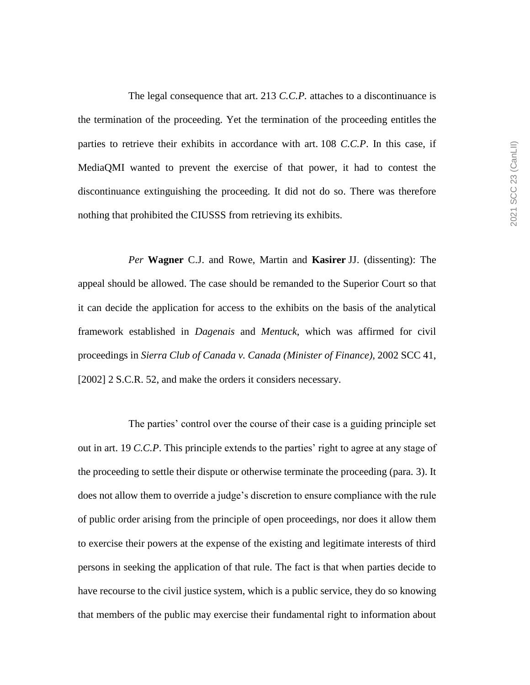The legal consequence that art. 213 *C.C.P.* attaches to a discontinuance is the termination of the proceeding. Yet the termination of the proceeding entitles the parties to retrieve their exhibits in accordance with art. 108 *C.C.P*. In this case, if MediaQMI wanted to prevent the exercise of that power, it had to contest the discontinuance extinguishing the proceeding. It did not do so. There was therefore nothing that prohibited the CIUSSS from retrieving its exhibits.

*Per* **Wagner** C.J. and Rowe, Martin and **Kasirer** JJ. (dissenting): The appeal should be allowed. The case should be remanded to the Superior Court so that it can decide the application for access to the exhibits on the basis of the analytical framework established in *Dagenais* and *Mentuck*, which was affirmed for civil proceedings in *Sierra Club of Canada v. Canada (Minister of Finance)*, 2002 SCC 41, [2002] 2 S.C.R. 52, and make the orders it considers necessary.

The parties' control over the course of their case is a guiding principle set out in art. 19 *C.C.P*. This principle extends to the parties' right to agree at any stage of the proceeding to settle their dispute or otherwise terminate the proceeding (para. 3). It does not allow them to override a judge's discretion to ensure compliance with the rule of public order arising from the principle of open proceedings, nor does it allow them to exercise their powers at the expense of the existing and legitimate interests of third persons in seeking the application of that rule. The fact is that when parties decide to have recourse to the civil justice system, which is a public service, they do so knowing that members of the public may exercise their fundamental right to information about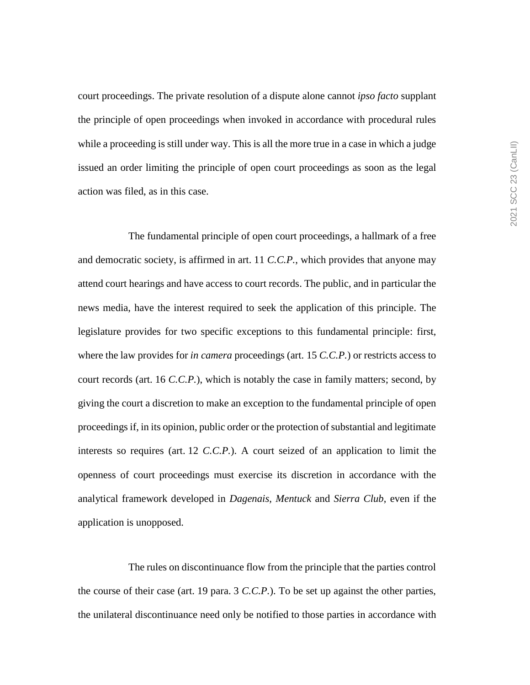court proceedings. The private resolution of a dispute alone cannot *ipso facto* supplant the principle of open proceedings when invoked in accordance with procedural rules while a proceeding is still under way. This is all the more true in a case in which a judge issued an order limiting the principle of open court proceedings as soon as the legal action was filed, as in this case.

The fundamental principle of open court proceedings, a hallmark of a free and democratic society, is affirmed in art. 11 *C.C.P.*, which provides that anyone may attend court hearings and have access to court records. The public, and in particular the news media, have the interest required to seek the application of this principle. The legislature provides for two specific exceptions to this fundamental principle: first, where the law provides for *in camera* proceedings (art. 15 *C.C.P.*) or restricts access to court records (art. 16 *C.C.P.*), which is notably the case in family matters; second, by giving the court a discretion to make an exception to the fundamental principle of open proceedings if, in its opinion, public order or the protection of substantial and legitimate interests so requires (art. 12 *C.C.P.*). A court seized of an application to limit the openness of court proceedings must exercise its discretion in accordance with the analytical framework developed in *Dagenais*, *Mentuck* and *Sierra Club*, even if the application is unopposed.

The rules on discontinuance flow from the principle that the parties control the course of their case (art. 19 para. 3 *C.C.P.*). To be set up against the other parties, the unilateral discontinuance need only be notified to those parties in accordance with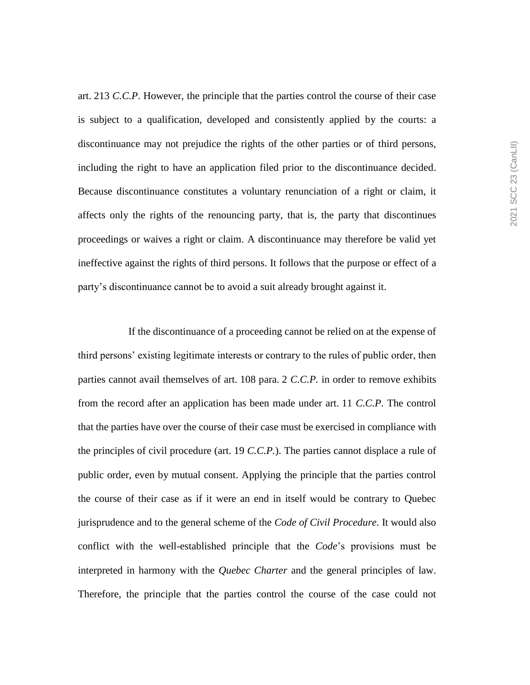art. 213 *C.C.P*. However, the principle that the parties control the course of their case is subject to a qualification, developed and consistently applied by the courts: a discontinuance may not prejudice the rights of the other parties or of third persons, including the right to have an application filed prior to the discontinuance decided. Because discontinuance constitutes a voluntary renunciation of a right or claim, it affects only the rights of the renouncing party, that is, the party that discontinues proceedings or waives a right or claim. A discontinuance may therefore be valid yet ineffective against the rights of third persons. It follows that the purpose or effect of a party's discontinuance cannot be to avoid a suit already brought against it.

If the discontinuance of a proceeding cannot be relied on at the expense of third persons' existing legitimate interests or contrary to the rules of public order, then parties cannot avail themselves of art. 108 para. 2 *C.C.P.* in order to remove exhibits from the record after an application has been made under art. 11 *C.C.P*. The control that the parties have over the course of their case must be exercised in compliance with the principles of civil procedure (art. 19 *C.C.P.*). The parties cannot displace a rule of public order, even by mutual consent. Applying the principle that the parties control the course of their case as if it were an end in itself would be contrary to Quebec jurisprudence and to the general scheme of the *Code of Civil Procedure*. It would also conflict with the well-established principle that the *Code*'s provisions must be interpreted in harmony with the *Quebec Charter* and the general principles of law. Therefore, the principle that the parties control the course of the case could not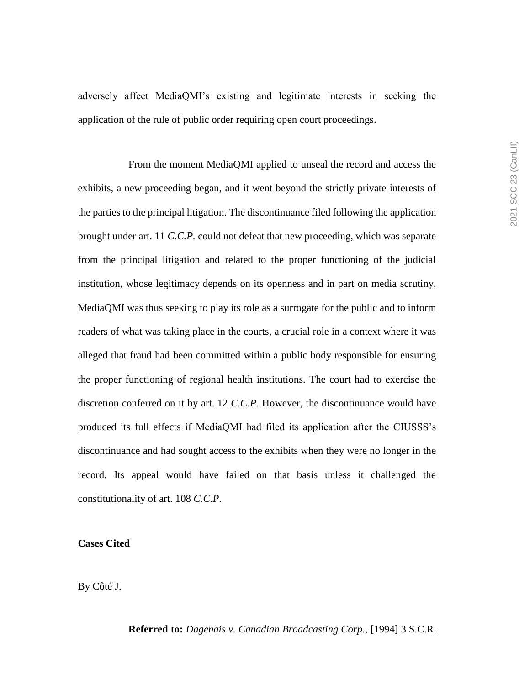adversely affect MediaQMI's existing and legitimate interests in seeking the application of the rule of public order requiring open court proceedings.

From the moment MediaQMI applied to unseal the record and access the exhibits, a new proceeding began, and it went beyond the strictly private interests of the parties to the principal litigation. The discontinuance filed following the application brought under art. 11 *C.C.P.* could not defeat that new proceeding, which was separate from the principal litigation and related to the proper functioning of the judicial institution, whose legitimacy depends on its openness and in part on media scrutiny. MediaQMI was thus seeking to play its role as a surrogate for the public and to inform readers of what was taking place in the courts, a crucial role in a context where it was alleged that fraud had been committed within a public body responsible for ensuring the proper functioning of regional health institutions. The court had to exercise the discretion conferred on it by art. 12 *C.C.P*. However, the discontinuance would have produced its full effects if MediaQMI had filed its application after the CIUSSS's discontinuance and had sought access to the exhibits when they were no longer in the record. Its appeal would have failed on that basis unless it challenged the constitutionality of art. 108 *C.C.P*.

## **Cases Cited**

By Côté J.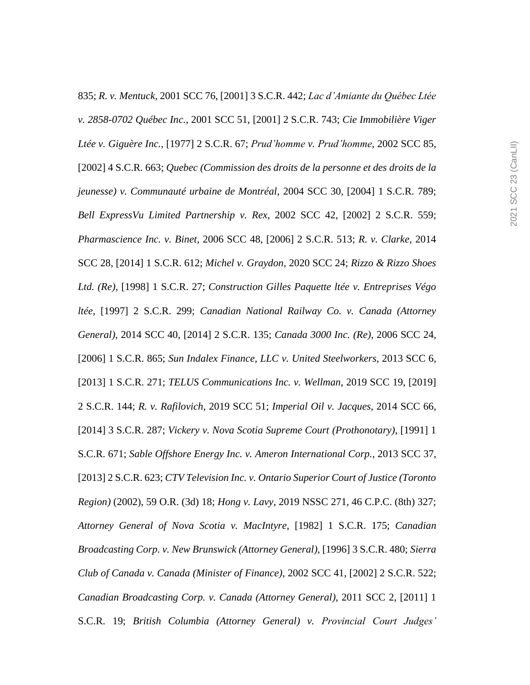835; *R. v. Mentuck*, 2001 SCC 76, [2001] 3 S.C.R. 442; *Lac d'Amiante du Québec Ltée v. 2858-0702 Québec Inc.*, 2001 SCC 51, [2001] 2 S.C.R. 743; *Cie Immobilière Viger Ltée v. Giguère Inc.*, [1977] 2 S.C.R. 67; *Prud'homme v. Prud'homme*, 2002 SCC 85, [2002] 4 S.C.R. 663; *Quebec (Commission des droits de la personne et des droits de la jeunesse) v. Communauté urbaine de Montréal*, 2004 SCC 30, [2004] 1 S.C.R. 789; *Bell ExpressVu Limited Partnership v. Rex*, 2002 SCC 42, [2002] 2 S.C.R. 559; *Pharmascience Inc. v. Binet*, 2006 SCC 48, [2006] 2 S.C.R. 513; *R. v. Clarke*, 2014 SCC 28, [2014] 1 S.C.R. 612; *Michel v. Graydon*, 2020 SCC 24; *Rizzo & Rizzo Shoes Ltd. (Re)*, [1998] 1 S.C.R. 27; *Construction Gilles Paquette ltée v. Entreprises Végo ltée*, [1997] 2 S.C.R. 299; *Canadian National Railway Co. v. Canada (Attorney General)*, 2014 SCC 40, [2014] 2 S.C.R. 135; *Canada 3000 Inc. (Re)*, 2006 SCC 24, [2006] 1 S.C.R. 865; *Sun Indalex Finance, LLC v. United Steelworkers*, 2013 SCC 6, [2013] 1 S.C.R. 271; *TELUS Communications Inc. v. Wellman*, 2019 SCC 19, [2019] 2 S.C.R. 144; *R. v. Rafilovich*, 2019 SCC 51; *Imperial Oil v. Jacques*, 2014 SCC 66, [2014] 3 S.C.R. 287; *Vickery v. Nova Scotia Supreme Court (Prothonotary)*, [1991] 1 S.C.R. 671; *Sable Offshore Energy Inc. v. Ameron International Corp.*, 2013 SCC 37, [2013] 2 S.C.R. 623; *CTV Television Inc. v. Ontario Superior Court of Justice (Toronto Region)* (2002), 59 O.R. (3d) 18; *Hong v. Lavy*, 2019 NSSC 271, 46 C.P.C. (8th) 327; *Attorney General of Nova Scotia v. MacIntyre*, [1982] 1 S.C.R. 175; *Canadian Broadcasting Corp. v. New Brunswick (Attorney General)*, [1996] 3 S.C.R. 480; *Sierra Club of Canada v. Canada (Minister of Finance)*, 2002 SCC 41, [2002] 2 S.C.R. 522; *Canadian Broadcasting Corp. v. Canada (Attorney General)*, 2011 SCC 2, [2011] 1 S.C.R. 19; *British Columbia (Attorney General) v. Provincial Court Judges'*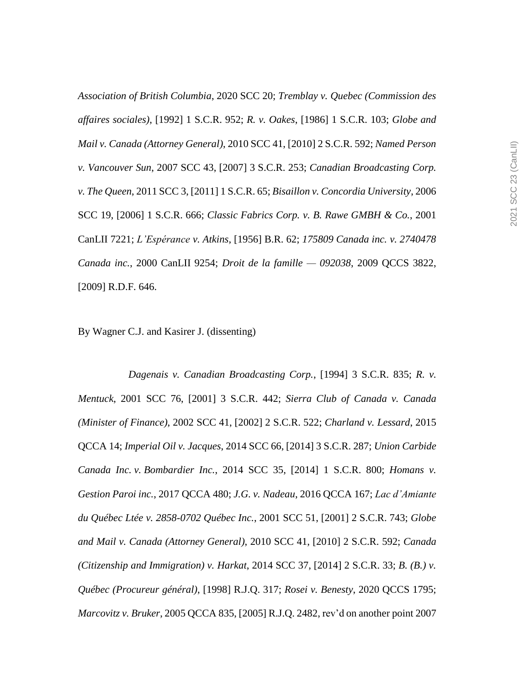*Association of British Columbia*, 2020 SCC 20; *Tremblay v. Quebec (Commission des affaires sociales)*, [1992] 1 S.C.R. 952; *R. v. Oakes*, [1986] 1 S.C.R. 103; *Globe and Mail v. Canada (Attorney General)*, 2010 SCC 41, [2010] 2 S.C.R. 592; *Named Person v. Vancouver Sun*, 2007 SCC 43, [2007] 3 S.C.R. 253; *Canadian Broadcasting Corp. v. The Queen*, 2011 SCC 3, [2011] 1 S.C.R. 65; *Bisaillon v. Concordia University*, 2006 SCC 19, [2006] 1 S.C.R. 666; *Classic Fabrics Corp. v. B. Rawe GMBH & Co.*, 2001 CanLII 7221; *L'Espérance v. Atkins*, [1956] B.R. 62; *175809 Canada inc. v. 2740478 Canada inc.*, 2000 CanLII 9254; *Droit de la famille — 092038*, 2009 QCCS 3822, [2009] R.D.F. 646.

By Wagner C.J. and Kasirer J. (dissenting)

*Dagenais v. Canadian Broadcasting Corp.*, [1994] 3 S.C.R. 835; *R. v. Mentuck*, 2001 SCC 76, [2001] 3 S.C.R. 442; *Sierra Club of Canada v. Canada (Minister of Finance)*, 2002 SCC 41, [2002] 2 S.C.R. 522; *Charland v. Lessard*, 2015 QCCA 14; *Imperial Oil v. Jacques*, 2014 SCC 66, [2014] 3 S.C.R. 287; *Union Carbide Canada Inc. v. Bombardier Inc.*, 2014 SCC 35, [2014] 1 S.C.R. 800; *Homans v. Gestion Paroi inc.*, 2017 QCCA 480; *J.G. v. Nadeau*, 2016 QCCA 167; *Lac d'Amiante du Québec Ltée v. 2858-0702 Québec Inc.*, 2001 SCC 51, [2001] 2 S.C.R. 743; *Globe and Mail v. Canada (Attorney General)*, 2010 SCC 41, [2010] 2 S.C.R. 592; *Canada (Citizenship and Immigration) v. Harkat*, 2014 SCC 37, [2014] 2 S.C.R. 33; *B. (B.) v. Québec (Procureur général)*, [1998] R.J.Q. 317; *Rosei v. Benesty*, 2020 QCCS 1795; *Marcovitz v. Bruker*, 2005 QCCA 835, [2005] R.J.Q. 2482, rev'd on another point 2007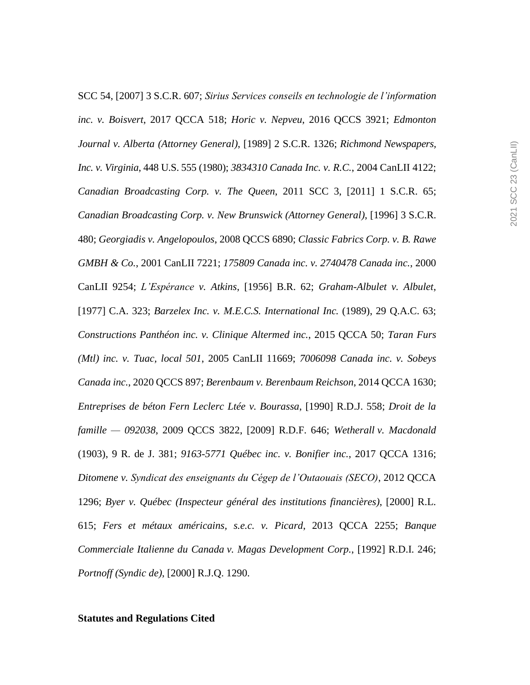SCC 54, [2007] 3 S.C.R. 607; *Sirius Services conseils en technologie de l'information inc. v. Boisvert*, 2017 QCCA 518; *Horic v. Nepveu*, 2016 QCCS 3921; *Edmonton Journal v. Alberta (Attorney General)*, [1989] 2 S.C.R. 1326; *Richmond Newspapers, Inc. v. Virginia*, 448 U.S. 555 (1980); *3834310 Canada Inc. v. R.C.*, 2004 CanLII 4122; *Canadian Broadcasting Corp. v. The Queen*, 2011 SCC 3, [2011] 1 S.C.R. 65; *Canadian Broadcasting Corp. v. New Brunswick (Attorney General)*, [1996] 3 S.C.R. 480; *Georgiadis v. Angelopoulos*, 2008 QCCS 6890; *Classic Fabrics Corp. v. B. Rawe GMBH & Co.*, 2001 CanLII 7221; *175809 Canada inc. v. 2740478 Canada inc.*, 2000 CanLII 9254; *L'Espérance v. Atkins*, [1956] B.R. 62; *Graham-Albulet v. Albulet*, [1977] C.A. 323; *Barzelex Inc. v. M.E.C.S. International Inc.* (1989), 29 Q.A.C. 63; *Constructions Panthéon inc. v. Clinique Altermed inc.*, 2015 QCCA 50; *Taran Furs (Mtl) inc. v. Tuac, local 501*, 2005 CanLII 11669; *7006098 Canada inc. v. Sobeys Canada inc.*, 2020 QCCS 897; *Berenbaum v. Berenbaum Reichson*, 2014 QCCA 1630; *Entreprises de béton Fern Leclerc Ltée v. Bourassa*, [1990] R.D.J. 558; *Droit de la famille — 092038*, 2009 QCCS 3822, [2009] R.D.F. 646; *Wetherall v. Macdonald* (1903), 9 R. de J. 381; *9163-5771 Québec inc. v. Bonifier inc.*, 2017 QCCA 1316; *Ditomene v. Syndicat des enseignants du Cégep de l'Outaouais (SECO)*, 2012 QCCA 1296; *Byer v. Québec (Inspecteur général des institutions financières)*, [2000] R.L. 615; *Fers et métaux américains, s.e.c. v. Picard*, 2013 QCCA 2255; *Banque Commerciale Italienne du Canada v. Magas Development Corp.*, [1992] R.D.I. 246; *Portnoff (Syndic de)*, [2000] R.J.Q. 1290.

## **Statutes and Regulations Cited**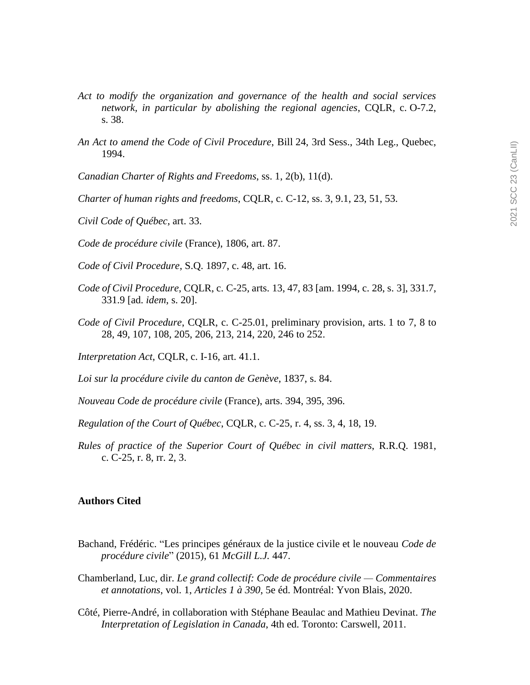- *Act to modify the organization and governance of the health and social services network, in particular by abolishing the regional agencies*, CQLR, c. O-7.2, s. 38.
- *An Act to amend the Code of Civil Procedure*, Bill 24, 3rd Sess., 34th Leg., Quebec, 1994.
- *Canadian Charter of Rights and Freedoms*, ss. 1, 2(b), 11(d).
- *Charter of human rights and freedoms*, CQLR, c. C-12, ss. 3, 9.1, 23, 51, 53.
- *Civil Code of Québec*, art. 33.
- *Code de procédure civile* (France), 1806, art. 87.
- *Code of Civil Procedure*, S.Q. 1897, c. 48, art. 16.
- *Code of Civil Procedure*, CQLR, c. C-25, arts. 13, 47, 83 [am. 1994, c. 28, s. 3], 331.7, 331.9 [ad. *idem*, s. 20].
- *Code of Civil Procedure*, CQLR, c. C-25.01, preliminary provision, arts. 1 to 7, 8 to 28, 49, 107, 108, 205, 206, 213, 214, 220, 246 to 252.
- *Interpretation Act*, CQLR, c. I-16, art. 41.1.
- *Loi sur la procédure civile du canton de Genève*, 1837, s. 84.
- *Nouveau Code de procédure civile* (France), arts. 394, 395, 396.
- *Regulation of the Court of Québec*, CQLR, c. C-25, r. 4, ss. 3, 4, 18, 19.
- *Rules of practice of the Superior Court of Québec in civil matters*, R.R.Q. 1981, c. C-25, r. 8, rr. 2, 3.

## **Authors Cited**

- Bachand, Frédéric. "Les principes généraux de la justice civile et le nouveau *Code de procédure civile*" (2015), 61 *McGill L.J.* 447.
- Chamberland, Luc, dir. *Le grand collectif: Code de procédure civile — Commentaires et annotations*, vol. 1, *Articles 1 à 390*, 5e éd. Montréal: Yvon Blais, 2020.
- Côté, Pierre-André, in collaboration with Stéphane Beaulac and Mathieu Devinat. *The Interpretation of Legislation in Canada*, 4th ed. Toronto: Carswell, 2011.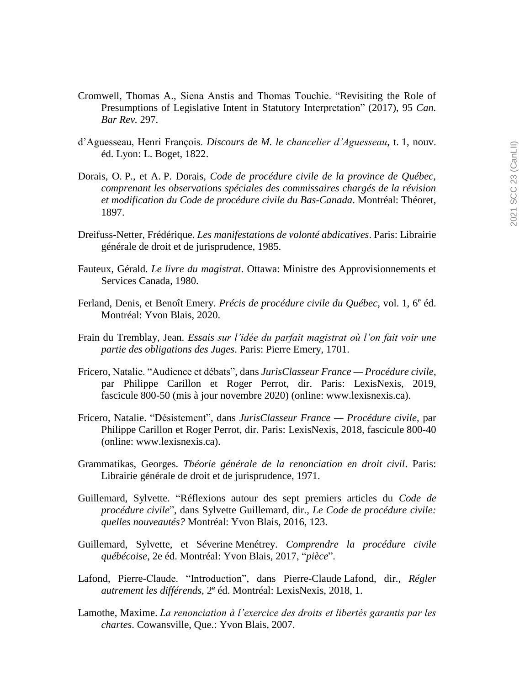- Cromwell, Thomas A., Siena Anstis and Thomas Touchie. "Revisiting the Role of Presumptions of Legislative Intent in Statutory Interpretation" (2017), 95 *Can. Bar Rev.* 297.
- d'Aguesseau, Henri François. *Discours de M. le chancelier d'Aguesseau*, t. 1, nouv. éd. Lyon: L. Boget, 1822.
- Dorais, O. P., et A. P. Dorais, *Code de procédure civile de la province de Québec, comprenant les observations spéciales des commissaires chargés de la révision et modification du Code de procédure civile du Bas-Canada*. Montréal: Théoret, 1897.
- Dreifuss-Netter, Frédérique. *Les manifestations de volonté abdicatives*. Paris: Librairie générale de droit et de jurisprudence, 1985.
- Fauteux, Gérald. *Le livre du magistrat*. Ottawa: Ministre des Approvisionnements et Services Canada, 1980.
- Ferland, Denis, et Benoît Emery. *Précis de procédure civile du Québec*, vol. 1, 6<sup>e</sup> éd. Montréal: Yvon Blais, 2020.
- Frain du Tremblay, Jean. *Essais sur l'idée du parfait magistrat où l'on fait voir une partie des obligations des Juges*. Paris: Pierre Emery, 1701.
- Fricero, Natalie. "Audience et débats", dans *JurisClasseur France — Procédure civile*, par Philippe Carillon et Roger Perrot, dir. Paris: LexisNexis, 2019, fascicule 800-50 (mis à jour novembre 2020) (online: www.lexisnexis.ca).
- Fricero, Natalie. "Désistement", dans *JurisClasseur France — Procédure civile*, par Philippe Carillon et Roger Perrot, dir. Paris: LexisNexis, 2018, fascicule 800-40 (online: www.lexisnexis.ca).
- Grammatikas, Georges. *Théorie générale de la renonciation en droit civil*. Paris: Librairie générale de droit et de jurisprudence, 1971.
- Guillemard, Sylvette. "Réflexions autour des sept premiers articles du *Code de procédure civile*", dans Sylvette Guillemard, dir., *Le Code de procédure civile: quelles nouveautés?* Montréal: Yvon Blais, 2016, 123.
- Guillemard, Sylvette, et Séverine Menétrey. *Comprendre la procédure civile québécoise*, 2e éd. Montréal: Yvon Blais, 2017, "*pièce*".
- Lafond, Pierre-Claude. "Introduction", dans Pierre-Claude Lafond, dir., *Régler*  autrement les différends, 2<sup>e</sup> éd. Montréal: LexisNexis, 2018, 1.
- Lamothe, Maxime. *La renonciation à l'exercice des droits et libertés garantis par les chartes*. Cowansville, Que.: Yvon Blais, 2007.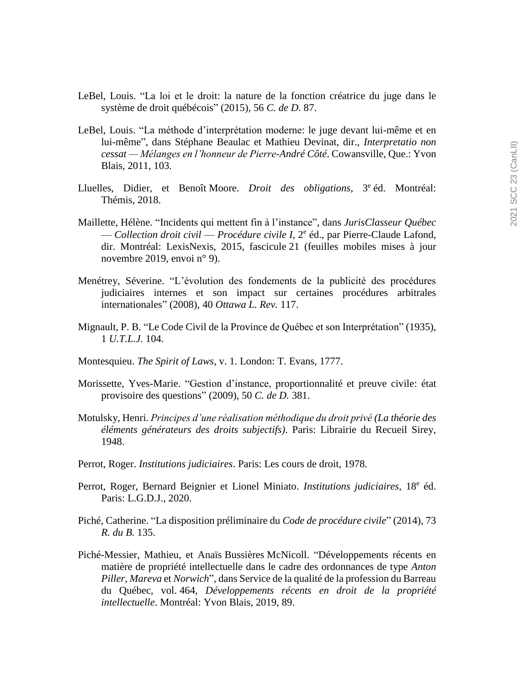- LeBel, Louis. "La loi et le droit: la nature de la fonction créatrice du juge dans le système de droit québécois" (2015), 56 *C. de D.* 87.
- LeBel, Louis. "La méthode d'interprétation moderne: le juge devant lui-même et en lui-même", dans Stéphane Beaulac et Mathieu Devinat, dir., *Interpretatio non cessat — Mélanges en l'honneur de Pierre-André Côté*. Cowansville, Que.: Yvon Blais, 2011, 103.
- Lluelles, Didier, et Benoît-Moore. *Droit des obligations*, 3<sup>e</sup> éd. Montréal: Thémis, 2018.
- Maillette, Hélène. "Incidents qui mettent fin à l'instance", dans *JurisClasseur Québec* — *Collection droit civil* — *Procédure civile I*, 2 e éd., par Pierre-Claude Lafond, dir. Montréal: LexisNexis, 2015, fascicule 21 (feuilles mobiles mises à jour novembre 2019, envoi n° 9).
- Menétrey, Séverine. "L'évolution des fondements de la publicité des procédures judiciaires internes et son impact sur certaines procédures arbitrales internationales" (2008), 40 *Ottawa L. Rev.* 117.
- Mignault, P. B. "Le Code Civil de la Province de Québec et son Interprétation" (1935), 1 *U.T.L.J.* 104.
- Montesquieu. *The Spirit of Laws*, v. 1. London: T. Evans, 1777.
- Morissette, Yves-Marie. "Gestion d'instance, proportionnalité et preuve civile: état provisoire des questions" (2009), 50 *C. de D.* 381.
- Motulsky, Henri. *Principes d'une réalisation méthodique du droit privé (La théorie des éléments générateurs des droits subjectifs)*. Paris: Librairie du Recueil Sirey, 1948.
- Perrot, Roger. *Institutions judiciaires*. Paris: Les cours de droit, 1978.
- Perrot, Roger, Bernard Beignier et Lionel Miniato. *Institutions judiciaires*, 18<sup>e</sup> éd. Paris: L.G.D.J., 2020.
- Piché, Catherine. "La disposition préliminaire du *Code de procédure civile*" (2014), 73 *R. du B.* 135.
- Piché-Messier, Mathieu, et Anaïs Bussières McNicoll. "Développements récents en matière de propriété intellectuelle dans le cadre des ordonnances de type *Anton Piller*, *Mareva* et *Norwich*", dans Service de la qualité de la profession du Barreau du Québec, vol. 464, *Développements récents en droit de la propriété intellectuelle*. Montréal: Yvon Blais, 2019, 89.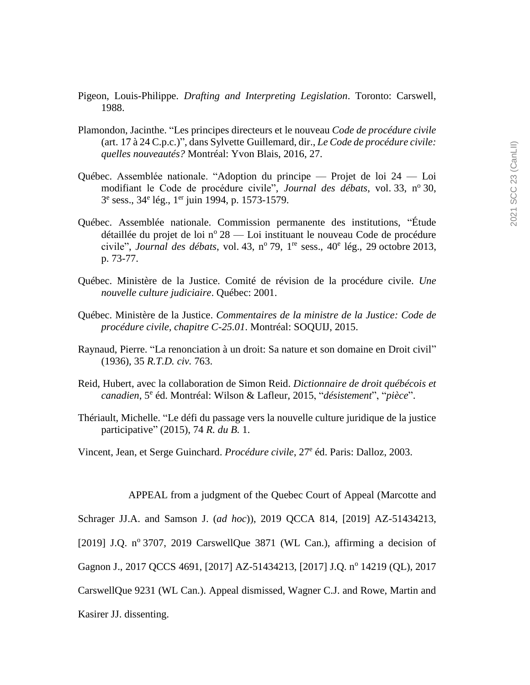- Pigeon, Louis-Philippe. *Drafting and Interpreting Legislation*. Toronto: Carswell, 1988.
- Plamondon, Jacinthe. "Les principes directeurs et le nouveau *Code de procédure civile* (art. 17 à 24 C.p.c.)", dans Sylvette Guillemard, dir., *Le Code de procédure civile: quelles nouveautés?* Montréal: Yvon Blais, 2016, 27.
- Québec. Assemblée nationale. "Adoption du principe Projet de loi 24 Loi modifiant le Code de procédure civile", Journal des débats, vol. 33, nº 30, 3<sup>e</sup> sess., 34<sup>e</sup> lég., 1<sup>er</sup> juin 1994, p. 1573-1579.
- Québec. Assemblée nationale. Commission permanente des institutions, "Étude détaillée du projet de loi  $n^{\circ} 28$  — Loi instituant le nouveau Code de procédure civile", *Journal des débats*, vol. 43, n<sup>o</sup> 79, 1<sup>re</sup> sess., 40<sup>e</sup> lég., 29 octobre 2013, p. 73-77.
- Québec. Ministère de la Justice. Comité de révision de la procédure civile. *Une nouvelle culture judiciaire*. Québec: 2001.
- Québec. Ministère de la Justice. *Commentaires de la ministre de la Justice: Code de procédure civile, chapitre C-25.01*. Montréal: SOQUIJ, 2015.
- Raynaud, Pierre. "La renonciation à un droit: Sa nature et son domaine en Droit civil" (1936), 35 *R.T.D. civ.* 763.
- Reid, Hubert, avec la collaboration de Simon Reid. *Dictionnaire de droit québécois et canadien*, 5 e éd. Montréal: Wilson & Lafleur, 2015, "*désistement*", "*pièce*".
- Thériault, Michelle. "Le défi du passage vers la nouvelle culture juridique de la justice participative" (2015), 74 *R. du B.* 1.
- Vincent, Jean, et Serge Guinchard. *Procédure civile*, 27<sup>e</sup> éd. Paris: Dalloz, 2003.

APPEAL from a judgment of the Quebec Court of Appeal (Marcotte and

Schrager JJ.A. and Samson J. (*ad hoc*)), 2019 QCCA 814, [2019] AZ-51434213,

[2019] J.Q.  $n^{\circ}$  3707, 2019 CarswellQue 3871 (WL Can.), affirming a decision of

Gagnon J., 2017 QCCS 4691, [2017] AZ-51434213, [2017] J.Q. nº 14219 (QL), 2017

CarswellQue 9231 (WL Can.). Appeal dismissed, Wagner C.J. and Rowe, Martin and

Kasirer JJ. dissenting.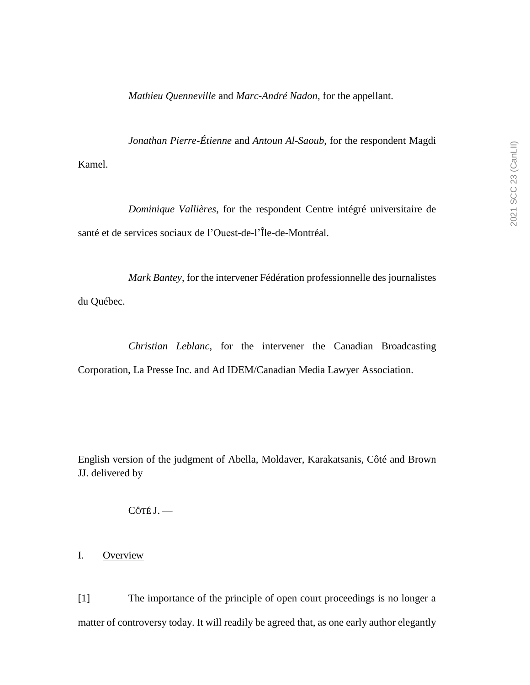*Mathieu Quenneville* and *Marc-André Nadon*, for the appellant.

*Jonathan Pierre-Étienne* and *Antoun Al-Saoub*, for the respondent Magdi Kamel.

*Dominique Vallières*, for the respondent Centre intégré universitaire de santé et de services sociaux de l'Ouest-de-l'Île-de-Montréal.

*Mark Bantey*, for the intervener Fédération professionnelle des journalistes du Québec.

*Christian Leblanc*, for the intervener the Canadian Broadcasting Corporation, La Presse Inc. and Ad IDEM/Canadian Media Lawyer Association.

English version of the judgment of Abella, Moldaver, Karakatsanis, Côté and Brown JJ. delivered by

CÔTÉ J. —

I. Overview

[1] The importance of the principle of open court proceedings is no longer a matter of controversy today. It will readily be agreed that, as one early author elegantly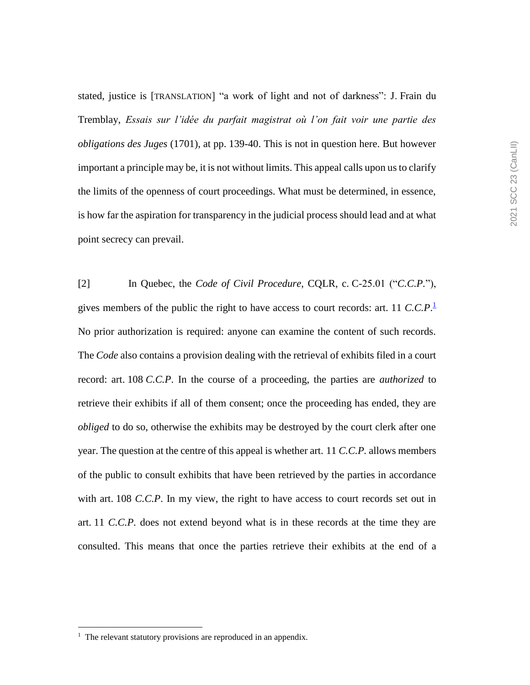stated, justice is [TRANSLATION] "a work of light and not of darkness": J. Frain du Tremblay, *Essais sur l'idée du parfait magistrat où l'on fait voir une partie des obligations des Juges* (1701), at pp. 139-40. This is not in question here. But however important a principle may be, it is not without limits. This appeal calls upon us to clarify the limits of the openness of court proceedings. What must be determined, in essence, is how far the aspiration for transparency in the judicial process should lead and at what point secrecy can prevail.

[2] In Quebec, the *Code of Civil Procedure*, CQLR, c. C-25.01 ("*C.C.P.*"), gives members of the public the right to have access to court records: art. 11 *C.C.P*. 1 No prior authorization is required: anyone can examine the content of such records. The *Code* also contains a provision dealing with the retrieval of exhibits filed in a court record: art. 108 *C.C.P*. In the course of a proceeding, the parties are *authorized* to retrieve their exhibits if all of them consent; once the proceeding has ended, they are *obliged* to do so, otherwise the exhibits may be destroyed by the court clerk after one year. The question at the centre of this appeal is whether art. 11 *C.C.P.* allows members of the public to consult exhibits that have been retrieved by the parties in accordance with art. 108 *C.C.P.* In my view, the right to have access to court records set out in art. 11 *C.C.P.* does not extend beyond what is in these records at the time they are consulted. This means that once the parties retrieve their exhibits at the end of a

 $\overline{a}$ 

<sup>&</sup>lt;sup>1</sup> The relevant statutory provisions are reproduced in an appendix.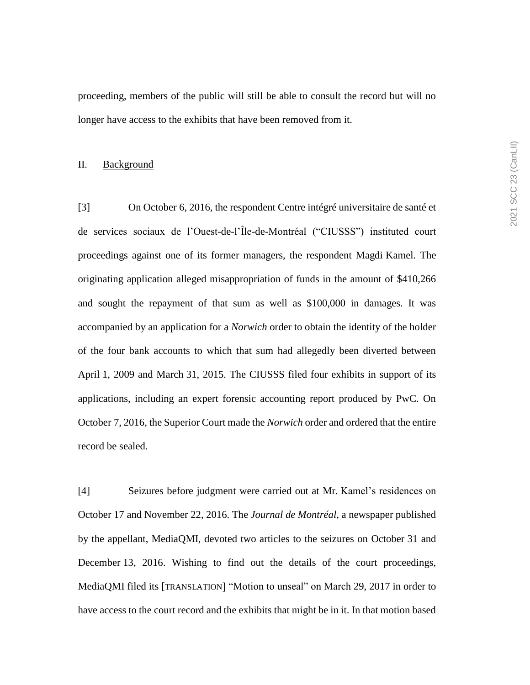proceeding, members of the public will still be able to consult the record but will no longer have access to the exhibits that have been removed from it.

#### II. Background

[3] On October 6, 2016, the respondent Centre intégré universitaire de santé et de services sociaux de l'Ouest-de-l'Île-de-Montréal ("CIUSSS") instituted court proceedings against one of its former managers, the respondent Magdi Kamel. The originating application alleged misappropriation of funds in the amount of \$410,266 and sought the repayment of that sum as well as \$100,000 in damages. It was accompanied by an application for a *Norwich* order to obtain the identity of the holder of the four bank accounts to which that sum had allegedly been diverted between April 1, 2009 and March 31, 2015. The CIUSSS filed four exhibits in support of its applications, including an expert forensic accounting report produced by PwC. On October 7, 2016, the Superior Court made the *Norwich* order and ordered that the entire record be sealed.

[4] Seizures before judgment were carried out at Mr. Kamel's residences on October 17 and November 22, 2016. The *Journal de Montréal*, a newspaper published by the appellant, MediaQMI, devoted two articles to the seizures on October 31 and December 13, 2016. Wishing to find out the details of the court proceedings, MediaQMI filed its [TRANSLATION] "Motion to unseal" on March 29, 2017 in order to have access to the court record and the exhibits that might be in it. In that motion based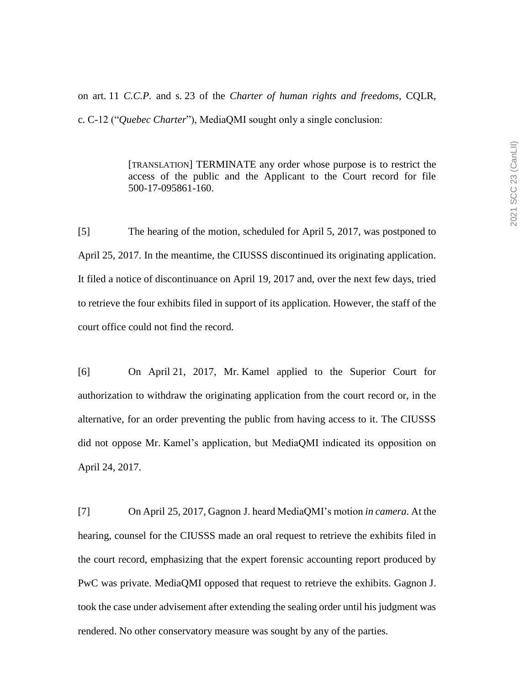on art. 11 *C.C.P.* and s. 23 of the *Charter of human rights and freedoms*, CQLR,

c. C-12 ("*Quebec Charter*"), MediaQMI sought only a single conclusion:

[TRANSLATION] TERMINATE any order whose purpose is to restrict the access of the public and the Applicant to the Court record for file 500-17-095861-160.

[5] The hearing of the motion, scheduled for April 5, 2017, was postponed to April 25, 2017. In the meantime, the CIUSSS discontinued its originating application. It filed a notice of discontinuance on April 19, 2017 and, over the next few days, tried to retrieve the four exhibits filed in support of its application. However, the staff of the court office could not find the record.

[6] On April 21, 2017, Mr. Kamel applied to the Superior Court for authorization to withdraw the originating application from the court record or, in the alternative, for an order preventing the public from having access to it. The CIUSSS did not oppose Mr. Kamel's application, but MediaQMI indicated its opposition on April 24, 2017.

[7] On April 25, 2017, Gagnon J. heard MediaQMI's motion *in camera*. At the hearing, counsel for the CIUSSS made an oral request to retrieve the exhibits filed in the court record, emphasizing that the expert forensic accounting report produced by PwC was private. MediaQMI opposed that request to retrieve the exhibits. Gagnon J. took the case under advisement after extending the sealing order until his judgment was rendered. No other conservatory measure was sought by any of the parties.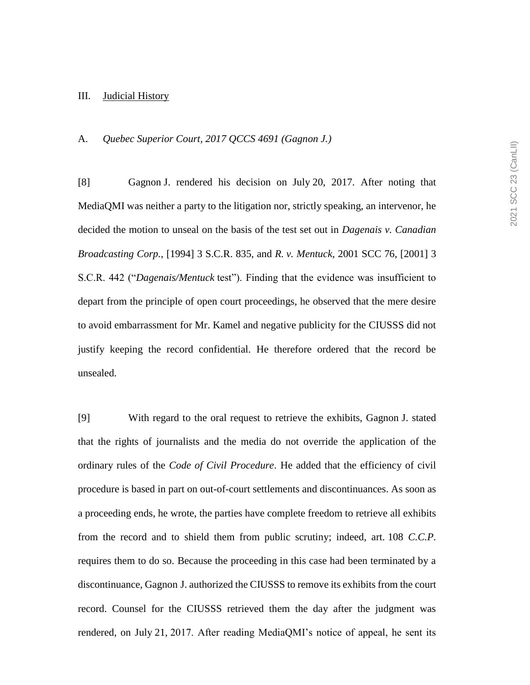#### III. Judicial History

## A. *Quebec Superior Court, 2017 QCCS 4691 (Gagnon J.)*

[8] Gagnon J. rendered his decision on July 20, 2017. After noting that MediaQMI was neither a party to the litigation nor, strictly speaking, an intervenor, he decided the motion to unseal on the basis of the test set out in *Dagenais v. Canadian Broadcasting Corp.*, [1994] 3 S.C.R. 835, and *R. v. Mentuck*, 2001 SCC 76, [2001] 3 S.C.R. 442 ("*Dagenais/Mentuck* test"). Finding that the evidence was insufficient to depart from the principle of open court proceedings, he observed that the mere desire to avoid embarrassment for Mr. Kamel and negative publicity for the CIUSSS did not justify keeping the record confidential. He therefore ordered that the record be unsealed.

[9] With regard to the oral request to retrieve the exhibits, Gagnon J. stated that the rights of journalists and the media do not override the application of the ordinary rules of the *Code of Civil Procedure*. He added that the efficiency of civil procedure is based in part on out-of-court settlements and discontinuances. As soon as a proceeding ends, he wrote, the parties have complete freedom to retrieve all exhibits from the record and to shield them from public scrutiny; indeed, art. 108 *C.C.P.* requires them to do so. Because the proceeding in this case had been terminated by a discontinuance, Gagnon J. authorized the CIUSSS to remove its exhibits from the court record. Counsel for the CIUSSS retrieved them the day after the judgment was rendered, on July 21, 2017. After reading MediaQMI's notice of appeal, he sent its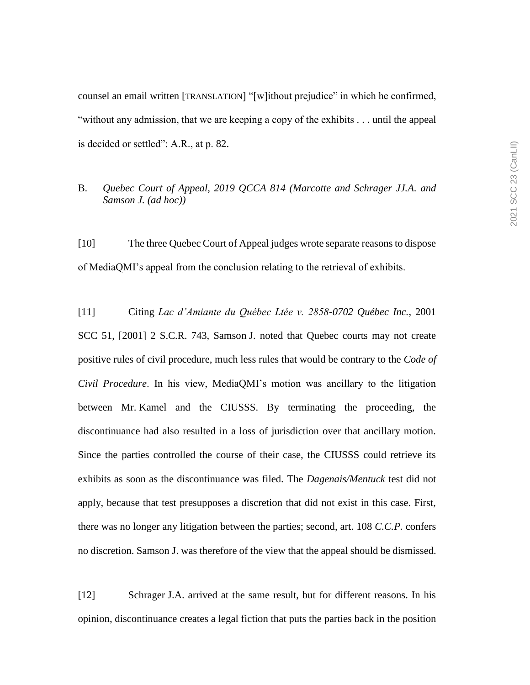counsel an email written [TRANSLATION] "[w]ithout prejudice" in which he confirmed, "without any admission, that we are keeping a copy of the exhibits . . . until the appeal is decided or settled": A.R., at p. 82.

## B. *Quebec Court of Appeal, 2019 QCCA 814 (Marcotte and Schrager JJ.A. and Samson J. (ad hoc))*

[10] The three Quebec Court of Appeal judges wrote separate reasons to dispose of MediaQMI's appeal from the conclusion relating to the retrieval of exhibits.

[11] Citing *Lac d'Amiante du Québec Ltée v. 2858-0702 Québec Inc.*, 2001 SCC 51, [2001] 2 S.C.R. 743, Samson J. noted that Quebec courts may not create positive rules of civil procedure, much less rules that would be contrary to the *Code of Civil Procedure*. In his view, MediaQMI's motion was ancillary to the litigation between Mr. Kamel and the CIUSSS. By terminating the proceeding, the discontinuance had also resulted in a loss of jurisdiction over that ancillary motion. Since the parties controlled the course of their case, the CIUSSS could retrieve its exhibits as soon as the discontinuance was filed. The *Dagenais/Mentuck* test did not apply, because that test presupposes a discretion that did not exist in this case. First, there was no longer any litigation between the parties; second, art. 108 *C.C.P.* confers no discretion. Samson J. was therefore of the view that the appeal should be dismissed.

[12] Schrager J.A. arrived at the same result, but for different reasons. In his opinion, discontinuance creates a legal fiction that puts the parties back in the position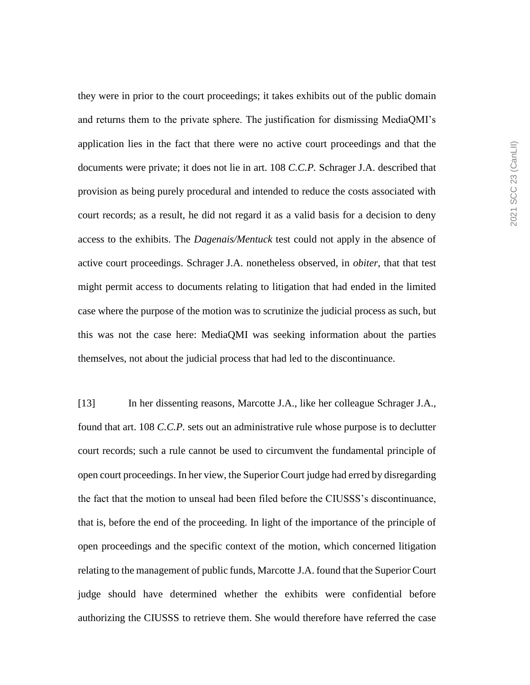they were in prior to the court proceedings; it takes exhibits out of the public domain and returns them to the private sphere. The justification for dismissing MediaQMI's application lies in the fact that there were no active court proceedings and that the documents were private; it does not lie in art. 108 *C.C.P.* Schrager J.A. described that provision as being purely procedural and intended to reduce the costs associated with court records; as a result, he did not regard it as a valid basis for a decision to deny access to the exhibits. The *Dagenais/Mentuck* test could not apply in the absence of active court proceedings. Schrager J.A. nonetheless observed, in *obiter*, that that test might permit access to documents relating to litigation that had ended in the limited case where the purpose of the motion was to scrutinize the judicial process as such, but this was not the case here: MediaQMI was seeking information about the parties themselves, not about the judicial process that had led to the discontinuance.

[13] In her dissenting reasons, Marcotte J.A., like her colleague Schrager J.A., found that art. 108 *C.C.P.* sets out an administrative rule whose purpose is to declutter court records; such a rule cannot be used to circumvent the fundamental principle of open court proceedings. In her view, the Superior Court judge had erred by disregarding the fact that the motion to unseal had been filed before the CIUSSS's discontinuance, that is, before the end of the proceeding. In light of the importance of the principle of open proceedings and the specific context of the motion, which concerned litigation relating to the management of public funds, Marcotte J.A. found that the Superior Court judge should have determined whether the exhibits were confidential before authorizing the CIUSSS to retrieve them. She would therefore have referred the case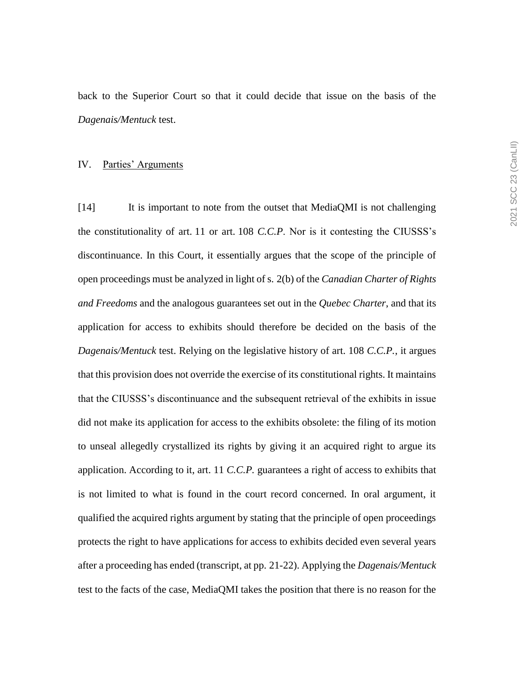back to the Superior Court so that it could decide that issue on the basis of the *Dagenais/Mentuck* test.

#### IV. Parties' Arguments

[14] It is important to note from the outset that MediaQMI is not challenging the constitutionality of art. 11 or art. 108 *C.C.P*. Nor is it contesting the CIUSSS's discontinuance. In this Court, it essentially argues that the scope of the principle of open proceedings must be analyzed in light of s. 2(b) of the *Canadian Charter of Rights and Freedoms* and the analogous guarantees set out in the *Quebec Charter*, and that its application for access to exhibits should therefore be decided on the basis of the *Dagenais/Mentuck* test. Relying on the legislative history of art. 108 *C.C.P.*, it argues that this provision does not override the exercise of its constitutional rights. It maintains that the CIUSSS's discontinuance and the subsequent retrieval of the exhibits in issue did not make its application for access to the exhibits obsolete: the filing of its motion to unseal allegedly crystallized its rights by giving it an acquired right to argue its application. According to it, art. 11 *C.C.P.* guarantees a right of access to exhibits that is not limited to what is found in the court record concerned. In oral argument, it qualified the acquired rights argument by stating that the principle of open proceedings protects the right to have applications for access to exhibits decided even several years after a proceeding has ended (transcript, at pp. 21-22). Applying the *Dagenais/Mentuck* test to the facts of the case, MediaQMI takes the position that there is no reason for the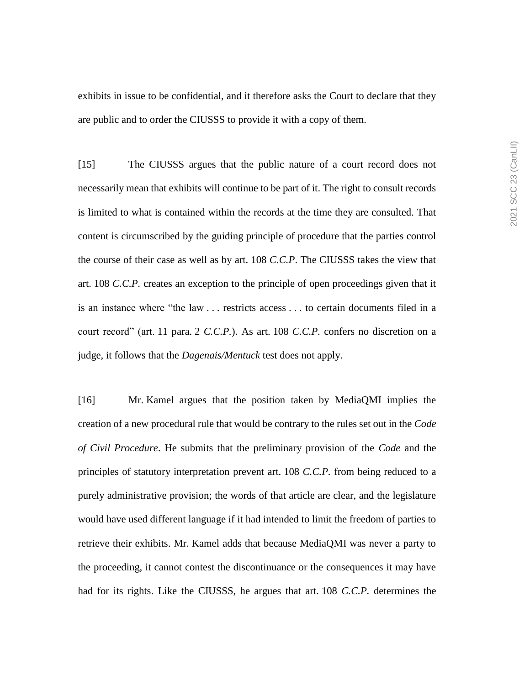exhibits in issue to be confidential, and it therefore asks the Court to declare that they are public and to order the CIUSSS to provide it with a copy of them.

[15] The CIUSSS argues that the public nature of a court record does not necessarily mean that exhibits will continue to be part of it. The right to consult records is limited to what is contained within the records at the time they are consulted. That content is circumscribed by the guiding principle of procedure that the parties control the course of their case as well as by art. 108 *C.C.P*. The CIUSSS takes the view that art. 108 *C.C.P.* creates an exception to the principle of open proceedings given that it is an instance where "the law . . . restricts access . . . to certain documents filed in a court record" (art. 11 para. 2 *C.C.P.*). As art. 108 *C.C.P.* confers no discretion on a judge, it follows that the *Dagenais/Mentuck* test does not apply.

[16] Mr. Kamel argues that the position taken by MediaQMI implies the creation of a new procedural rule that would be contrary to the rules set out in the *Code of Civil Procedure*. He submits that the preliminary provision of the *Code* and the principles of statutory interpretation prevent art. 108 *C.C.P.* from being reduced to a purely administrative provision; the words of that article are clear, and the legislature would have used different language if it had intended to limit the freedom of parties to retrieve their exhibits. Mr. Kamel adds that because MediaQMI was never a party to the proceeding, it cannot contest the discontinuance or the consequences it may have had for its rights. Like the CIUSSS, he argues that art. 108 *C.C.P.* determines the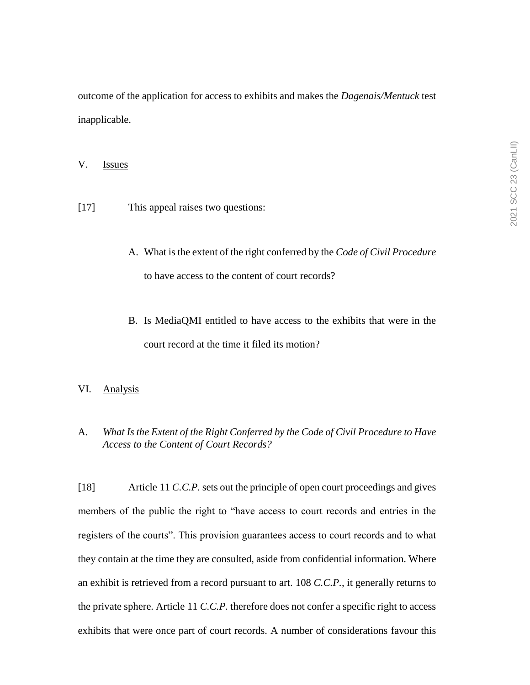outcome of the application for access to exhibits and makes the *Dagenais/Mentuck* test inapplicable.

#### V. Issues

- [17] This appeal raises two questions:
	- A. What is the extent of the right conferred by the *Code of Civil Procedure* to have access to the content of court records?
	- B. Is MediaQMI entitled to have access to the exhibits that were in the court record at the time it filed its motion?

# VI. Analysis

## A. *What Is the Extent of the Right Conferred by the Code of Civil Procedure to Have Access to the Content of Court Records?*

[18] Article 11 *C.C.P.* sets out the principle of open court proceedings and gives members of the public the right to "have access to court records and entries in the registers of the courts". This provision guarantees access to court records and to what they contain at the time they are consulted, aside from confidential information. Where an exhibit is retrieved from a record pursuant to art. 108 *C.C.P.*, it generally returns to the private sphere. Article 11 *C.C.P.* therefore does not confer a specific right to access exhibits that were once part of court records. A number of considerations favour this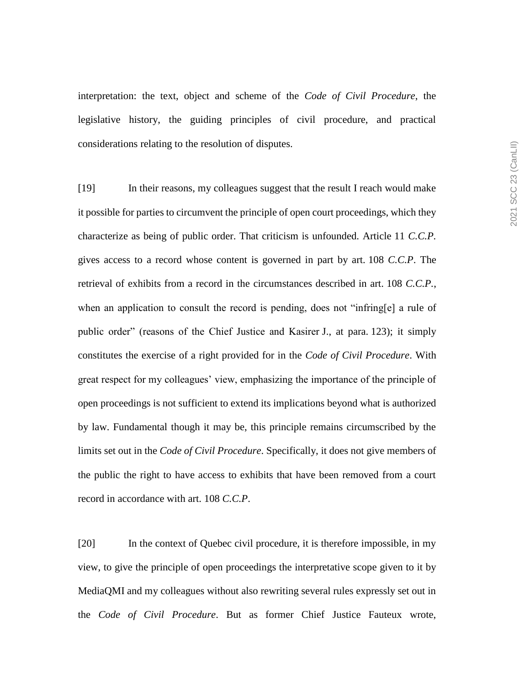interpretation: the text, object and scheme of the *Code of Civil Procedure*, the legislative history, the guiding principles of civil procedure, and practical considerations relating to the resolution of disputes.

[19] In their reasons, my colleagues suggest that the result I reach would make it possible for parties to circumvent the principle of open court proceedings, which they characterize as being of public order. That criticism is unfounded. Article 11 *C.C.P.* gives access to a record whose content is governed in part by art. 108 *C.C.P*. The retrieval of exhibits from a record in the circumstances described in art. 108 *C.C.P.*, when an application to consult the record is pending, does not "infring[e] a rule of public order" (reasons of the Chief Justice and Kasirer J., at para. 123); it simply constitutes the exercise of a right provided for in the *Code of Civil Procedure*. With great respect for my colleagues' view, emphasizing the importance of the principle of open proceedings is not sufficient to extend its implications beyond what is authorized by law. Fundamental though it may be, this principle remains circumscribed by the limits set out in the *Code of Civil Procedure*. Specifically, it does not give members of the public the right to have access to exhibits that have been removed from a court record in accordance with art. 108 *C.C.P*.

[20] In the context of Quebec civil procedure, it is therefore impossible, in my view, to give the principle of open proceedings the interpretative scope given to it by MediaQMI and my colleagues without also rewriting several rules expressly set out in the *Code of Civil Procedure*. But as former Chief Justice Fauteux wrote,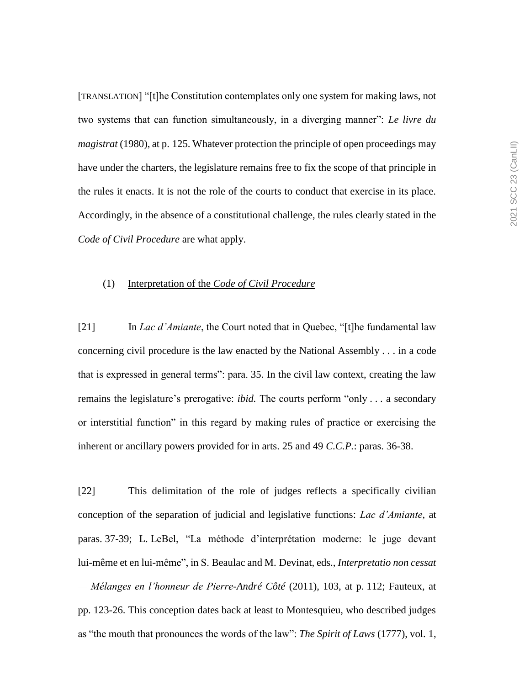[TRANSLATION] "[t]he Constitution contemplates only one system for making laws, not two systems that can function simultaneously, in a diverging manner": *Le livre du magistrat* (1980), at p. 125. Whatever protection the principle of open proceedings may have under the charters, the legislature remains free to fix the scope of that principle in the rules it enacts. It is not the role of the courts to conduct that exercise in its place. Accordingly, in the absence of a constitutional challenge, the rules clearly stated in the *Code of Civil Procedure* are what apply.

#### (1) Interpretation of the *Code of Civil Procedure*

[21] In *Lac d'Amiante*, the Court noted that in Quebec, "[t]he fundamental law concerning civil procedure is the law enacted by the National Assembly . . . in a code that is expressed in general terms": para. 35. In the civil law context, creating the law remains the legislature's prerogative: *ibid.* The courts perform "only . . . a secondary or interstitial function" in this regard by making rules of practice or exercising the inherent or ancillary powers provided for in arts. 25 and 49 *C.C.P.*: paras. 36-38.

[22] This delimitation of the role of judges reflects a specifically civilian conception of the separation of judicial and legislative functions: *Lac d'Amiante*, at paras. 37-39; L. LeBel, "La méthode d'interprétation moderne: le juge devant lui-même et en lui-même", in S. Beaulac and M. Devinat, eds., *Interpretatio non cessat — Mélanges en l'honneur de Pierre-André Côté* (2011), 103, at p. 112; Fauteux, at pp. 123-26. This conception dates back at least to Montesquieu, who described judges as "the mouth that pronounces the words of the law": *The Spirit of Laws* (1777), vol. 1,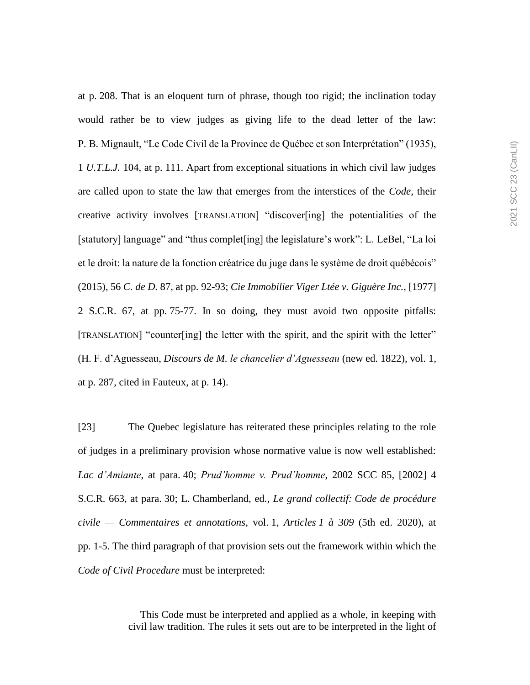at p. 208. That is an eloquent turn of phrase, though too rigid; the inclination today would rather be to view judges as giving life to the dead letter of the law: P. B. Mignault, "Le Code Civil de la Province de Québec et son Interprétation" (1935), 1 *U.T.L.J.* 104, at p. 111. Apart from exceptional situations in which civil law judges are called upon to state the law that emerges from the interstices of the *Code*, their creative activity involves [TRANSLATION] "discover[ing] the potentialities of the [statutory] language" and "thus complet [ing] the legislature's work": L. LeBel, "La loi et le droit: la nature de la fonction créatrice du juge dans le système de droit québécois" (2015), 56 *C. de D.* 87, at pp. 92-93; *Cie Immobilier Viger Ltée v. Giguère Inc.*, [1977] 2 S.C.R. 67, at pp. 75-77. In so doing, they must avoid two opposite pitfalls: [TRANSLATION] "counter[ing] the letter with the spirit, and the spirit with the letter" (H. F. d'Aguesseau, *Discours de M. le chancelier d'Aguesseau* (new ed. 1822), vol. 1, at p. 287, cited in Fauteux, at p. 14).

[23] The Quebec legislature has reiterated these principles relating to the role of judges in a preliminary provision whose normative value is now well established: *Lac d'Amiante*, at para. 40; *Prud'homme v. Prud'homme*, 2002 SCC 85, [2002] 4 S.C.R. 663, at para. 30; L. Chamberland, ed., *Le grand collectif: Code de procédure civile — Commentaires et annotations*, vol. 1, *Articles 1 à 309* (5th ed. 2020), at pp. 1-5. The third paragraph of that provision sets out the framework within which the *Code of Civil Procedure* must be interpreted:

> This Code must be interpreted and applied as a whole, in keeping with civil law tradition. The rules it sets out are to be interpreted in the light of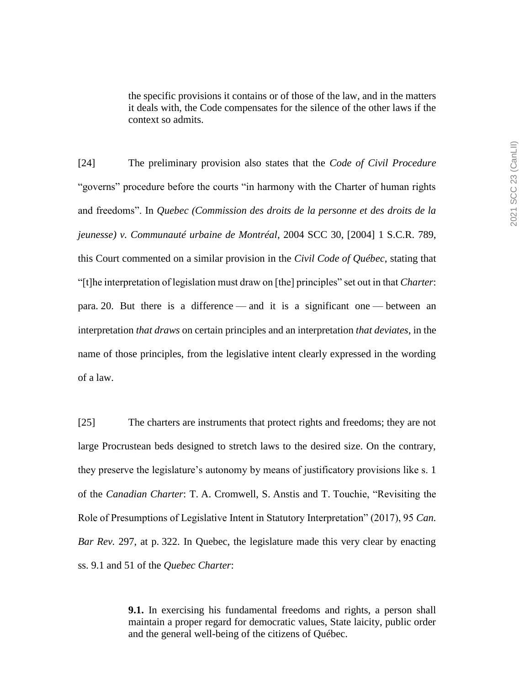the specific provisions it contains or of those of the law, and in the matters it deals with, the Code compensates for the silence of the other laws if the context so admits.

[24] The preliminary provision also states that the *Code of Civil Procedure* "governs" procedure before the courts "in harmony with the Charter of human rights and freedoms". In *Quebec (Commission des droits de la personne et des droits de la jeunesse) v. Communauté urbaine de Montréal*, 2004 SCC 30, [2004] 1 S.C.R. 789, this Court commented on a similar provision in the *Civil Code of Québec*, stating that "[t]he interpretation of legislation must draw on [the] principles" set out in that *Charter*: para. 20. But there is a difference — and it is a significant one — between an interpretation *that draws* on certain principles and an interpretation *that deviates*, in the name of those principles, from the legislative intent clearly expressed in the wording of a law.

[25] The charters are instruments that protect rights and freedoms; they are not large Procrustean beds designed to stretch laws to the desired size. On the contrary, they preserve the legislature's autonomy by means of justificatory provisions like s. 1 of the *Canadian Charter*: T. A. Cromwell, S. Anstis and T. Touchie, "Revisiting the Role of Presumptions of Legislative Intent in Statutory Interpretation" (2017), 95 *Can. Bar Rev.* 297, at p. 322. In Quebec, the legislature made this very clear by enacting ss. 9.1 and 51 of the *Quebec Charter*:

> **9.1.** In exercising his fundamental freedoms and rights, a person shall maintain a proper regard for democratic values, State laicity, public order and the general well-being of the citizens of Québec.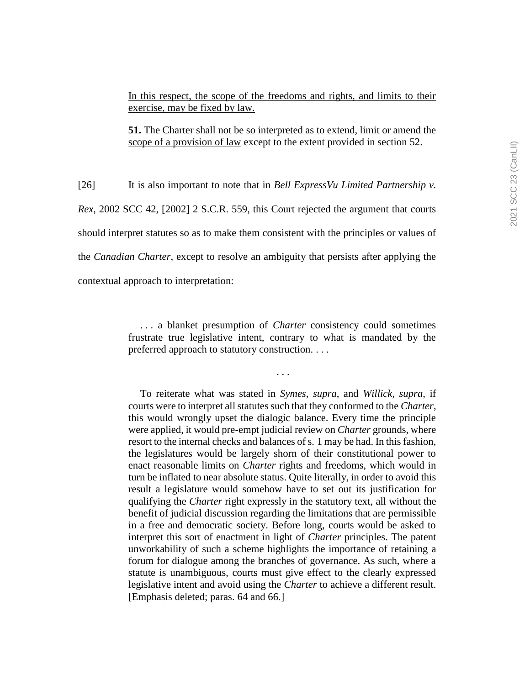In this respect, the scope of the freedoms and rights, and limits to their exercise, may be fixed by law.

**51.** The Charter shall not be so interpreted as to extend, limit or amend the scope of a provision of law except to the extent provided in section 52.

[26] It is also important to note that in *Bell ExpressVu Limited Partnership v. Rex*, 2002 SCC 42, [2002] 2 S.C.R. 559, this Court rejected the argument that courts should interpret statutes so as to make them consistent with the principles or values of the *Canadian Charter*, except to resolve an ambiguity that persists after applying the contextual approach to interpretation:

> . . . a blanket presumption of *Charter* consistency could sometimes frustrate true legislative intent, contrary to what is mandated by the preferred approach to statutory construction. . . .

> > . . .

To reiterate what was stated in *Symes*, *supra*, and *Willick*, *supra*, if courts were to interpret all statutes such that they conformed to the *Charter*, this would wrongly upset the dialogic balance. Every time the principle were applied, it would pre-empt judicial review on *Charter* grounds, where resort to the internal checks and balances of s. 1 may be had. In this fashion, the legislatures would be largely shorn of their constitutional power to enact reasonable limits on *Charter* rights and freedoms, which would in turn be inflated to near absolute status. Quite literally, in order to avoid this result a legislature would somehow have to set out its justification for qualifying the *Charter* right expressly in the statutory text, all without the benefit of judicial discussion regarding the limitations that are permissible in a free and democratic society. Before long, courts would be asked to interpret this sort of enactment in light of *Charter* principles. The patent unworkability of such a scheme highlights the importance of retaining a forum for dialogue among the branches of governance. As such, where a statute is unambiguous, courts must give effect to the clearly expressed legislative intent and avoid using the *Charter* to achieve a different result. [Emphasis deleted; paras. 64 and 66.]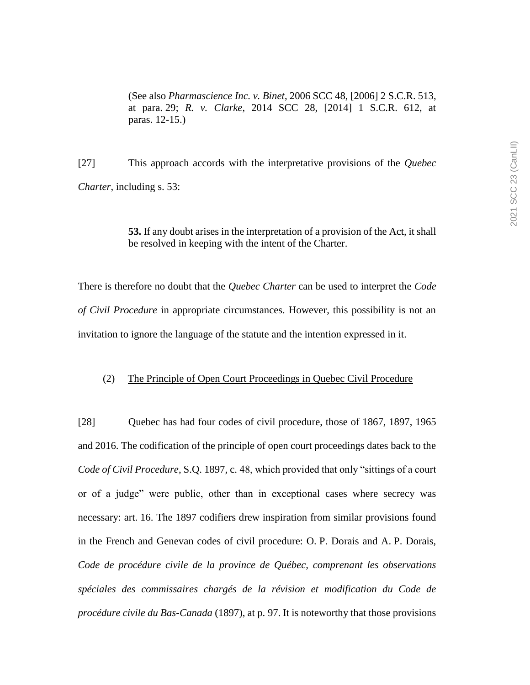(See also *Pharmascience Inc. v. Binet*, 2006 SCC 48, [2006] 2 S.C.R. 513, at para. 29; *R. v. Clarke*, 2014 SCC 28, [2014] 1 S.C.R. 612, at paras. 12-15.)

[27] This approach accords with the interpretative provisions of the *Quebec Charter*, including s. 53:

> **53.** If any doubt arises in the interpretation of a provision of the Act, it shall be resolved in keeping with the intent of the Charter.

There is therefore no doubt that the *Quebec Charter* can be used to interpret the *Code of Civil Procedure* in appropriate circumstances. However, this possibility is not an invitation to ignore the language of the statute and the intention expressed in it.

#### (2) The Principle of Open Court Proceedings in Quebec Civil Procedure

[28] Quebec has had four codes of civil procedure, those of 1867, 1897, 1965 and 2016. The codification of the principle of open court proceedings dates back to the *Code of Civil Procedure*, S.Q. 1897, c. 48, which provided that only "sittings of a court or of a judge" were public, other than in exceptional cases where secrecy was necessary: art. 16. The 1897 codifiers drew inspiration from similar provisions found in the French and Genevan codes of civil procedure: O. P. Dorais and A. P. Dorais, *Code de procédure civile de la province de Québec, comprenant les observations spéciales des commissaires chargés de la révision et modification du Code de procédure civile du Bas-Canada* (1897), at p. 97. It is noteworthy that those provisions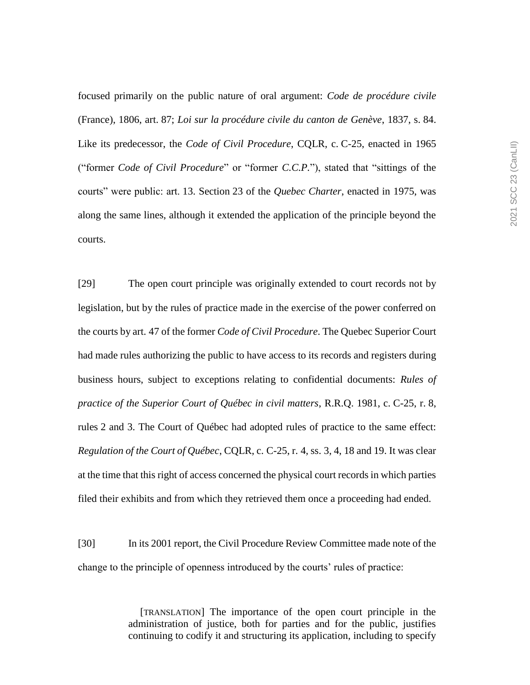focused primarily on the public nature of oral argument: *Code de procédure civile* (France), 1806, art. 87; *Loi sur la procédure civile du canton de Genève*, 1837, s. 84. Like its predecessor, the *Code of Civil Procedure*, CQLR, c. C-25, enacted in 1965 ("former *Code of Civil Procedure*" or "former *C.C.P.*"), stated that "sittings of the courts" were public: art. 13. Section 23 of the *Quebec Charter*, enacted in 1975, was along the same lines, although it extended the application of the principle beyond the courts.

[29] The open court principle was originally extended to court records not by legislation, but by the rules of practice made in the exercise of the power conferred on the courts by art. 47 of the former *Code of Civil Procedure*. The Quebec Superior Court had made rules authorizing the public to have access to its records and registers during business hours, subject to exceptions relating to confidential documents: *Rules of practice of the Superior Court of Québec in civil matters*, R.R.Q. 1981, c. C-25, r. 8, rules 2 and 3. The Court of Québec had adopted rules of practice to the same effect: *Regulation of the Court of Québec*, CQLR, c. C-25, r. 4, ss. 3, 4, 18 and 19. It was clear at the time that this right of access concerned the physical court records in which parties filed their exhibits and from which they retrieved them once a proceeding had ended.

[30] In its 2001 report, the Civil Procedure Review Committee made note of the change to the principle of openness introduced by the courts' rules of practice:

> [TRANSLATION] The importance of the open court principle in the administration of justice, both for parties and for the public, justifies continuing to codify it and structuring its application, including to specify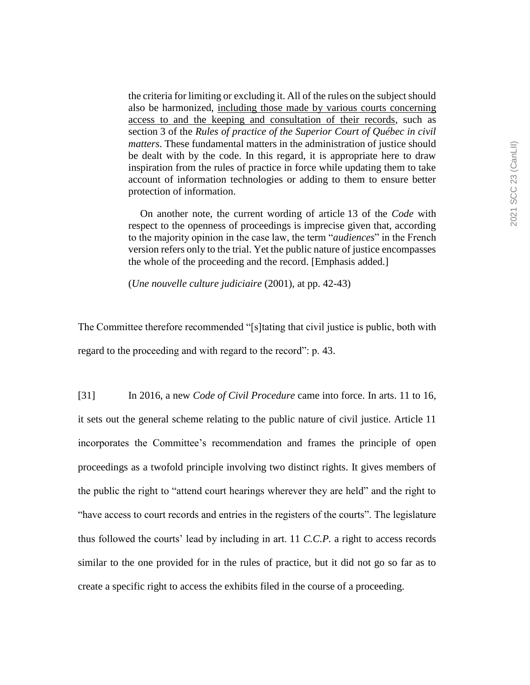the criteria for limiting or excluding it. All of the rules on the subject should also be harmonized, including those made by various courts concerning access to and the keeping and consultation of their records, such as section 3 of the *Rules of practice of the Superior Court of Québec in civil matters*. These fundamental matters in the administration of justice should be dealt with by the code. In this regard, it is appropriate here to draw inspiration from the rules of practice in force while updating them to take account of information technologies or adding to them to ensure better protection of information.

On another note, the current wording of article 13 of the *Code* with respect to the openness of proceedings is imprecise given that, according to the majority opinion in the case law, the term "*audiences*" in the French version refers only to the trial. Yet the public nature of justice encompasses the whole of the proceeding and the record. [Emphasis added.]

(*Une nouvelle culture judiciaire* (2001), at pp. 42-43)

The Committee therefore recommended "[s]tating that civil justice is public, both with regard to the proceeding and with regard to the record": p. 43.

[31] In 2016, a new *Code of Civil Procedure* came into force. In arts. 11 to 16, it sets out the general scheme relating to the public nature of civil justice. Article 11 incorporates the Committee's recommendation and frames the principle of open proceedings as a twofold principle involving two distinct rights. It gives members of the public the right to "attend court hearings wherever they are held" and the right to "have access to court records and entries in the registers of the courts". The legislature thus followed the courts' lead by including in art. 11 *C.C.P.* a right to access records similar to the one provided for in the rules of practice, but it did not go so far as to create a specific right to access the exhibits filed in the course of a proceeding.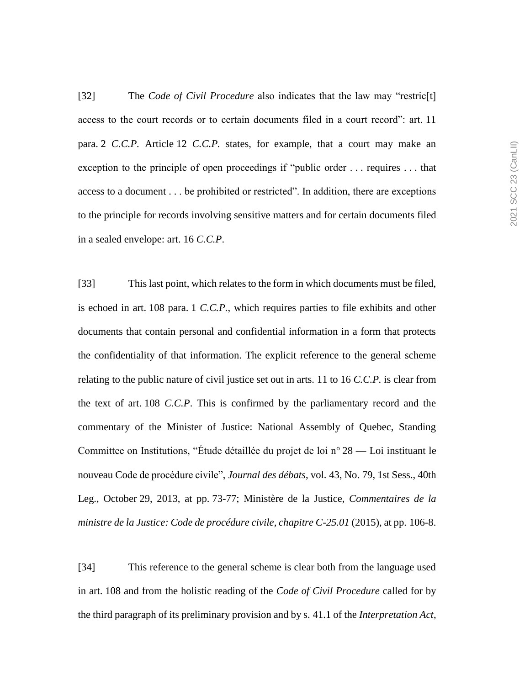[32] The *Code of Civil Procedure* also indicates that the law may "restric[t] access to the court records or to certain documents filed in a court record": art. 11 para. 2 *C.C.P.* Article 12 *C.C.P.* states, for example, that a court may make an exception to the principle of open proceedings if "public order . . . requires . . . that access to a document . . . be prohibited or restricted". In addition, there are exceptions to the principle for records involving sensitive matters and for certain documents filed in a sealed envelope: art. 16 *C.C.P*.

[33] This last point, which relates to the form in which documents must be filed, is echoed in art. 108 para. 1 *C.C.P.*, which requires parties to file exhibits and other documents that contain personal and confidential information in a form that protects the confidentiality of that information. The explicit reference to the general scheme relating to the public nature of civil justice set out in arts. 11 to 16 *C.C.P.* is clear from the text of art. 108 *C.C.P*. This is confirmed by the parliamentary record and the commentary of the Minister of Justice: National Assembly of Quebec, Standing Committee on Institutions, "Étude détaillée du projet de loi  $n^{\circ} 28$  — Loi instituant le nouveau Code de procédure civile", *Journal des débats*, vol. 43, No. 79, 1st Sess., 40th Leg., October 29, 2013, at pp. 73-77; Ministère de la Justice, *Commentaires de la ministre de la Justice: Code de procédure civile, chapitre C-25.01* (2015), at pp. 106-8.

[34] This reference to the general scheme is clear both from the language used in art. 108 and from the holistic reading of the *Code of Civil Procedure* called for by the third paragraph of its preliminary provision and by s. 41.1 of the *Interpretation Act*,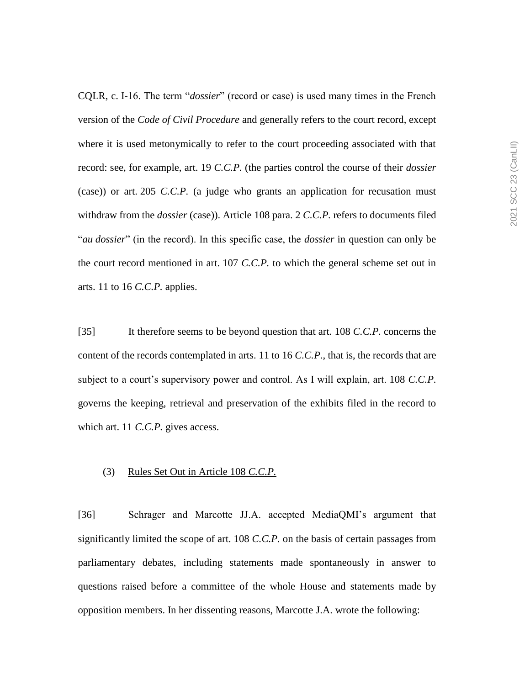CQLR, c. I-16. The term "*dossier*" (record or case) is used many times in the French version of the *Code of Civil Procedure* and generally refers to the court record, except where it is used metonymically to refer to the court proceeding associated with that record: see, for example, art. 19 *C.C.P.* (the parties control the course of their *dossier* (case)) or art. 205 *C.C.P.* (a judge who grants an application for recusation must withdraw from the *dossier* (case)). Article 108 para. 2 *C.C.P.* refers to documents filed "*au dossier*" (in the record). In this specific case, the *dossier* in question can only be the court record mentioned in art. 107 *C.C.P.* to which the general scheme set out in arts. 11 to 16 *C.C.P.* applies.

[35] It therefore seems to be beyond question that art. 108 *C.C.P.* concerns the content of the records contemplated in arts. 11 to 16 *C.C.P.*, that is, the records that are subject to a court's supervisory power and control. As I will explain, art. 108 *C.C.P.* governs the keeping, retrieval and preservation of the exhibits filed in the record to which art. 11 *C.C.P.* gives access.

## (3) Rules Set Out in Article 108 *C.C.P.*

[36] Schrager and Marcotte JJ.A. accepted MediaQMI's argument that significantly limited the scope of art. 108 *C.C.P.* on the basis of certain passages from parliamentary debates, including statements made spontaneously in answer to questions raised before a committee of the whole House and statements made by opposition members. In her dissenting reasons, Marcotte J.A. wrote the following: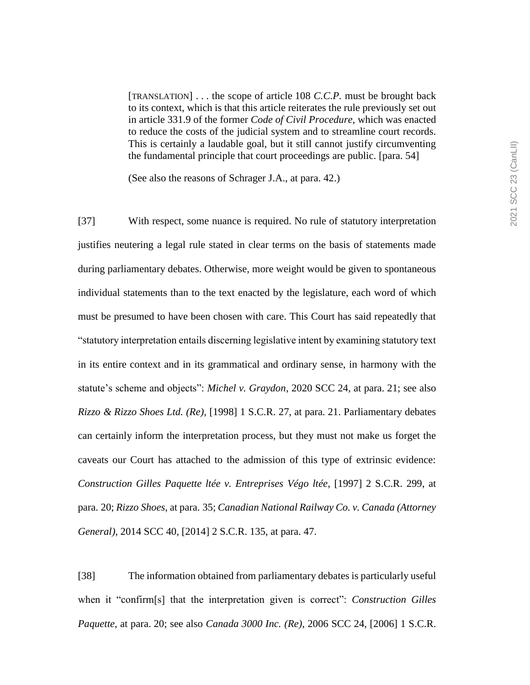[TRANSLATION] . . . the scope of article 108 *C.C.P.* must be brought back to its context, which is that this article reiterates the rule previously set out in article 331.9 of the former *Code of Civil Procedure*, which was enacted to reduce the costs of the judicial system and to streamline court records. This is certainly a laudable goal, but it still cannot justify circumventing the fundamental principle that court proceedings are public. [para. 54]

(See also the reasons of Schrager J.A., at para. 42.)

[37] With respect, some nuance is required. No rule of statutory interpretation justifies neutering a legal rule stated in clear terms on the basis of statements made during parliamentary debates. Otherwise, more weight would be given to spontaneous individual statements than to the text enacted by the legislature, each word of which must be presumed to have been chosen with care. This Court has said repeatedly that "statutory interpretation entails discerning legislative intent by examining statutory text in its entire context and in its grammatical and ordinary sense, in harmony with the statute's scheme and objects": *Michel v. Graydon*, 2020 SCC 24, at para. 21; see also *Rizzo & Rizzo Shoes Ltd. (Re)*, [1998] 1 S.C.R. 27, at para. 21. Parliamentary debates can certainly inform the interpretation process, but they must not make us forget the caveats our Court has attached to the admission of this type of extrinsic evidence: *Construction Gilles Paquette ltée v. Entreprises Végo ltée*, [1997] 2 S.C.R. 299, at para. 20; *Rizzo Shoes*, at para. 35; *Canadian National Railway Co. v. Canada (Attorney General)*, 2014 SCC 40, [2014] 2 S.C.R. 135, at para. 47.

[38] The information obtained from parliamentary debates is particularly useful when it "confirm[s] that the interpretation given is correct": *Construction Gilles Paquette*, at para. 20; see also *Canada 3000 Inc. (Re)*, 2006 SCC 24, [2006] 1 S.C.R.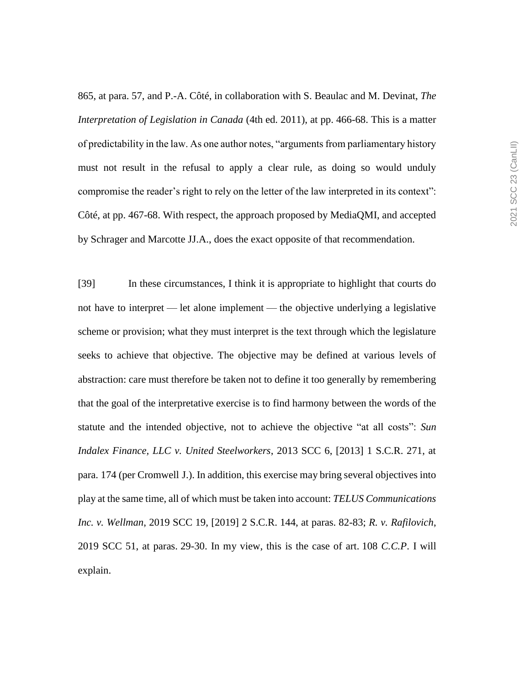865, at para. 57, and P.-A. Côté, in collaboration with S. Beaulac and M. Devinat, *The Interpretation of Legislation in Canada* (4th ed. 2011), at pp. 466-68. This is a matter of predictability in the law. As one author notes, "arguments from parliamentary history must not result in the refusal to apply a clear rule, as doing so would unduly compromise the reader's right to rely on the letter of the law interpreted in its context": Côté, at pp. 467-68. With respect, the approach proposed by MediaQMI, and accepted by Schrager and Marcotte JJ.A., does the exact opposite of that recommendation.

[39] In these circumstances, I think it is appropriate to highlight that courts do not have to interpret — let alone implement — the objective underlying a legislative scheme or provision; what they must interpret is the text through which the legislature seeks to achieve that objective. The objective may be defined at various levels of abstraction: care must therefore be taken not to define it too generally by remembering that the goal of the interpretative exercise is to find harmony between the words of the statute and the intended objective, not to achieve the objective "at all costs": *Sun Indalex Finance, LLC v. United Steelworkers*, 2013 SCC 6, [2013] 1 S.C.R. 271, at para. 174 (per Cromwell J.). In addition, this exercise may bring several objectives into play at the same time, all of which must be taken into account: *TELUS Communications Inc. v. Wellman*, 2019 SCC 19, [2019] 2 S.C.R. 144, at paras. 82-83; *R. v. Rafilovich*, 2019 SCC 51, at paras. 29-30. In my view, this is the case of art. 108 *C.C.P*. I will explain.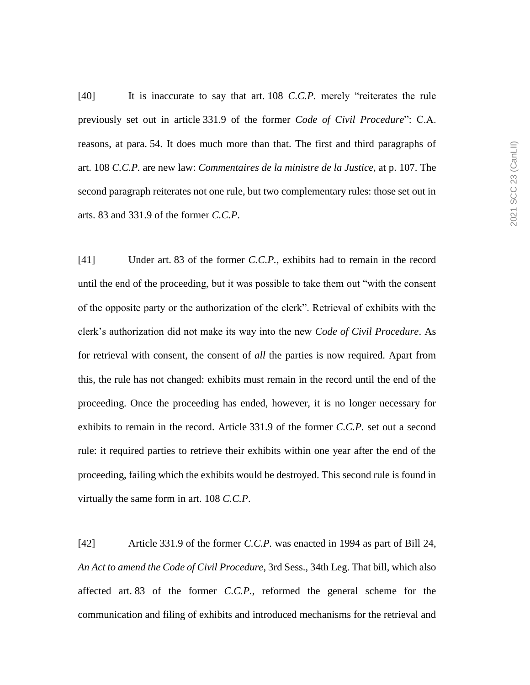[40] It is inaccurate to say that art. 108 *C.C.P.* merely "reiterates the rule previously set out in article 331.9 of the former *Code of Civil Procedure*": C.A. reasons, at para. 54. It does much more than that. The first and third paragraphs of art. 108 *C.C.P.* are new law: *Commentaires de la ministre de la Justice*, at p. 107. The second paragraph reiterates not one rule, but two complementary rules: those set out in arts. 83 and 331.9 of the former *C.C.P*.

[41] Under art. 83 of the former *C.C.P.*, exhibits had to remain in the record until the end of the proceeding, but it was possible to take them out "with the consent of the opposite party or the authorization of the clerk". Retrieval of exhibits with the clerk's authorization did not make its way into the new *Code of Civil Procedure*. As for retrieval with consent, the consent of *all* the parties is now required. Apart from this, the rule has not changed: exhibits must remain in the record until the end of the proceeding. Once the proceeding has ended, however, it is no longer necessary for exhibits to remain in the record. Article 331.9 of the former *C.C.P.* set out a second rule: it required parties to retrieve their exhibits within one year after the end of the proceeding, failing which the exhibits would be destroyed. This second rule is found in virtually the same form in art. 108 *C.C.P*.

[42] Article 331.9 of the former *C.C.P.* was enacted in 1994 as part of Bill 24, *An Act to amend the Code of Civil Procedure*, 3rd Sess., 34th Leg. That bill, which also affected art. 83 of the former *C.C.P.*, reformed the general scheme for the communication and filing of exhibits and introduced mechanisms for the retrieval and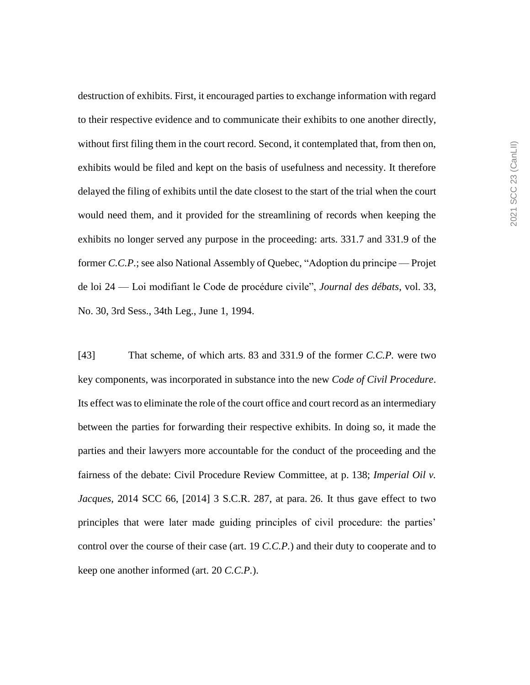destruction of exhibits. First, it encouraged parties to exchange information with regard to their respective evidence and to communicate their exhibits to one another directly, without first filing them in the court record. Second, it contemplated that, from then on, exhibits would be filed and kept on the basis of usefulness and necessity. It therefore delayed the filing of exhibits until the date closest to the start of the trial when the court would need them, and it provided for the streamlining of records when keeping the exhibits no longer served any purpose in the proceeding: arts. 331.7 and 331.9 of the former *C.C.P.*; see also National Assembly of Quebec, "Adoption du principe — Projet de loi 24 — Loi modifiant le Code de procédure civile", *Journal des débats*, vol. 33, No. 30, 3rd Sess., 34th Leg., June 1, 1994.

[43] That scheme, of which arts. 83 and 331.9 of the former *C.C.P.* were two key components, was incorporated in substance into the new *Code of Civil Procedure*. Its effect was to eliminate the role of the court office and court record as an intermediary between the parties for forwarding their respective exhibits. In doing so, it made the parties and their lawyers more accountable for the conduct of the proceeding and the fairness of the debate: Civil Procedure Review Committee, at p. 138; *Imperial Oil v. Jacques*, 2014 SCC 66, [2014] 3 S.C.R. 287, at para. 26. It thus gave effect to two principles that were later made guiding principles of civil procedure: the parties' control over the course of their case (art. 19 *C.C.P.*) and their duty to cooperate and to keep one another informed (art. 20 *C.C.P.*).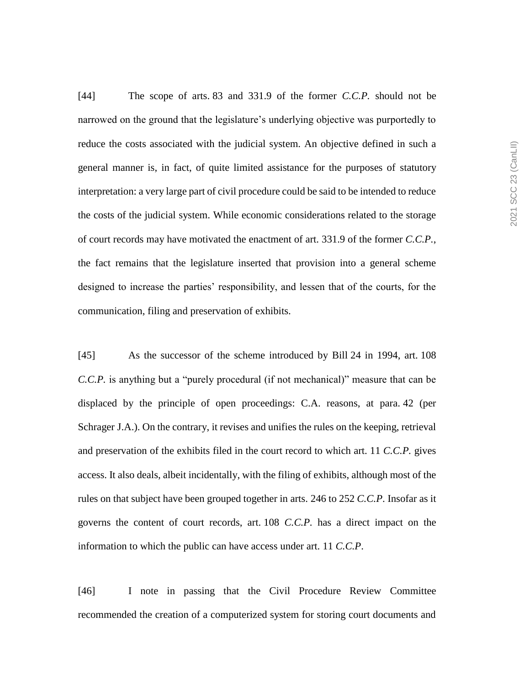[44] The scope of arts. 83 and 331.9 of the former *C.C.P.* should not be narrowed on the ground that the legislature's underlying objective was purportedly to reduce the costs associated with the judicial system. An objective defined in such a general manner is, in fact, of quite limited assistance for the purposes of statutory interpretation: a very large part of civil procedure could be said to be intended to reduce the costs of the judicial system. While economic considerations related to the storage of court records may have motivated the enactment of art. 331.9 of the former *C.C.P.*, the fact remains that the legislature inserted that provision into a general scheme designed to increase the parties' responsibility, and lessen that of the courts, for the communication, filing and preservation of exhibits.

[45] As the successor of the scheme introduced by Bill 24 in 1994, art. 108 *C.C.P.* is anything but a "purely procedural (if not mechanical)" measure that can be displaced by the principle of open proceedings: C.A. reasons, at para. 42 (per Schrager J.A.). On the contrary, it revises and unifies the rules on the keeping, retrieval and preservation of the exhibits filed in the court record to which art. 11 *C.C.P.* gives access. It also deals, albeit incidentally, with the filing of exhibits, although most of the rules on that subject have been grouped together in arts. 246 to 252 *C.C.P*. Insofar as it governs the content of court records, art. 108 *C.C.P.* has a direct impact on the information to which the public can have access under art. 11 *C.C.P*.

[46] I note in passing that the Civil Procedure Review Committee recommended the creation of a computerized system for storing court documents and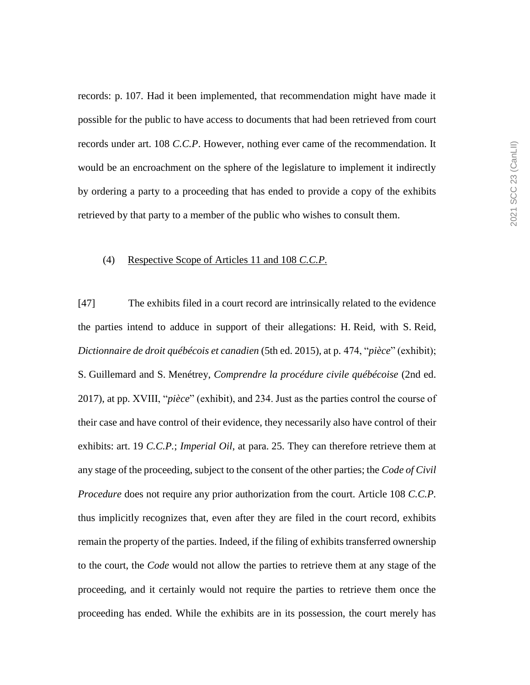records: p. 107. Had it been implemented, that recommendation might have made it possible for the public to have access to documents that had been retrieved from court records under art. 108 *C.C.P*. However, nothing ever came of the recommendation. It would be an encroachment on the sphere of the legislature to implement it indirectly by ordering a party to a proceeding that has ended to provide a copy of the exhibits retrieved by that party to a member of the public who wishes to consult them.

# (4) Respective Scope of Articles 11 and 108 *C.C.P.*

[47] The exhibits filed in a court record are intrinsically related to the evidence the parties intend to adduce in support of their allegations: H. Reid, with S. Reid, *Dictionnaire de droit québécois et canadien* (5th ed. 2015), at p. 474, "*pièce*" (exhibit); S. Guillemard and S. Menétrey, *Comprendre la procédure civile québécoise* (2nd ed. 2017), at pp. XVIII, "*pièce*" (exhibit), and 234. Just as the parties control the course of their case and have control of their evidence, they necessarily also have control of their exhibits: art. 19 *C.C.P.*; *Imperial Oil*, at para. 25. They can therefore retrieve them at any stage of the proceeding, subject to the consent of the other parties; the *Code of Civil Procedure* does not require any prior authorization from the court. Article 108 *C.C.P.* thus implicitly recognizes that, even after they are filed in the court record, exhibits remain the property of the parties. Indeed, if the filing of exhibits transferred ownership to the court, the *Code* would not allow the parties to retrieve them at any stage of the proceeding, and it certainly would not require the parties to retrieve them once the proceeding has ended. While the exhibits are in its possession, the court merely has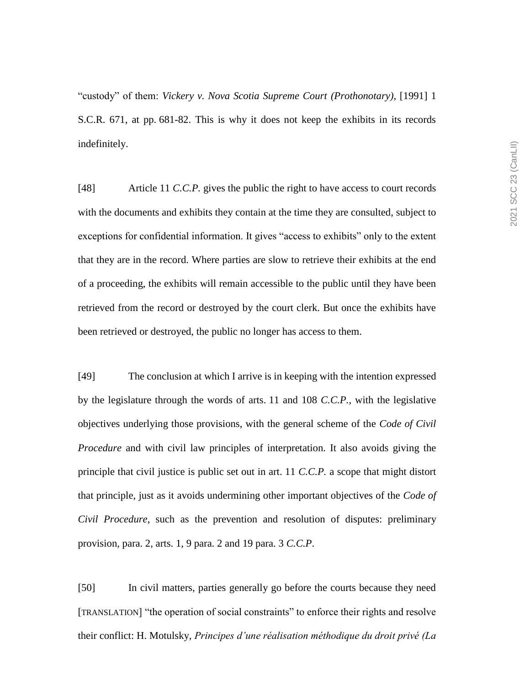"custody" of them: *Vickery v. Nova Scotia Supreme Court (Prothonotary)*, [1991] 1 S.C.R. 671, at pp. 681-82. This is why it does not keep the exhibits in its records indefinitely.

[48] Article 11 *C.C.P.* gives the public the right to have access to court records with the documents and exhibits they contain at the time they are consulted, subject to exceptions for confidential information. It gives "access to exhibits" only to the extent that they are in the record. Where parties are slow to retrieve their exhibits at the end of a proceeding, the exhibits will remain accessible to the public until they have been retrieved from the record or destroyed by the court clerk. But once the exhibits have been retrieved or destroyed, the public no longer has access to them.

[49] The conclusion at which I arrive is in keeping with the intention expressed by the legislature through the words of arts. 11 and 108 *C.C.P.*, with the legislative objectives underlying those provisions, with the general scheme of the *Code of Civil Procedure* and with civil law principles of interpretation. It also avoids giving the principle that civil justice is public set out in art. 11 *C.C.P.* a scope that might distort that principle, just as it avoids undermining other important objectives of the *Code of Civil Procedure*, such as the prevention and resolution of disputes: preliminary provision, para. 2, arts. 1, 9 para. 2 and 19 para. 3 *C.C.P*.

[50] In civil matters, parties generally go before the courts because they need [TRANSLATION] "the operation of social constraints" to enforce their rights and resolve their conflict: H. Motulsky, *Principes d'une réalisation méthodique du droit privé (La*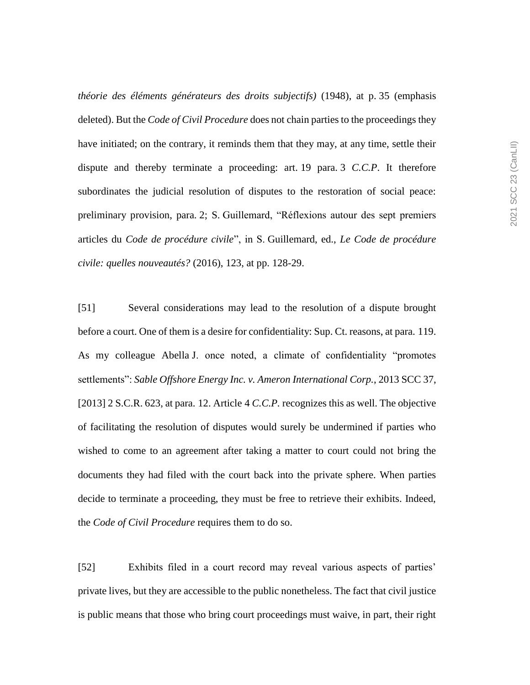*théorie des éléments générateurs des droits subjectifs)* (1948), at p. 35 (emphasis deleted). But the *Code of Civil Procedure* does not chain parties to the proceedings they have initiated; on the contrary, it reminds them that they may, at any time, settle their dispute and thereby terminate a proceeding: art. 19 para. 3 *C.C.P*. It therefore subordinates the judicial resolution of disputes to the restoration of social peace: preliminary provision, para. 2; S. Guillemard, "Réflexions autour des sept premiers articles du *Code de procédure civile*", in S. Guillemard, ed., *Le Code de procédure civile: quelles nouveautés?* (2016), 123, at pp. 128-29.

[51] Several considerations may lead to the resolution of a dispute brought before a court. One of them is a desire for confidentiality: Sup. Ct. reasons, at para. 119. As my colleague Abella J. once noted, a climate of confidentiality "promotes settlements": *Sable Offshore Energy Inc. v. Ameron International Corp.*, 2013 SCC 37, [2013] 2 S.C.R. 623, at para. 12. Article 4 *C.C.P.* recognizes this as well. The objective of facilitating the resolution of disputes would surely be undermined if parties who wished to come to an agreement after taking a matter to court could not bring the documents they had filed with the court back into the private sphere. When parties decide to terminate a proceeding, they must be free to retrieve their exhibits. Indeed, the *Code of Civil Procedure* requires them to do so.

[52] Exhibits filed in a court record may reveal various aspects of parties' private lives, but they are accessible to the public nonetheless. The fact that civil justice is public means that those who bring court proceedings must waive, in part, their right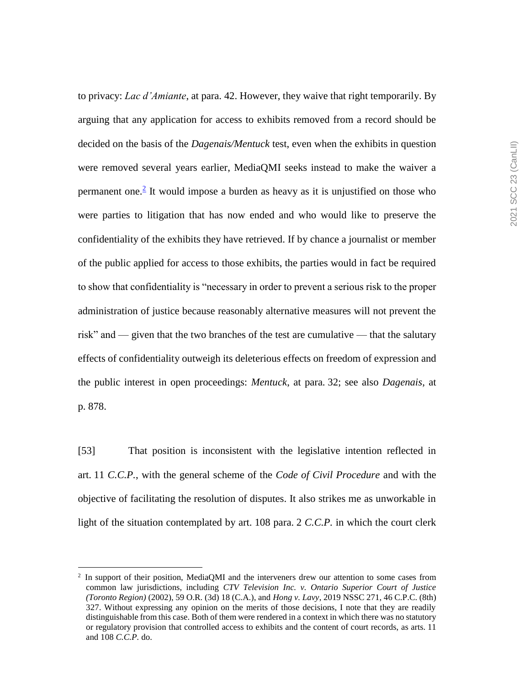to privacy: *Lac d'Amiante*, at para. 42. However, they waive that right temporarily. By arguing that any application for access to exhibits removed from a record should be decided on the basis of the *Dagenais/Mentuck* test, even when the exhibits in question were removed several years earlier, MediaQMI seeks instead to make the waiver a permanent one. $<sup>2</sup>$  It would impose a burden as heavy as it is unjustified on those who</sup> were parties to litigation that has now ended and who would like to preserve the confidentiality of the exhibits they have retrieved. If by chance a journalist or member of the public applied for access to those exhibits, the parties would in fact be required to show that confidentiality is "necessary in order to prevent a serious risk to the proper administration of justice because reasonably alternative measures will not prevent the risk" and — given that the two branches of the test are cumulative — that the salutary effects of confidentiality outweigh its deleterious effects on freedom of expression and the public interest in open proceedings: *Mentuck*, at para. 32; see also *Dagenais*, at p. 878.

[53] That position is inconsistent with the legislative intention reflected in art. 11 *C.C.P.*, with the general scheme of the *Code of Civil Procedure* and with the objective of facilitating the resolution of disputes. It also strikes me as unworkable in light of the situation contemplated by art. 108 para. 2 *C.C.P.* in which the court clerk

 $\overline{a}$ 

<sup>&</sup>lt;sup>2</sup> In support of their position, MediaQMI and the interveners drew our attention to some cases from common law jurisdictions, including *CTV Television Inc. v. Ontario Superior Court of Justice (Toronto Region)* (2002), 59 O.R. (3d) 18 (C.A.), and *Hong v. Lavy*, 2019 NSSC 271, 46 C.P.C. (8th) 327. Without expressing any opinion on the merits of those decisions, I note that they are readily distinguishable from this case. Both of them were rendered in a context in which there was no statutory or regulatory provision that controlled access to exhibits and the content of court records, as arts. 11 and 108 *C.C.P.* do.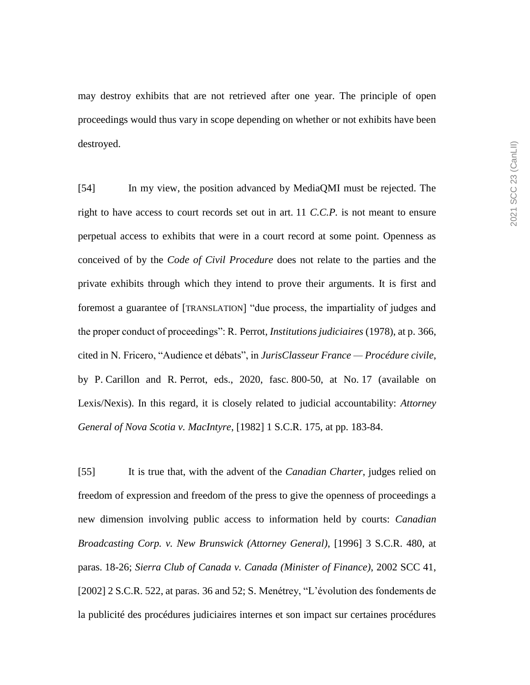may destroy exhibits that are not retrieved after one year. The principle of open proceedings would thus vary in scope depending on whether or not exhibits have been destroyed.

[54] In my view, the position advanced by MediaQMI must be rejected. The right to have access to court records set out in art. 11 *C.C.P.* is not meant to ensure perpetual access to exhibits that were in a court record at some point. Openness as conceived of by the *Code of Civil Procedure* does not relate to the parties and the private exhibits through which they intend to prove their arguments. It is first and foremost a guarantee of [TRANSLATION] "due process, the impartiality of judges and the proper conduct of proceedings": R. Perrot, *Institutions judiciaires* (1978), at p. 366, cited in N. Fricero, "Audience et débats", in *JurisClasseur France — Procédure civile*, by P. Carillon and R. Perrot, eds., 2020, fasc. 800-50, at No. 17 (available on Lexis/Nexis). In this regard, it is closely related to judicial accountability: *Attorney General of Nova Scotia v. MacIntyre*, [1982] 1 S.C.R. 175, at pp. 183-84.

[55] It is true that, with the advent of the *Canadian Charter*, judges relied on freedom of expression and freedom of the press to give the openness of proceedings a new dimension involving public access to information held by courts: *Canadian Broadcasting Corp. v. New Brunswick (Attorney General)*, [1996] 3 S.C.R. 480, at paras. 18-26; *Sierra Club of Canada v. Canada (Minister of Finance)*, 2002 SCC 41, [2002] 2 S.C.R. 522, at paras. 36 and 52; S. Menétrey, "L'évolution des fondements de la publicité des procédures judiciaires internes et son impact sur certaines procédures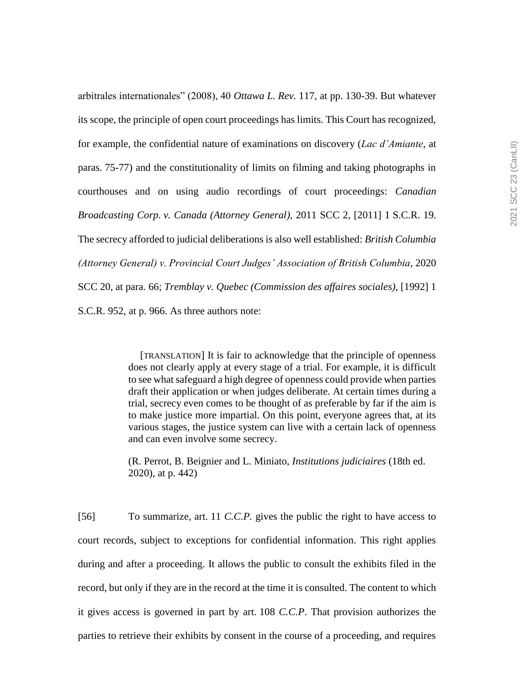arbitrales internationales" (2008), 40 *Ottawa L. Rev.* 117, at pp. 130-39. But whatever its scope, the principle of open court proceedings has limits. This Court has recognized, for example, the confidential nature of examinations on discovery (*Lac d'Amiante*, at paras. 75-77) and the constitutionality of limits on filming and taking photographs in courthouses and on using audio recordings of court proceedings: *Canadian Broadcasting Corp. v. Canada (Attorney General)*, 2011 SCC 2, [2011] 1 S.C.R. 19. The secrecy afforded to judicial deliberations is also well established: *British Columbia (Attorney General) v. Provincial Court Judges' Association of British Columbia*, 2020 SCC 20, at para. 66; *Tremblay v. Quebec (Commission des affaires sociales)*, [1992] 1 S.C.R. 952, at p. 966. As three authors note:

> [TRANSLATION] It is fair to acknowledge that the principle of openness does not clearly apply at every stage of a trial. For example, it is difficult to see what safeguard a high degree of openness could provide when parties draft their application or when judges deliberate. At certain times during a trial, secrecy even comes to be thought of as preferable by far if the aim is to make justice more impartial. On this point, everyone agrees that, at its various stages, the justice system can live with a certain lack of openness and can even involve some secrecy.

(R. Perrot, B. Beignier and L. Miniato, *Institutions judiciaires* (18th ed. 2020), at p. 442)

[56] To summarize, art. 11 *C.C.P.* gives the public the right to have access to court records, subject to exceptions for confidential information. This right applies during and after a proceeding. It allows the public to consult the exhibits filed in the record, but only if they are in the record at the time it is consulted. The content to which it gives access is governed in part by art. 108 *C.C.P*. That provision authorizes the parties to retrieve their exhibits by consent in the course of a proceeding, and requires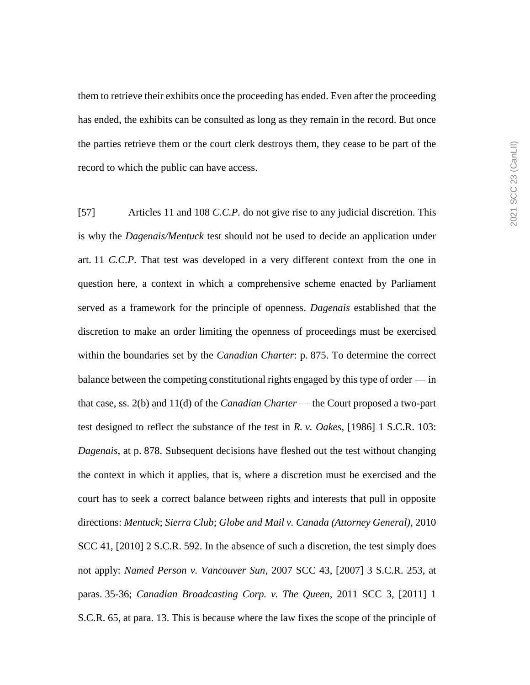them to retrieve their exhibits once the proceeding has ended. Even after the proceeding has ended, the exhibits can be consulted as long as they remain in the record. But once the parties retrieve them or the court clerk destroys them, they cease to be part of the record to which the public can have access.

[57] Articles 11 and 108 *C.C.P.* do not give rise to any judicial discretion. This is why the *Dagenais/Mentuck* test should not be used to decide an application under art. 11 *C.C.P*. That test was developed in a very different context from the one in question here, a context in which a comprehensive scheme enacted by Parliament served as a framework for the principle of openness. *Dagenais* established that the discretion to make an order limiting the openness of proceedings must be exercised within the boundaries set by the *Canadian Charter*: p. 875. To determine the correct balance between the competing constitutional rights engaged by this type of order — in that case, ss. 2(b) and 11(d) of the *Canadian Charter* — the Court proposed a two-part test designed to reflect the substance of the test in *R. v. Oakes*, [1986] 1 S.C.R. 103: *Dagenais*, at p. 878. Subsequent decisions have fleshed out the test without changing the context in which it applies, that is, where a discretion must be exercised and the court has to seek a correct balance between rights and interests that pull in opposite directions: *Mentuck*; *Sierra Club*; *Globe and Mail v. Canada (Attorney General)*, 2010 SCC 41, [2010] 2 S.C.R. 592. In the absence of such a discretion, the test simply does not apply: *Named Person v. Vancouver Sun*, 2007 SCC 43, [2007] 3 S.C.R. 253, at paras. 35-36; *Canadian Broadcasting Corp. v. The Queen*, 2011 SCC 3, [2011] 1 S.C.R. 65, at para. 13. This is because where the law fixes the scope of the principle of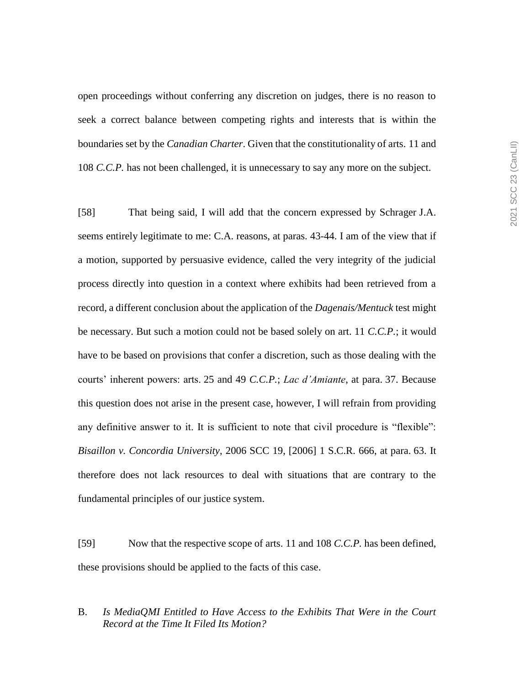open proceedings without conferring any discretion on judges, there is no reason to seek a correct balance between competing rights and interests that is within the boundaries set by the *Canadian Charter*. Given that the constitutionality of arts. 11 and 108 *C.C.P.* has not been challenged, it is unnecessary to say any more on the subject.

[58] That being said, I will add that the concern expressed by Schrager J.A. seems entirely legitimate to me: C.A. reasons, at paras. 43-44. I am of the view that if a motion, supported by persuasive evidence, called the very integrity of the judicial process directly into question in a context where exhibits had been retrieved from a record, a different conclusion about the application of the *Dagenais/Mentuck* test might be necessary. But such a motion could not be based solely on art. 11 *C.C.P.*; it would have to be based on provisions that confer a discretion, such as those dealing with the courts' inherent powers: arts. 25 and 49 *C.C.P.*; *Lac d'Amiante*, at para. 37. Because this question does not arise in the present case, however, I will refrain from providing any definitive answer to it. It is sufficient to note that civil procedure is "flexible": *Bisaillon v. Concordia University*, 2006 SCC 19, [2006] 1 S.C.R. 666, at para. 63. It therefore does not lack resources to deal with situations that are contrary to the fundamental principles of our justice system.

[59] Now that the respective scope of arts. 11 and 108 *C.C.P.* has been defined, these provisions should be applied to the facts of this case.

# B. *Is MediaQMI Entitled to Have Access to the Exhibits That Were in the Court Record at the Time It Filed Its Motion?*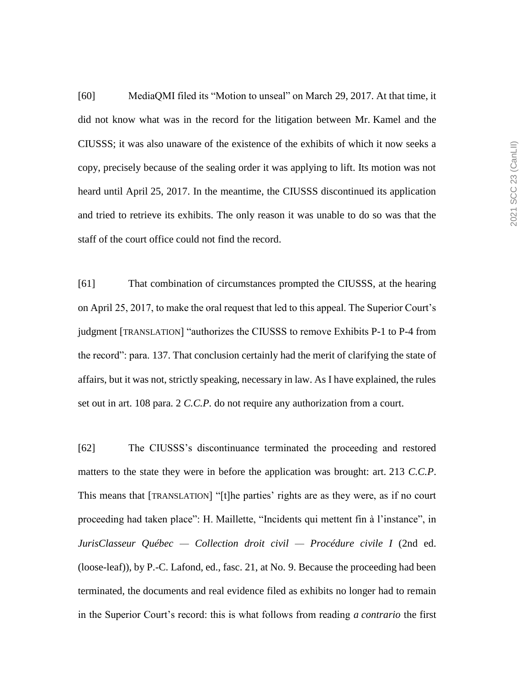[60] MediaQMI filed its "Motion to unseal" on March 29, 2017. At that time, it did not know what was in the record for the litigation between Mr. Kamel and the CIUSSS; it was also unaware of the existence of the exhibits of which it now seeks a copy, precisely because of the sealing order it was applying to lift. Its motion was not heard until April 25, 2017. In the meantime, the CIUSSS discontinued its application and tried to retrieve its exhibits. The only reason it was unable to do so was that the staff of the court office could not find the record.

[61] That combination of circumstances prompted the CIUSSS, at the hearing on April 25, 2017, to make the oral request that led to this appeal. The Superior Court's judgment [TRANSLATION] "authorizes the CIUSSS to remove Exhibits P-1 to P-4 from the record": para. 137. That conclusion certainly had the merit of clarifying the state of affairs, but it was not, strictly speaking, necessary in law. As I have explained, the rules set out in art. 108 para. 2 *C.C.P.* do not require any authorization from a court.

[62] The CIUSSS's discontinuance terminated the proceeding and restored matters to the state they were in before the application was brought: art. 213 *C.C.P*. This means that [TRANSLATION] "[t]he parties' rights are as they were, as if no court proceeding had taken place": H. Maillette, "Incidents qui mettent fin à l'instance", in *JurisClasseur Québec — Collection droit civil — Procédure civile I* (2nd ed. (loose-leaf)), by P.-C. Lafond, ed., fasc. 21, at No. 9. Because the proceeding had been terminated, the documents and real evidence filed as exhibits no longer had to remain in the Superior Court's record: this is what follows from reading *a contrario* the first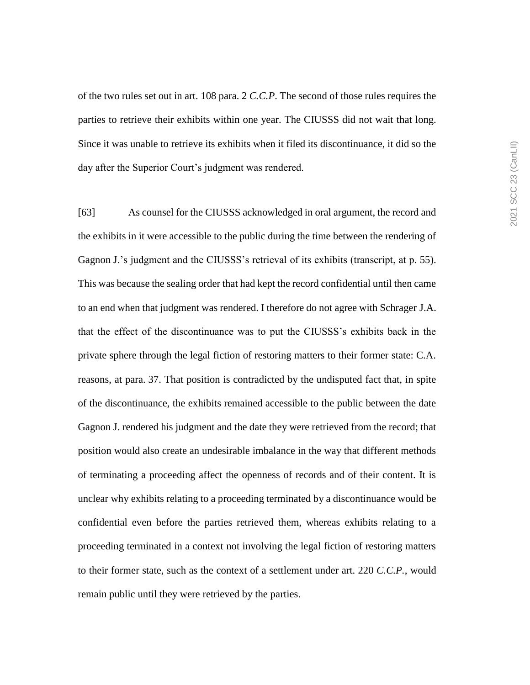of the two rules set out in art. 108 para. 2 *C.C.P*. The second of those rules requires the parties to retrieve their exhibits within one year. The CIUSSS did not wait that long. Since it was unable to retrieve its exhibits when it filed its discontinuance, it did so the day after the Superior Court's judgment was rendered.

[63] As counsel for the CIUSSS acknowledged in oral argument, the record and the exhibits in it were accessible to the public during the time between the rendering of Gagnon J.'s judgment and the CIUSSS's retrieval of its exhibits (transcript, at p. 55). This was because the sealing order that had kept the record confidential until then came to an end when that judgment was rendered. I therefore do not agree with Schrager J.A. that the effect of the discontinuance was to put the CIUSSS's exhibits back in the private sphere through the legal fiction of restoring matters to their former state: C.A. reasons, at para. 37. That position is contradicted by the undisputed fact that, in spite of the discontinuance, the exhibits remained accessible to the public between the date Gagnon J. rendered his judgment and the date they were retrieved from the record; that position would also create an undesirable imbalance in the way that different methods of terminating a proceeding affect the openness of records and of their content. It is unclear why exhibits relating to a proceeding terminated by a discontinuance would be confidential even before the parties retrieved them, whereas exhibits relating to a proceeding terminated in a context not involving the legal fiction of restoring matters to their former state, such as the context of a settlement under art. 220 *C.C.P.*, would remain public until they were retrieved by the parties.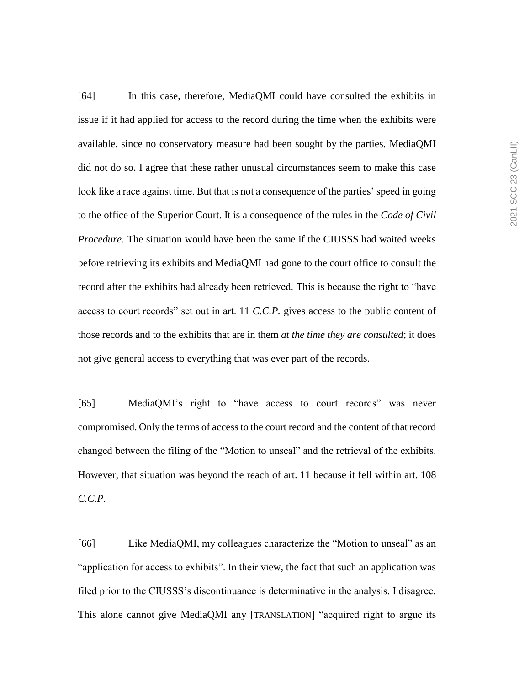[64] In this case, therefore, MediaQMI could have consulted the exhibits in issue if it had applied for access to the record during the time when the exhibits were available, since no conservatory measure had been sought by the parties. MediaQMI did not do so. I agree that these rather unusual circumstances seem to make this case look like a race against time. But that is not a consequence of the parties' speed in going to the office of the Superior Court. It is a consequence of the rules in the *Code of Civil Procedure*. The situation would have been the same if the CIUSSS had waited weeks before retrieving its exhibits and MediaQMI had gone to the court office to consult the record after the exhibits had already been retrieved. This is because the right to "have access to court records" set out in art. 11 *C.C.P.* gives access to the public content of those records and to the exhibits that are in them *at the time they are consulted*; it does not give general access to everything that was ever part of the records.

[65] MediaQMI's right to "have access to court records" was never compromised. Only the terms of access to the court record and the content of that record changed between the filing of the "Motion to unseal" and the retrieval of the exhibits. However, that situation was beyond the reach of art. 11 because it fell within art. 108 *C.C.P*.

[66] Like MediaQMI, my colleagues characterize the "Motion to unseal" as an "application for access to exhibits". In their view, the fact that such an application was filed prior to the CIUSSS's discontinuance is determinative in the analysis. I disagree. This alone cannot give MediaQMI any [TRANSLATION] "acquired right to argue its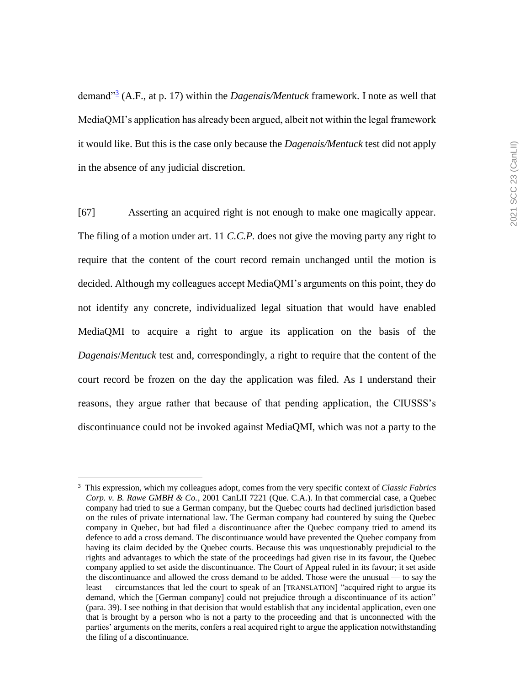demand"<sup>3</sup> (A.F., at p. 17) within the *Dagenais/Mentuck* framework. I note as well that MediaQMI's application has already been argued, albeit not within the legal framework it would like. But this is the case only because the *Dagenais/Mentuck* test did not apply in the absence of any judicial discretion.

[67] Asserting an acquired right is not enough to make one magically appear. The filing of a motion under art. 11 *C.C.P.* does not give the moving party any right to require that the content of the court record remain unchanged until the motion is decided. Although my colleagues accept MediaQMI's arguments on this point, they do not identify any concrete, individualized legal situation that would have enabled MediaQMI to acquire a right to argue its application on the basis of the *Dagenais*/*Mentuck* test and, correspondingly, a right to require that the content of the court record be frozen on the day the application was filed. As I understand their reasons, they argue rather that because of that pending application, the CIUSSS's discontinuance could not be invoked against MediaQMI, which was not a party to the

 $\overline{a}$ 

<sup>3</sup> This expression, which my colleagues adopt, comes from the very specific context of *Classic Fabrics Corp. v. B. Rawe GMBH & Co.*, 2001 CanLII 7221 (Que. C.A.). In that commercial case, a Quebec company had tried to sue a German company, but the Quebec courts had declined jurisdiction based on the rules of private international law. The German company had countered by suing the Quebec company in Quebec, but had filed a discontinuance after the Quebec company tried to amend its defence to add a cross demand. The discontinuance would have prevented the Quebec company from having its claim decided by the Quebec courts. Because this was unquestionably prejudicial to the rights and advantages to which the state of the proceedings had given rise in its favour, the Quebec company applied to set aside the discontinuance. The Court of Appeal ruled in its favour; it set aside the discontinuance and allowed the cross demand to be added. Those were the unusual — to say the least — circumstances that led the court to speak of an [TRANSLATION] "acquired right to argue its demand, which the [German company] could not prejudice through a discontinuance of its action" (para. 39). I see nothing in that decision that would establish that any incidental application, even one that is brought by a person who is not a party to the proceeding and that is unconnected with the parties' arguments on the merits, confers a real acquired right to argue the application notwithstanding the filing of a discontinuance.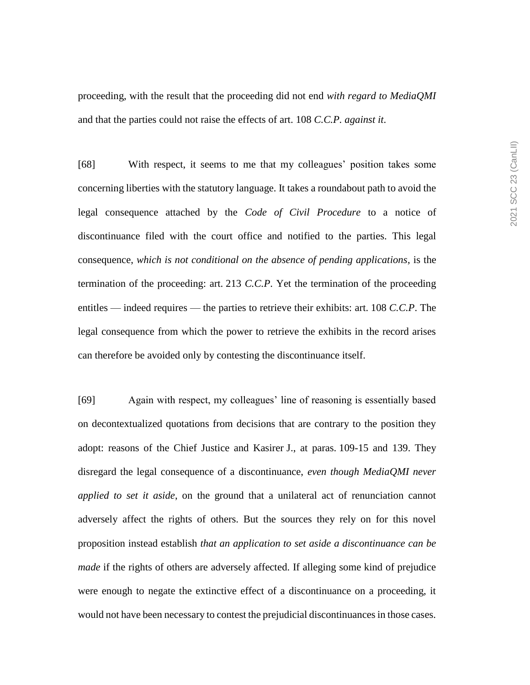proceeding, with the result that the proceeding did not end *with regard to MediaQMI* and that the parties could not raise the effects of art. 108 *C.C.P. against it*.

[68] With respect, it seems to me that my colleagues' position takes some concerning liberties with the statutory language. It takes a roundabout path to avoid the legal consequence attached by the *Code of Civil Procedure* to a notice of discontinuance filed with the court office and notified to the parties. This legal consequence, *which is not conditional on the absence of pending applications*, is the termination of the proceeding: art. 213 *C.C.P*. Yet the termination of the proceeding entitles — indeed requires — the parties to retrieve their exhibits: art. 108 *C.C.P*. The legal consequence from which the power to retrieve the exhibits in the record arises can therefore be avoided only by contesting the discontinuance itself.

[69] Again with respect, my colleagues' line of reasoning is essentially based on decontextualized quotations from decisions that are contrary to the position they adopt: reasons of the Chief Justice and Kasirer J., at paras. 109-15 and 139. They disregard the legal consequence of a discontinuance, *even though MediaQMI never applied to set it aside*, on the ground that a unilateral act of renunciation cannot adversely affect the rights of others. But the sources they rely on for this novel proposition instead establish *that an application to set aside a discontinuance can be made* if the rights of others are adversely affected. If alleging some kind of prejudice were enough to negate the extinctive effect of a discontinuance on a proceeding, it would not have been necessary to contest the prejudicial discontinuances in those cases.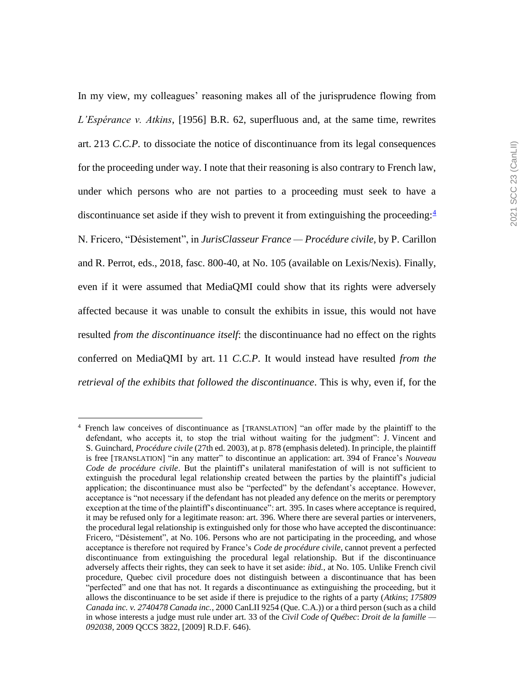In my view, my colleagues' reasoning makes all of the jurisprudence flowing from *L'Espérance v. Atkins*, [1956] B.R. 62, superfluous and, at the same time, rewrites art. 213 *C.C.P.* to dissociate the notice of discontinuance from its legal consequences for the proceeding under way. I note that their reasoning is also contrary to French law, under which persons who are not parties to a proceeding must seek to have a discontinuance set aside if they wish to prevent it from extinguishing the proceeding: $\frac{4}{3}$ N. Fricero, "Désistement", in *JurisClasseur France — Procédure civile*, by P. Carillon and R. Perrot, eds., 2018, fasc. 800-40, at No. 105 (available on Lexis/Nexis). Finally, even if it were assumed that MediaQMI could show that its rights were adversely affected because it was unable to consult the exhibits in issue, this would not have resulted *from the discontinuance itself*: the discontinuance had no effect on the rights conferred on MediaQMI by art. 11 *C.C.P*. It would instead have resulted *from the retrieval of the exhibits that followed the discontinuance*. This is why, even if, for the

 $\overline{a}$ 4

French law conceives of discontinuance as [TRANSLATION] "an offer made by the plaintiff to the defendant, who accepts it, to stop the trial without waiting for the judgment": J. Vincent and S. Guinchard, *Procédure civile* (27th ed. 2003), at p. 878 (emphasis deleted). In principle, the plaintiff is free [TRANSLATION] "in any matter" to discontinue an application: art. 394 of France's *Nouveau Code de procédure civile*. But the plaintiff's unilateral manifestation of will is not sufficient to extinguish the procedural legal relationship created between the parties by the plaintiff's judicial application; the discontinuance must also be "perfected" by the defendant's acceptance. However, acceptance is "not necessary if the defendant has not pleaded any defence on the merits or peremptory exception at the time of the plaintiff's discontinuance": art. 395. In cases where acceptance is required, it may be refused only for a legitimate reason: art. 396. Where there are several parties or interveners, the procedural legal relationship is extinguished only for those who have accepted the discontinuance: Fricero, "Désistement", at No. 106. Persons who are not participating in the proceeding, and whose acceptance is therefore not required by France's *Code de procédure civile*, cannot prevent a perfected discontinuance from extinguishing the procedural legal relationship. But if the discontinuance adversely affects their rights, they can seek to have it set aside: *ibid.*, at No. 105. Unlike French civil procedure, Quebec civil procedure does not distinguish between a discontinuance that has been "perfected" and one that has not. It regards a discontinuance as extinguishing the proceeding, but it allows the discontinuance to be set aside if there is prejudice to the rights of a party (*Atkins*; *175809 Canada inc. v. 2740478 Canada inc.*, 2000 CanLII 9254 (Que. C.A.)) or a third person (such as a child in whose interests a judge must rule under art. 33 of the *Civil Code of Québec*: *Droit de la famille — 092038*, 2009 QCCS 3822, [2009] R.D.F. 646).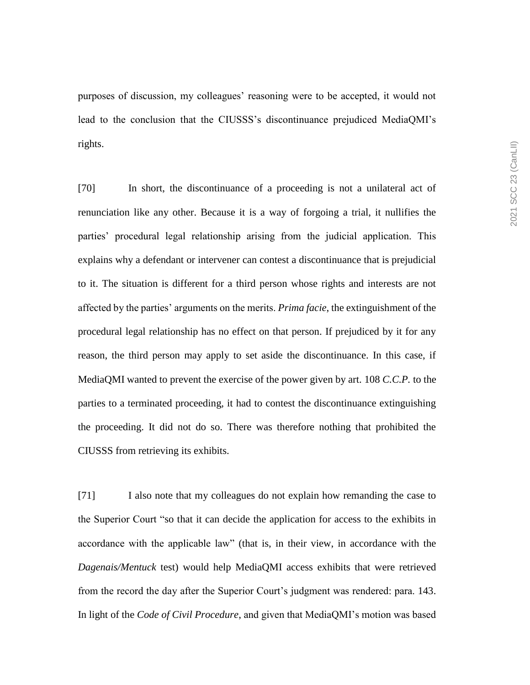purposes of discussion, my colleagues' reasoning were to be accepted, it would not lead to the conclusion that the CIUSSS's discontinuance prejudiced MediaQMI's rights.

[70] In short, the discontinuance of a proceeding is not a unilateral act of renunciation like any other. Because it is a way of forgoing a trial, it nullifies the parties' procedural legal relationship arising from the judicial application. This explains why a defendant or intervener can contest a discontinuance that is prejudicial to it. The situation is different for a third person whose rights and interests are not affected by the parties' arguments on the merits. *Prima facie*, the extinguishment of the procedural legal relationship has no effect on that person. If prejudiced by it for any reason, the third person may apply to set aside the discontinuance. In this case, if MediaQMI wanted to prevent the exercise of the power given by art. 108 *C.C.P.* to the parties to a terminated proceeding, it had to contest the discontinuance extinguishing the proceeding. It did not do so. There was therefore nothing that prohibited the CIUSSS from retrieving its exhibits.

[71] I also note that my colleagues do not explain how remanding the case to the Superior Court "so that it can decide the application for access to the exhibits in accordance with the applicable law" (that is, in their view, in accordance with the *Dagenais/Mentuck* test) would help MediaQMI access exhibits that were retrieved from the record the day after the Superior Court's judgment was rendered: para. 143. In light of the *Code of Civil Procedure*, and given that MediaQMI's motion was based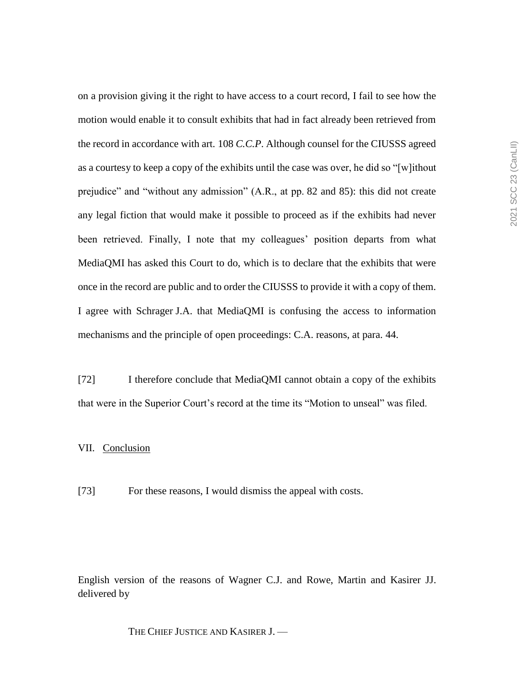on a provision giving it the right to have access to a court record, I fail to see how the motion would enable it to consult exhibits that had in fact already been retrieved from the record in accordance with art. 108 *C.C.P*. Although counsel for the CIUSSS agreed as a courtesy to keep a copy of the exhibits until the case was over, he did so "[w]ithout prejudice" and "without any admission" (A.R., at pp. 82 and 85): this did not create any legal fiction that would make it possible to proceed as if the exhibits had never been retrieved. Finally, I note that my colleagues' position departs from what MediaQMI has asked this Court to do, which is to declare that the exhibits that were once in the record are public and to order the CIUSSS to provide it with a copy of them. I agree with Schrager J.A. that MediaQMI is confusing the access to information mechanisms and the principle of open proceedings: C.A. reasons, at para. 44.

[72] I therefore conclude that MediaQMI cannot obtain a copy of the exhibits that were in the Superior Court's record at the time its "Motion to unseal" was filed.

# VII. Conclusion

[73] For these reasons, I would dismiss the appeal with costs.

English version of the reasons of Wagner C.J. and Rowe, Martin and Kasirer JJ. delivered by

THE CHIEF JUSTICE AND KASIRER J. —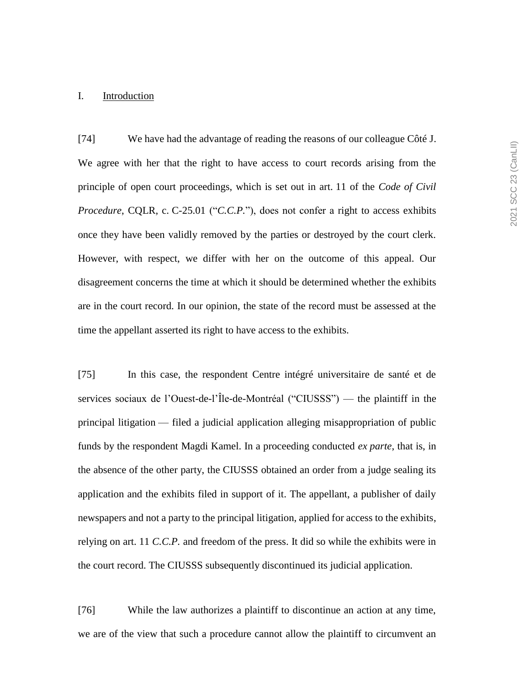#### I. Introduction

[74] We have had the advantage of reading the reasons of our colleague Côté J. We agree with her that the right to have access to court records arising from the principle of open court proceedings, which is set out in art. 11 of the *Code of Civil Procedure*, CQLR, c. C-25.01 ("*C.C.P.*"), does not confer a right to access exhibits once they have been validly removed by the parties or destroyed by the court clerk. However, with respect, we differ with her on the outcome of this appeal. Our disagreement concerns the time at which it should be determined whether the exhibits are in the court record. In our opinion, the state of the record must be assessed at the time the appellant asserted its right to have access to the exhibits.

[75] In this case, the respondent Centre intégré universitaire de santé et de services sociaux de l'Ouest-de-l'Île-de-Montréal ("CIUSSS") — the plaintiff in the principal litigation — filed a judicial application alleging misappropriation of public funds by the respondent Magdi Kamel. In a proceeding conducted *ex parte*, that is, in the absence of the other party, the CIUSSS obtained an order from a judge sealing its application and the exhibits filed in support of it. The appellant, a publisher of daily newspapers and not a party to the principal litigation, applied for access to the exhibits, relying on art. 11 *C.C.P.* and freedom of the press. It did so while the exhibits were in the court record. The CIUSSS subsequently discontinued its judicial application.

[76] While the law authorizes a plaintiff to discontinue an action at any time, we are of the view that such a procedure cannot allow the plaintiff to circumvent an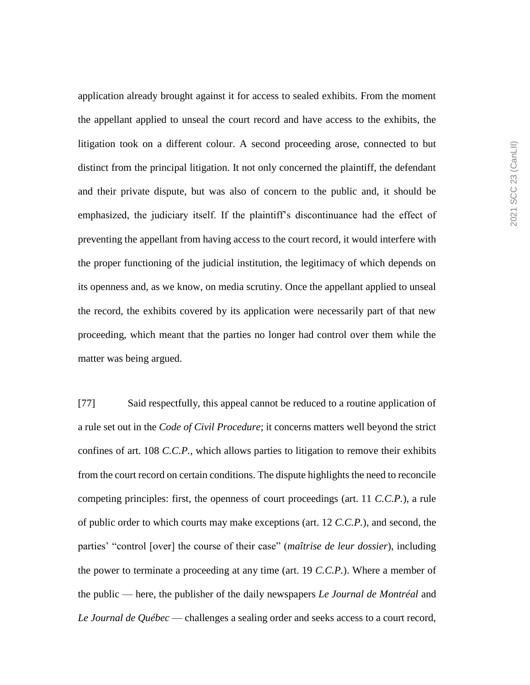application already brought against it for access to sealed exhibits. From the moment the appellant applied to unseal the court record and have access to the exhibits, the litigation took on a different colour. A second proceeding arose, connected to but distinct from the principal litigation. It not only concerned the plaintiff, the defendant and their private dispute, but was also of concern to the public and, it should be emphasized, the judiciary itself. If the plaintiff's discontinuance had the effect of preventing the appellant from having access to the court record, it would interfere with the proper functioning of the judicial institution, the legitimacy of which depends on its openness and, as we know, on media scrutiny. Once the appellant applied to unseal the record, the exhibits covered by its application were necessarily part of that new proceeding, which meant that the parties no longer had control over them while the matter was being argued.

[77] Said respectfully, this appeal cannot be reduced to a routine application of a rule set out in the *Code of Civil Procedure*; it concerns matters well beyond the strict confines of art. 108 *C.C.P.*, which allows parties to litigation to remove their exhibits from the court record on certain conditions. The dispute highlights the need to reconcile competing principles: first, the openness of court proceedings (art. 11 *C.C.P.*), a rule of public order to which courts may make exceptions (art. 12 *C.C.P.*), and second, the parties' "control [over] the course of their case" (*maîtrise de leur dossier*), including the power to terminate a proceeding at any time (art. 19 *C.C.P.*). Where a member of the public — here, the publisher of the daily newspapers *Le Journal de Montréal* and *Le Journal de Québec* — challenges a sealing order and seeks access to a court record,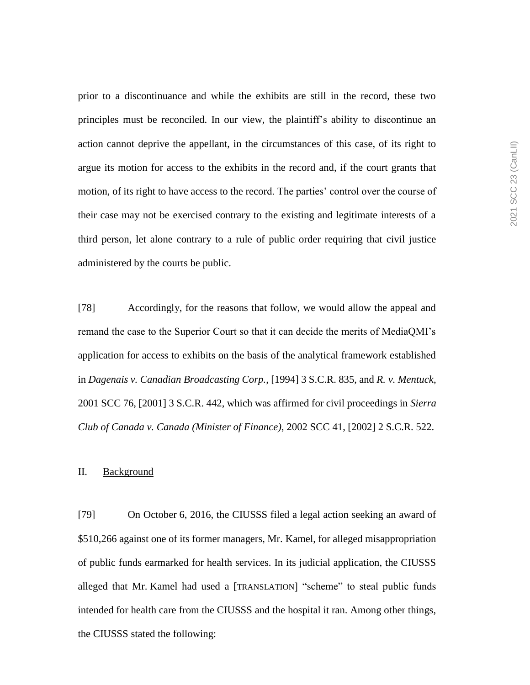prior to a discontinuance and while the exhibits are still in the record, these two principles must be reconciled. In our view, the plaintiff's ability to discontinue an action cannot deprive the appellant, in the circumstances of this case, of its right to argue its motion for access to the exhibits in the record and, if the court grants that motion, of its right to have access to the record. The parties' control over the course of their case may not be exercised contrary to the existing and legitimate interests of a third person, let alone contrary to a rule of public order requiring that civil justice administered by the courts be public.

[78] Accordingly, for the reasons that follow, we would allow the appeal and remand the case to the Superior Court so that it can decide the merits of MediaQMI's application for access to exhibits on the basis of the analytical framework established in *Dagenais v. Canadian Broadcasting Corp.*, [1994] 3 S.C.R. 835, and *R. v. Mentuck*, 2001 SCC 76, [2001] 3 S.C.R. 442, which was affirmed for civil proceedings in *Sierra Club of Canada v. Canada (Minister of Finance)*, 2002 SCC 41, [2002] 2 S.C.R. 522.

# II. Background

[79] On October 6, 2016, the CIUSSS filed a legal action seeking an award of \$510,266 against one of its former managers, Mr. Kamel, for alleged misappropriation of public funds earmarked for health services. In its judicial application, the CIUSSS alleged that Mr. Kamel had used a [TRANSLATION] "scheme" to steal public funds intended for health care from the CIUSSS and the hospital it ran. Among other things, the CIUSSS stated the following: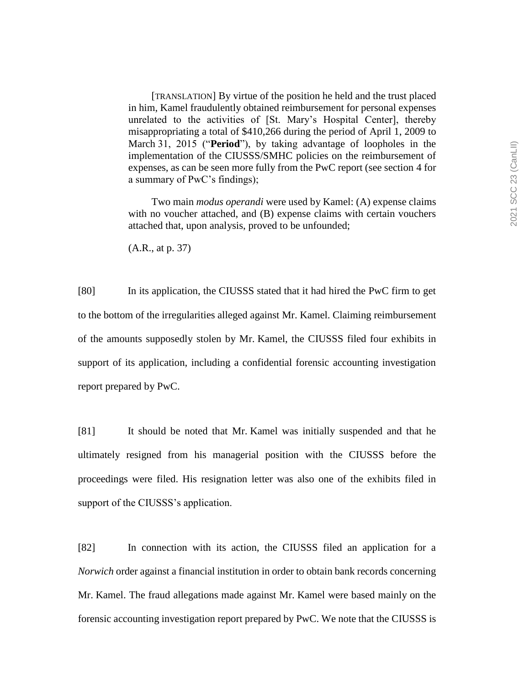[TRANSLATION] By virtue of the position he held and the trust placed in him, Kamel fraudulently obtained reimbursement for personal expenses unrelated to the activities of [St. Mary's Hospital Center], thereby misappropriating a total of \$410,266 during the period of April 1, 2009 to March 31, 2015 ("**Period**"), by taking advantage of loopholes in the implementation of the CIUSSS/SMHC policies on the reimbursement of expenses, as can be seen more fully from the PwC report (see section 4 for a summary of PwC's findings);

Two main *modus operandi* were used by Kamel: (A) expense claims with no voucher attached, and (B) expense claims with certain vouchers attached that, upon analysis, proved to be unfounded;

(A.R., at p. 37)

[80] In its application, the CIUSSS stated that it had hired the PwC firm to get to the bottom of the irregularities alleged against Mr. Kamel. Claiming reimbursement of the amounts supposedly stolen by Mr. Kamel, the CIUSSS filed four exhibits in support of its application, including a confidential forensic accounting investigation report prepared by PwC.

[81] It should be noted that Mr. Kamel was initially suspended and that he ultimately resigned from his managerial position with the CIUSSS before the proceedings were filed. His resignation letter was also one of the exhibits filed in support of the CIUSSS's application.

[82] In connection with its action, the CIUSSS filed an application for a *Norwich* order against a financial institution in order to obtain bank records concerning Mr. Kamel. The fraud allegations made against Mr. Kamel were based mainly on the forensic accounting investigation report prepared by PwC. We note that the CIUSSS is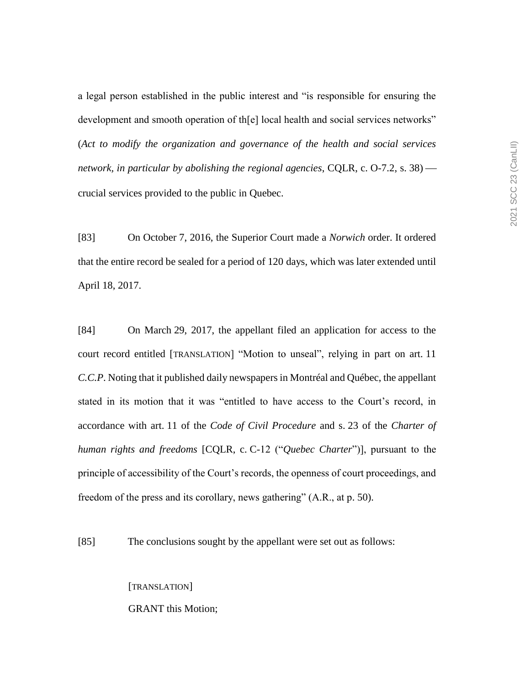a legal person established in the public interest and "is responsible for ensuring the development and smooth operation of th[e] local health and social services networks" (*Act to modify the organization and governance of the health and social services network, in particular by abolishing the regional agencies*, CQLR, c. O-7.2, s. 38) crucial services provided to the public in Quebec.

[83] On October 7, 2016, the Superior Court made a *Norwich* order. It ordered that the entire record be sealed for a period of 120 days, which was later extended until April 18, 2017.

[84] On March 29, 2017, the appellant filed an application for access to the court record entitled [TRANSLATION] "Motion to unseal", relying in part on art. 11 *C.C.P*. Noting that it published daily newspapers in Montréal and Québec, the appellant stated in its motion that it was "entitled to have access to the Court's record, in accordance with art. 11 of the *Code of Civil Procedure* and s. 23 of the *Charter of human rights and freedoms* [CQLR, c. C-12 ("*Quebec Charter*")], pursuant to the principle of accessibility of the Court's records, the openness of court proceedings, and freedom of the press and its corollary, news gathering" (A.R., at p. 50).

[85] The conclusions sought by the appellant were set out as follows:

[TRANSLATION] GRANT this Motion;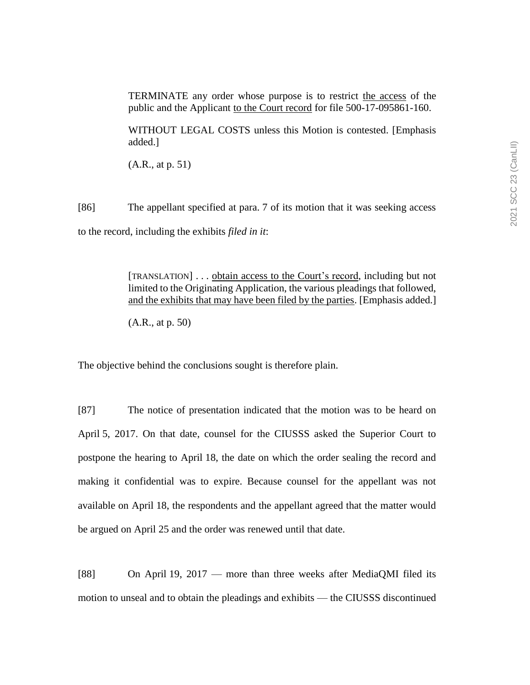TERMINATE any order whose purpose is to restrict the access of the public and the Applicant to the Court record for file 500-17-095861-160.

WITHOUT LEGAL COSTS unless this Motion is contested. [Emphasis added.]

(A.R., at p. 51)

[86] The appellant specified at para. 7 of its motion that it was seeking access to the record, including the exhibits *filed in it*:

> [TRANSLATION] . . . obtain access to the Court's record, including but not limited to the Originating Application, the various pleadings that followed, and the exhibits that may have been filed by the parties. [Emphasis added.]

(A.R., at p. 50)

The objective behind the conclusions sought is therefore plain.

[87] The notice of presentation indicated that the motion was to be heard on April 5, 2017. On that date, counsel for the CIUSSS asked the Superior Court to postpone the hearing to April 18, the date on which the order sealing the record and making it confidential was to expire. Because counsel for the appellant was not available on April 18, the respondents and the appellant agreed that the matter would be argued on April 25 and the order was renewed until that date.

[88] On April 19, 2017 — more than three weeks after MediaQMI filed its motion to unseal and to obtain the pleadings and exhibits — the CIUSSS discontinued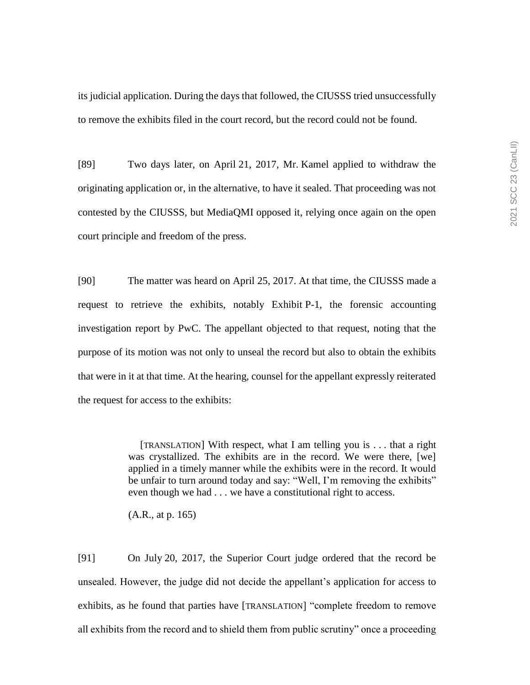its judicial application. During the days that followed, the CIUSSS tried unsuccessfully to remove the exhibits filed in the court record, but the record could not be found.

[89] Two days later, on April 21, 2017, Mr. Kamel applied to withdraw the originating application or, in the alternative, to have it sealed. That proceeding was not contested by the CIUSSS, but MediaQMI opposed it, relying once again on the open court principle and freedom of the press.

[90] The matter was heard on April 25, 2017. At that time, the CIUSSS made a request to retrieve the exhibits, notably Exhibit P-1, the forensic accounting investigation report by PwC. The appellant objected to that request, noting that the purpose of its motion was not only to unseal the record but also to obtain the exhibits that were in it at that time. At the hearing, counsel for the appellant expressly reiterated the request for access to the exhibits:

> [TRANSLATION] With respect, what I am telling you is . . . that a right was crystallized. The exhibits are in the record. We were there, [we] applied in a timely manner while the exhibits were in the record. It would be unfair to turn around today and say: "Well, I'm removing the exhibits" even though we had . . . we have a constitutional right to access.

(A.R., at p. 165)

[91] On July 20, 2017, the Superior Court judge ordered that the record be unsealed. However, the judge did not decide the appellant's application for access to exhibits, as he found that parties have [TRANSLATION] "complete freedom to remove all exhibits from the record and to shield them from public scrutiny" once a proceeding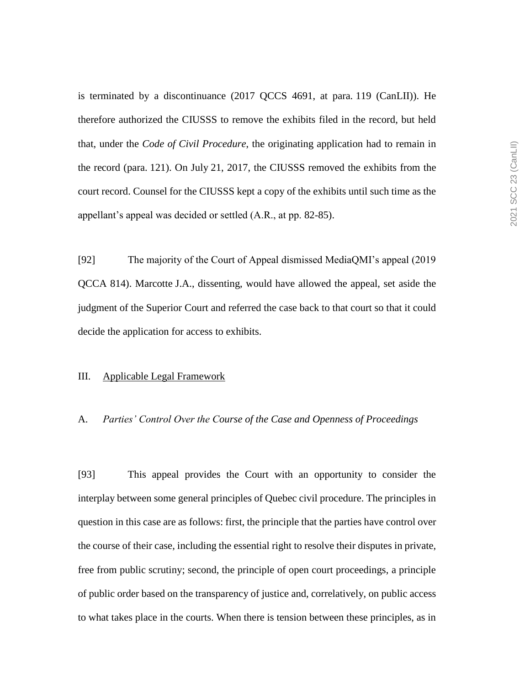is terminated by a discontinuance (2017 QCCS 4691, at para. 119 (CanLII)). He therefore authorized the CIUSSS to remove the exhibits filed in the record, but held that, under the *Code of Civil Procedure*, the originating application had to remain in the record (para. 121). On July 21, 2017, the CIUSSS removed the exhibits from the court record. Counsel for the CIUSSS kept a copy of the exhibits until such time as the appellant's appeal was decided or settled (A.R., at pp. 82-85).

[92] The majority of the Court of Appeal dismissed MediaQMI's appeal (2019 QCCA 814). Marcotte J.A., dissenting, would have allowed the appeal, set aside the judgment of the Superior Court and referred the case back to that court so that it could decide the application for access to exhibits.

## III. Applicable Legal Framework

## A. *Parties' Control Over the Course of the Case and Openness of Proceedings*

[93] This appeal provides the Court with an opportunity to consider the interplay between some general principles of Quebec civil procedure. The principles in question in this case are as follows: first, the principle that the parties have control over the course of their case, including the essential right to resolve their disputes in private, free from public scrutiny; second, the principle of open court proceedings, a principle of public order based on the transparency of justice and, correlatively, on public access to what takes place in the courts. When there is tension between these principles, as in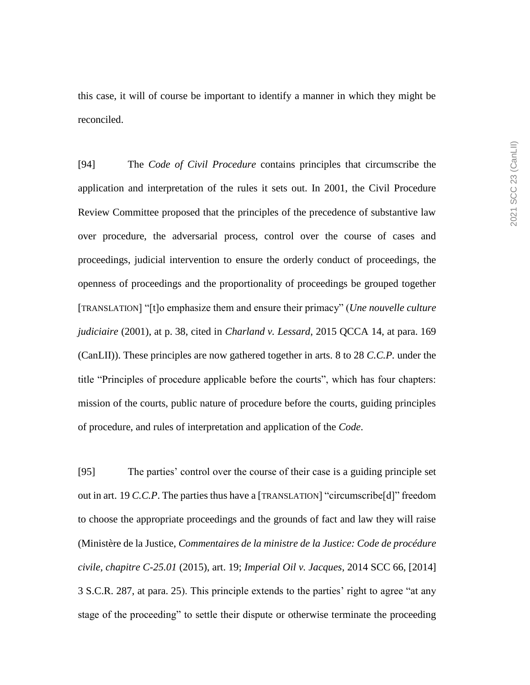this case, it will of course be important to identify a manner in which they might be reconciled.

[94] The *Code of Civil Procedure* contains principles that circumscribe the application and interpretation of the rules it sets out. In 2001, the Civil Procedure Review Committee proposed that the principles of the precedence of substantive law over procedure, the adversarial process, control over the course of cases and proceedings, judicial intervention to ensure the orderly conduct of proceedings, the openness of proceedings and the proportionality of proceedings be grouped together [TRANSLATION] "[t]o emphasize them and ensure their primacy" (*Une nouvelle culture judiciaire* (2001), at p. 38, cited in *Charland v. Lessard*, 2015 QCCA 14, at para. 169 (CanLII)). These principles are now gathered together in arts. 8 to 28 *C.C.P.* under the title "Principles of procedure applicable before the courts", which has four chapters: mission of the courts, public nature of procedure before the courts, guiding principles of procedure, and rules of interpretation and application of the *Code*.

[95] The parties' control over the course of their case is a guiding principle set out in art. 19 *C.C.P*. The parties thus have a [TRANSLATION] "circumscribe[d]" freedom to choose the appropriate proceedings and the grounds of fact and law they will raise (Ministère de la Justice, *Commentaires de la ministre de la Justice: Code de procédure civile, chapitre C-25.01* (2015), art. 19; *Imperial Oil v. Jacques*, 2014 SCC 66, [2014] 3 S.C.R. 287, at para. 25). This principle extends to the parties' right to agree "at any stage of the proceeding" to settle their dispute or otherwise terminate the proceeding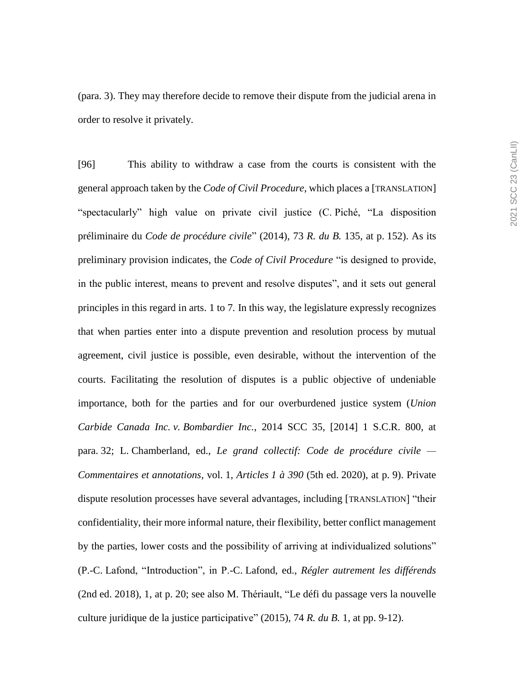(para. 3). They may therefore decide to remove their dispute from the judicial arena in order to resolve it privately.

[96] This ability to withdraw a case from the courts is consistent with the general approach taken by the *Code of Civil Procedure*, which places a [TRANSLATION] "spectacularly" high value on private civil justice (C. Piché, "La disposition préliminaire du *Code de procédure civile*" (2014), 73 *R. du B.* 135, at p. 152). As its preliminary provision indicates, the *Code of Civil Procedure* "is designed to provide, in the public interest, means to prevent and resolve disputes", and it sets out general principles in this regard in arts. 1 to 7*.* In this way, the legislature expressly recognizes that when parties enter into a dispute prevention and resolution process by mutual agreement, civil justice is possible, even desirable, without the intervention of the courts. Facilitating the resolution of disputes is a public objective of undeniable importance, both for the parties and for our overburdened justice system (*Union Carbide Canada Inc. v. Bombardier Inc.*, 2014 SCC 35, [2014] 1 S.C.R. 800, at para. 32; L. Chamberland, ed., *Le grand collectif: Code de procédure civile — Commentaires et annotations*, vol. 1, *Articles 1 à 390* (5th ed. 2020), at p. 9). Private dispute resolution processes have several advantages, including [TRANSLATION] "their confidentiality, their more informal nature, their flexibility, better conflict management by the parties, lower costs and the possibility of arriving at individualized solutions" (P.-C. Lafond, "Introduction", in P.-C. Lafond, ed., *Régler autrement les différends*  (2nd ed. 2018), 1, at p. 20; see also M. Thériault, "Le défi du passage vers la nouvelle culture juridique de la justice participative" (2015), 74 *R. du B.* 1, at pp. 9-12).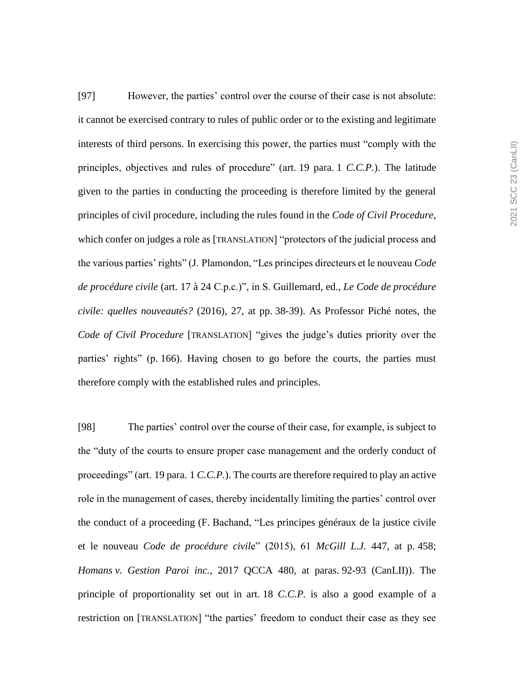[97] However, the parties' control over the course of their case is not absolute: it cannot be exercised contrary to rules of public order or to the existing and legitimate interests of third persons. In exercising this power, the parties must "comply with the principles, objectives and rules of procedure" (art. 19 para. 1 *C.C.P.*). The latitude given to the parties in conducting the proceeding is therefore limited by the general principles of civil procedure, including the rules found in the *Code of Civil Procedure*, which confer on judges a role as [TRANSLATION] "protectors of the judicial process and the various parties' rights" (J. Plamondon, "Les principes directeurs et le nouveau *Code de procédure civile* (art. 17 à 24 C.p.c.)", in S. Guillemard, ed., *Le Code de procédure civile: quelles nouveautés?* (2016), 27, at pp. 38-39). As Professor Piché notes, the *Code of Civil Procedure* [TRANSLATION] "gives the judge's duties priority over the parties' rights" (p. 166). Having chosen to go before the courts, the parties must therefore comply with the established rules and principles.

[98] The parties' control over the course of their case, for example, is subject to the "duty of the courts to ensure proper case management and the orderly conduct of proceedings" (art. 19 para. 1 *C.C.P.*). The courts are therefore required to play an active role in the management of cases, thereby incidentally limiting the parties' control over the conduct of a proceeding (F. Bachand, "Les principes généraux de la justice civile et le nouveau *Code de procédure civil*e" (2015), 61 *McGill L.J.* 447, at p. 458; *Homans v. Gestion Paroi inc.*, 2017 QCCA 480, at paras. 92-93 (CanLII)). The principle of proportionality set out in art. 18 *C.C.P.* is also a good example of a restriction on [TRANSLATION] "the parties' freedom to conduct their case as they see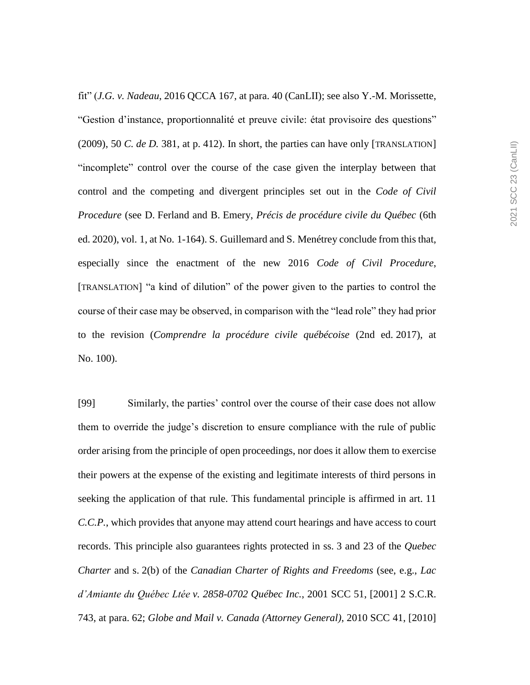fit" (*J.G. v. Nadeau*, 2016 QCCA 167, at para. 40 (CanLII); see also Y.-M. Morissette, "Gestion d'instance, proportionnalité et preuve civile: état provisoire des questions" (2009), 50 *C. de D.* 381, at p. 412). In short, the parties can have only [TRANSLATION] "incomplete" control over the course of the case given the interplay between that control and the competing and divergent principles set out in the *Code of Civil Procedure* (see D. Ferland and B. Emery, *Précis de procédure civile du Québec* (6th ed. 2020), vol. 1, at No. 1-164). S. Guillemard and S. Menétrey conclude from this that, especially since the enactment of the new 2016 *Code of Civil Procedure*, [TRANSLATION] "a kind of dilution" of the power given to the parties to control the course of their case may be observed, in comparison with the "lead role" they had prior to the revision (*Comprendre la procédure civile québécoise* (2nd ed. 2017), at No. 100).

[99] Similarly, the parties' control over the course of their case does not allow them to override the judge's discretion to ensure compliance with the rule of public order arising from the principle of open proceedings, nor does it allow them to exercise their powers at the expense of the existing and legitimate interests of third persons in seeking the application of that rule. This fundamental principle is affirmed in art. 11 *C.C.P.*, which provides that anyone may attend court hearings and have access to court records. This principle also guarantees rights protected in ss. 3 and 23 of the *Quebec Charter* and s. 2(b) of the *Canadian Charter of Rights and Freedoms* (see, e.g., *Lac d'Amiante du Québec Ltée v. 2858-0702 Québec Inc.*, 2001 SCC 51, [2001] 2 S.C.R. 743, at para. 62; *Globe and Mail v. Canada (Attorney General)*, 2010 SCC 41, [2010]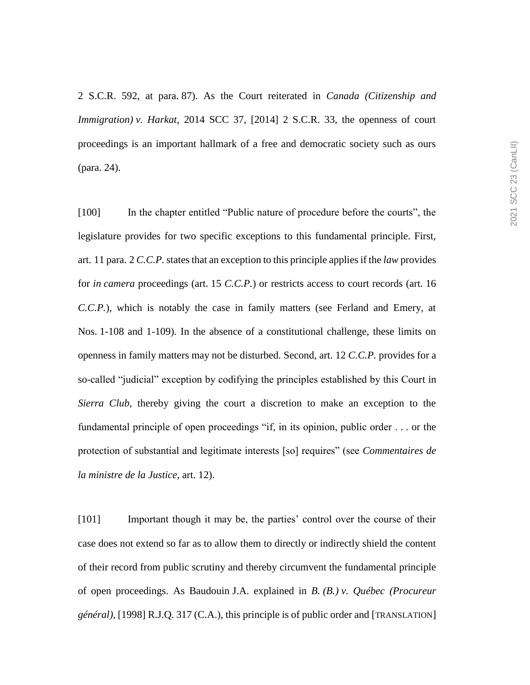2 S.C.R. 592, at para. 87). As the Court reiterated in *Canada (Citizenship and Immigration) v. Harkat*, 2014 SCC 37, [2014] 2 S.C.R. 33, the openness of court proceedings is an important hallmark of a free and democratic society such as ours (para. 24).

[100] In the chapter entitled "Public nature of procedure before the courts", the legislature provides for two specific exceptions to this fundamental principle. First, art. 11 para. 2 *C.C.P.*states that an exception to this principle applies if the *law* provides for *in camera* proceedings (art. 15 *C.C.P.*) or restricts access to court records (art. 16 *C.C.P.*), which is notably the case in family matters (see Ferland and Emery, at Nos. 1-108 and 1-109). In the absence of a constitutional challenge, these limits on openness in family matters may not be disturbed. Second, art. 12 *C.C.P.* provides for a so-called "judicial" exception by codifying the principles established by this Court in *Sierra Club*, thereby giving the court a discretion to make an exception to the fundamental principle of open proceedings "if, in its opinion, public order . . . or the protection of substantial and legitimate interests [so] requires" (see *Commentaires de la ministre de la Justice*, art. 12).

[101] Important though it may be, the parties' control over the course of their case does not extend so far as to allow them to directly or indirectly shield the content of their record from public scrutiny and thereby circumvent the fundamental principle of open proceedings. As Baudouin J.A. explained in *B. (B.) v. Québec (Procureur général)*, [1998] R.J.Q. 317 (C.A.), this principle is of public order and [TRANSLATION]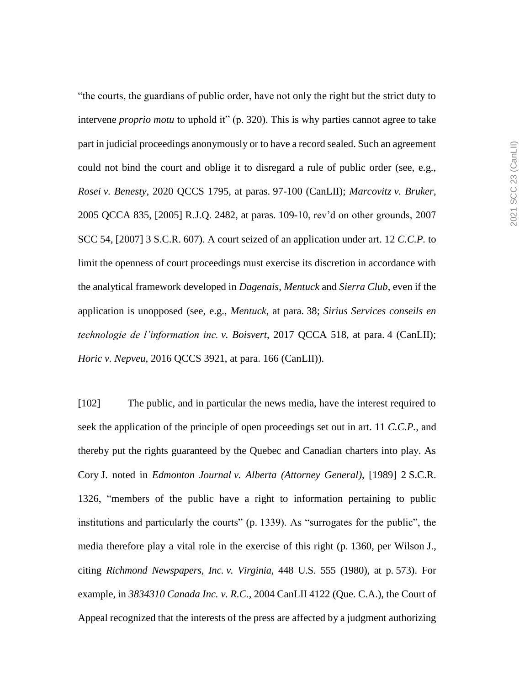"the courts, the guardians of public order, have not only the right but the strict duty to intervene *proprio motu* to uphold it" (p. 320). This is why parties cannot agree to take part in judicial proceedings anonymously or to have a record sealed. Such an agreement could not bind the court and oblige it to disregard a rule of public order (see, e.g., *Rosei v. Benesty*, 2020 QCCS 1795, at paras. 97-100 (CanLII); *Marcovitz v. Bruker*, 2005 QCCA 835, [2005] R.J.Q. 2482, at paras. 109-10, rev'd on other grounds, 2007 SCC 54, [2007] 3 S.C.R. 607). A court seized of an application under art. 12 *C.C.P.* to limit the openness of court proceedings must exercise its discretion in accordance with the analytical framework developed in *Dagenais*, *Mentuck* and *Sierra Club*, even if the application is unopposed (see, e.g., *Mentuck*, at para. 38; *Sirius Services conseils en technologie de l'information inc. v. Boisvert*, 2017 QCCA 518, at para. 4 (CanLII); *Horic v. Nepveu*, 2016 QCCS 3921, at para. 166 (CanLII)).

[102] The public, and in particular the news media, have the interest required to seek the application of the principle of open proceedings set out in art. 11 *C.C.P.*, and thereby put the rights guaranteed by the Quebec and Canadian charters into play. As Cory J. noted in *Edmonton Journal v. Alberta (Attorney General)*, [1989] 2 S.C.R. 1326, "members of the public have a right to information pertaining to public institutions and particularly the courts" (p. 1339). As "surrogates for the public", the media therefore play a vital role in the exercise of this right (p. 1360, per Wilson J., citing *Richmond Newspapers, Inc. v. Virginia*, 448 U.S. 555 (1980), at p. 573). For example, in *3834310 Canada Inc. v. R.C.*, 2004 CanLII 4122 (Que. C.A.), the Court of Appeal recognized that the interests of the press are affected by a judgment authorizing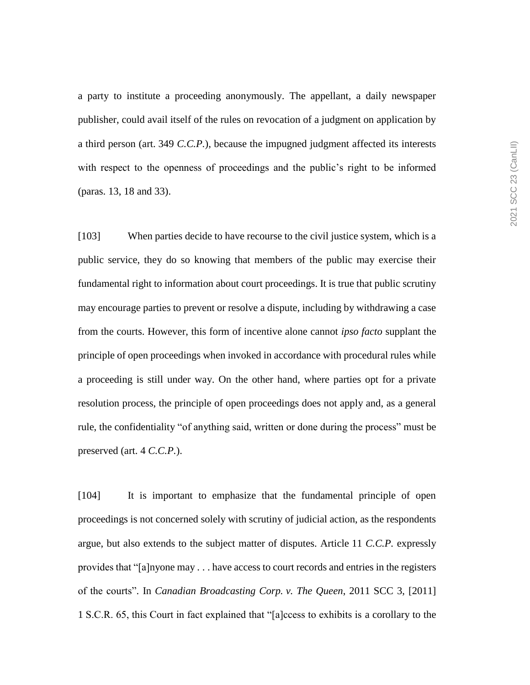a party to institute a proceeding anonymously. The appellant, a daily newspaper publisher, could avail itself of the rules on revocation of a judgment on application by a third person (art. 349 *C.C.P.*), because the impugned judgment affected its interests with respect to the openness of proceedings and the public's right to be informed (paras. 13, 18 and 33).

[103] When parties decide to have recourse to the civil justice system, which is a public service, they do so knowing that members of the public may exercise their fundamental right to information about court proceedings. It is true that public scrutiny may encourage parties to prevent or resolve a dispute, including by withdrawing a case from the courts. However, this form of incentive alone cannot *ipso facto* supplant the principle of open proceedings when invoked in accordance with procedural rules while a proceeding is still under way. On the other hand, where parties opt for a private resolution process, the principle of open proceedings does not apply and, as a general rule, the confidentiality "of anything said, written or done during the process" must be preserved (art. 4 *C.C.P.*).

[104] It is important to emphasize that the fundamental principle of open proceedings is not concerned solely with scrutiny of judicial action, as the respondents argue, but also extends to the subject matter of disputes. Article 11 *C.C.P.* expressly provides that "[a]nyone may . . . have access to court records and entries in the registers of the courts". In *Canadian Broadcasting Corp. v. The Queen*, 2011 SCC 3, [2011] 1 S.C.R. 65, this Court in fact explained that "[a]ccess to exhibits is a corollary to the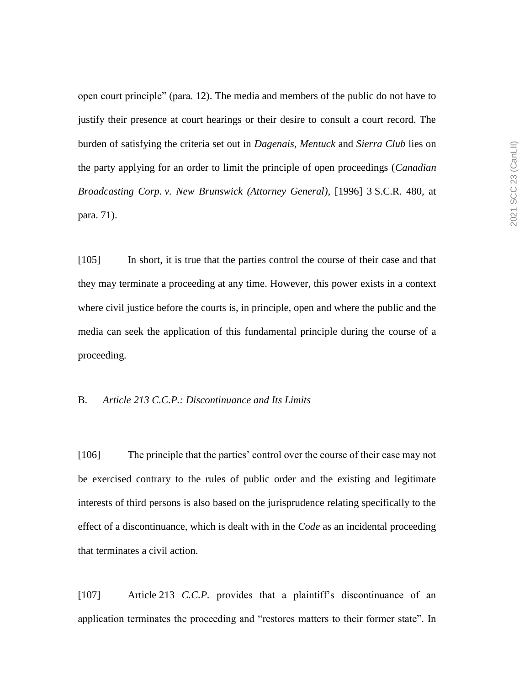open court principle" (para. 12). The media and members of the public do not have to justify their presence at court hearings or their desire to consult a court record. The burden of satisfying the criteria set out in *Dagenais*, *Mentuck* and *Sierra Club* lies on the party applying for an order to limit the principle of open proceedings (*Canadian Broadcasting Corp. v. New Brunswick (Attorney General)*, [1996] 3 S.C.R. 480, at para. 71).

[105] In short, it is true that the parties control the course of their case and that they may terminate a proceeding at any time. However, this power exists in a context where civil justice before the courts is, in principle, open and where the public and the media can seek the application of this fundamental principle during the course of a proceeding.

### B. *Article 213 C.C.P.: Discontinuance and Its Limits*

[106] The principle that the parties' control over the course of their case may not be exercised contrary to the rules of public order and the existing and legitimate interests of third persons is also based on the jurisprudence relating specifically to the effect of a discontinuance, which is dealt with in the *Code* as an incidental proceeding that terminates a civil action.

[107] Article 213 *C.C.P.* provides that a plaintiff's discontinuance of an application terminates the proceeding and "restores matters to their former state". In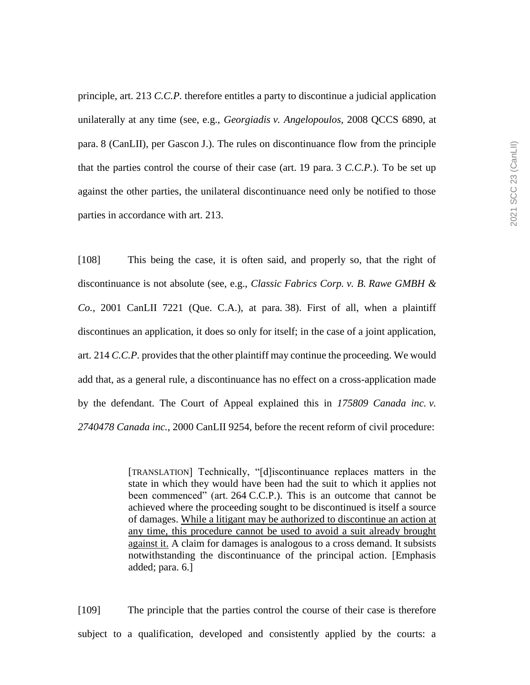principle, art. 213 *C.C.P.* therefore entitles a party to discontinue a judicial application unilaterally at any time (see, e.g., *Georgiadis v. Angelopoulos*, 2008 QCCS 6890, at para. 8 (CanLII), per Gascon J.). The rules on discontinuance flow from the principle that the parties control the course of their case (art. 19 para. 3 *C.C.P.*). To be set up against the other parties, the unilateral discontinuance need only be notified to those parties in accordance with art. 213.

[108] This being the case, it is often said, and properly so, that the right of discontinuance is not absolute (see, e.g., *Classic Fabrics Corp. v. B. Rawe GMBH & Co.*, 2001 CanLII 7221 (Que. C.A.), at para. 38). First of all, when a plaintiff discontinues an application, it does so only for itself; in the case of a joint application, art. 214 *C.C.P.* provides that the other plaintiff may continue the proceeding. We would add that, as a general rule, a discontinuance has no effect on a cross-application made by the defendant. The Court of Appeal explained this in *175809 Canada inc. v. 2740478 Canada inc.*, 2000 CanLII 9254, before the recent reform of civil procedure:

> [TRANSLATION] Technically, "[d]iscontinuance replaces matters in the state in which they would have been had the suit to which it applies not been commenced" (art. 264 C.C.P.). This is an outcome that cannot be achieved where the proceeding sought to be discontinued is itself a source of damages. While a litigant may be authorized to discontinue an action at any time, this procedure cannot be used to avoid a suit already brought against it. A claim for damages is analogous to a cross demand. It subsists notwithstanding the discontinuance of the principal action. [Emphasis added; para. 6.]

[109] The principle that the parties control the course of their case is therefore subject to a qualification, developed and consistently applied by the courts: a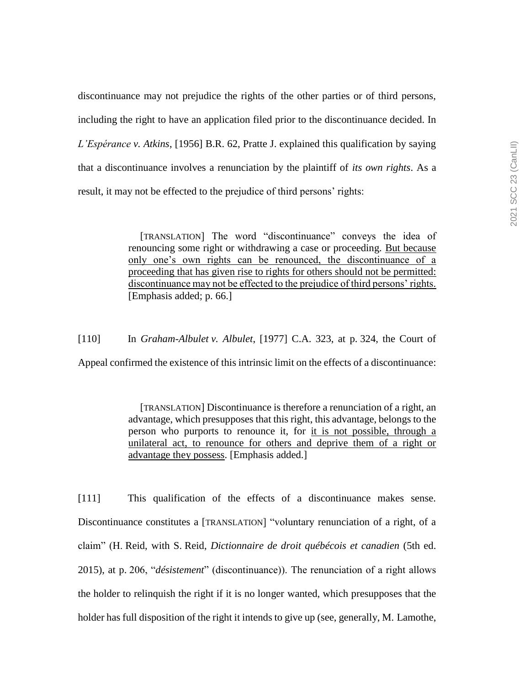discontinuance may not prejudice the rights of the other parties or of third persons, including the right to have an application filed prior to the discontinuance decided. In *L'Espérance v. Atkins*, [1956] B.R. 62, Pratte J. explained this qualification by saying that a discontinuance involves a renunciation by the plaintiff of *its own rights*. As a result, it may not be effected to the prejudice of third persons' rights:

> [TRANSLATION] The word "discontinuance" conveys the idea of renouncing some right or withdrawing a case or proceeding. But because only one's own rights can be renounced, the discontinuance of a proceeding that has given rise to rights for others should not be permitted: discontinuance may not be effected to the prejudice of third persons' rights. [Emphasis added; p. 66.]

[110] In *Graham-Albulet v. Albulet*, [1977] C.A. 323, at p. 324, the Court of

Appeal confirmed the existence of this intrinsic limit on the effects of a discontinuance:

[TRANSLATION] Discontinuance is therefore a renunciation of a right, an advantage, which presupposes that this right, this advantage, belongs to the person who purports to renounce it, for it is not possible, through a unilateral act, to renounce for others and deprive them of a right or advantage they possess. [Emphasis added.]

[111] This qualification of the effects of a discontinuance makes sense. Discontinuance constitutes a [TRANSLATION] "voluntary renunciation of a right, of a claim" (H. Reid, with S. Reid, *Dictionnaire de droit québécois et canadien* (5th ed. 2015), at p. 206, "*désistement*" (discontinuance)). The renunciation of a right allows the holder to relinquish the right if it is no longer wanted, which presupposes that the holder has full disposition of the right it intends to give up (see, generally, M. Lamothe,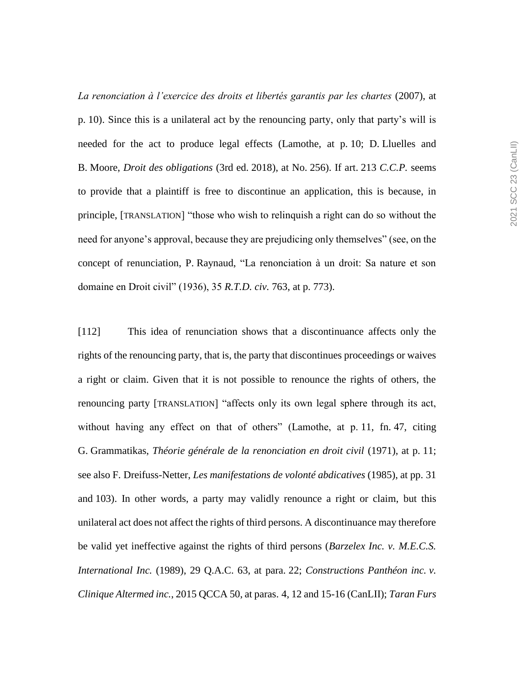*La renonciation à l'exercice des droits et libertés garantis par les chartes* (2007), at p. 10). Since this is a unilateral act by the renouncing party, only that party's will is needed for the act to produce legal effects (Lamothe, at p. 10; D. Lluelles and B. Moore, *Droit des obligations* (3rd ed. 2018), at No. 256). If art. 213 *C.C.P.* seems to provide that a plaintiff is free to discontinue an application, this is because, in principle, [TRANSLATION] "those who wish to relinquish a right can do so without the need for anyone's approval, because they are prejudicing only themselves" (see, on the concept of renunciation, P. Raynaud, "La renonciation à un droit: Sa nature et son domaine en Droit civil" (1936), 35 *R.T.D. civ.* 763, at p. 773).

[112] This idea of renunciation shows that a discontinuance affects only the rights of the renouncing party, that is, the party that discontinues proceedings or waives a right or claim. Given that it is not possible to renounce the rights of others, the renouncing party [TRANSLATION] "affects only its own legal sphere through its act, without having any effect on that of others" (Lamothe, at p. 11, fn. 47, citing G. Grammatikas, *Théorie générale de la renonciation en droit civil* (1971), at p. 11; see also F. Dreifuss-Netter, *Les manifestations de volonté abdicatives* (1985), at pp. 31 and 103). In other words, a party may validly renounce a right or claim, but this unilateral act does not affect the rights of third persons. A discontinuance may therefore be valid yet ineffective against the rights of third persons (*Barzelex Inc. v. M.E.C.S. International Inc.* (1989), 29 Q.A.C. 63, at para. 22; *Constructions Panthéon inc. v. Clinique Altermed inc.*, 2015 QCCA 50, at paras. 4, 12 and 15-16 (CanLII); *Taran Furs*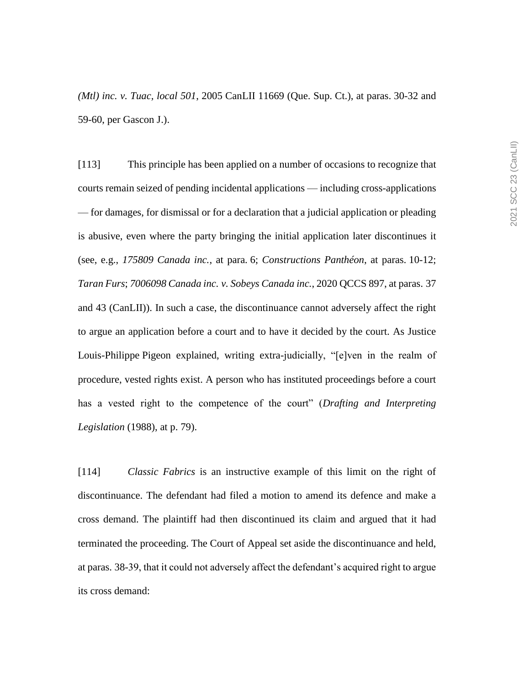*(Mtl) inc. v. Tuac, local 501*, 2005 CanLII 11669 (Que. Sup. Ct.), at paras. 30-32 and 59-60, per Gascon J.).

[113] This principle has been applied on a number of occasions to recognize that courts remain seized of pending incidental applications — including cross-applications — for damages, for dismissal or for a declaration that a judicial application or pleading is abusive, even where the party bringing the initial application later discontinues it (see, e.g., *175809 Canada inc.*, at para. 6; *Constructions Panthéon*, at paras. 10-12; *Taran Furs*; *7006098 Canada inc. v. Sobeys Canada inc.*, 2020 QCCS 897, at paras. 37 and 43 (CanLII)). In such a case, the discontinuance cannot adversely affect the right to argue an application before a court and to have it decided by the court. As Justice Louis-Philippe Pigeon explained, writing extra-judicially, "[e]ven in the realm of procedure, vested rights exist. A person who has instituted proceedings before a court has a vested right to the competence of the court" (*Drafting and Interpreting Legislation* (1988), at p. 79).

[114] *Classic Fabrics* is an instructive example of this limit on the right of discontinuance. The defendant had filed a motion to amend its defence and make a cross demand. The plaintiff had then discontinued its claim and argued that it had terminated the proceeding. The Court of Appeal set aside the discontinuance and held, at paras. 38-39, that it could not adversely affect the defendant's acquired right to argue its cross demand: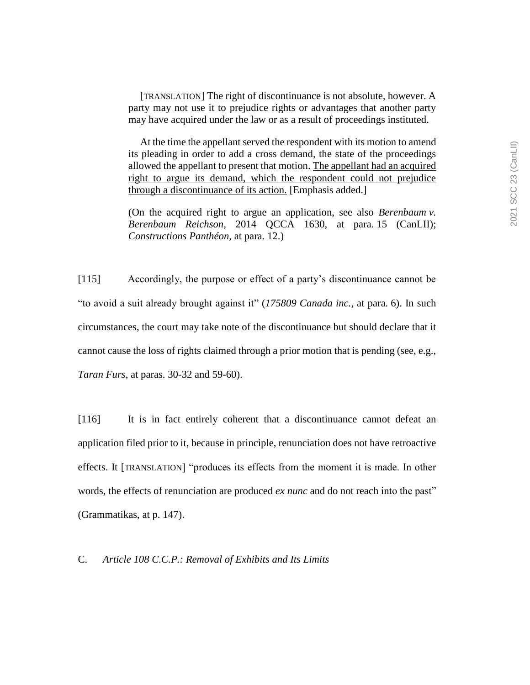[TRANSLATION] The right of discontinuance is not absolute, however. A party may not use it to prejudice rights or advantages that another party may have acquired under the law or as a result of proceedings instituted.

At the time the appellant served the respondent with its motion to amend its pleading in order to add a cross demand, the state of the proceedings allowed the appellant to present that motion. The appellant had an acquired right to argue its demand, which the respondent could not prejudice through a discontinuance of its action. [Emphasis added.]

(On the acquired right to argue an application, see also *Berenbaum v. Berenbaum Reichson*, 2014 QCCA 1630, at para. 15 (CanLII); *Constructions Panthéon*, at para. 12.)

[115] Accordingly, the purpose or effect of a party's discontinuance cannot be "to avoid a suit already brought against it" (*175809 Canada inc.*, at para. 6). In such circumstances, the court may take note of the discontinuance but should declare that it cannot cause the loss of rights claimed through a prior motion that is pending (see, e.g., *Taran Furs*, at paras. 30-32 and 59-60).

[116] It is in fact entirely coherent that a discontinuance cannot defeat an application filed prior to it, because in principle, renunciation does not have retroactive effects. It [TRANSLATION] "produces its effects from the moment it is made. In other words, the effects of renunciation are produced *ex nunc* and do not reach into the past" (Grammatikas, at p. 147).

C. *Article 108 C.C.P.: Removal of Exhibits and Its Limits*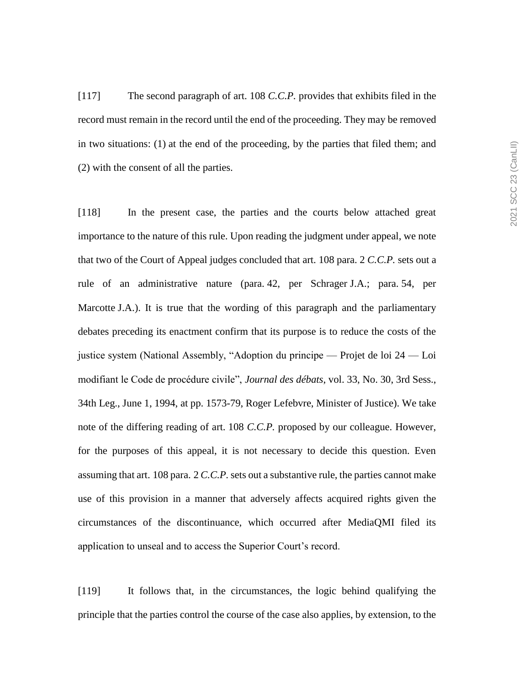[117] The second paragraph of art. 108 *C.C.P.* provides that exhibits filed in the record must remain in the record until the end of the proceeding. They may be removed in two situations: (1) at the end of the proceeding, by the parties that filed them; and (2) with the consent of all the parties.

[118] In the present case, the parties and the courts below attached great importance to the nature of this rule. Upon reading the judgment under appeal, we note that two of the Court of Appeal judges concluded that art. 108 para. 2 *C.C.P.* sets out a rule of an administrative nature (para. 42, per Schrager J.A.; para. 54, per Marcotte J.A.). It is true that the wording of this paragraph and the parliamentary debates preceding its enactment confirm that its purpose is to reduce the costs of the justice system (National Assembly, "Adoption du principe — Projet de loi 24 — Loi modifiant le Code de procédure civile", *Journal des débats*, vol. 33, No. 30, 3rd Sess., 34th Leg., June 1, 1994, at pp. 1573-79, Roger Lefebvre, Minister of Justice). We take note of the differing reading of art. 108 *C.C.P.* proposed by our colleague. However, for the purposes of this appeal, it is not necessary to decide this question. Even assuming that art. 108 para. 2 *C.C.P.* sets out a substantive rule, the parties cannot make use of this provision in a manner that adversely affects acquired rights given the circumstances of the discontinuance, which occurred after MediaQMI filed its application to unseal and to access the Superior Court's record.

[119] It follows that, in the circumstances, the logic behind qualifying the principle that the parties control the course of the case also applies, by extension, to the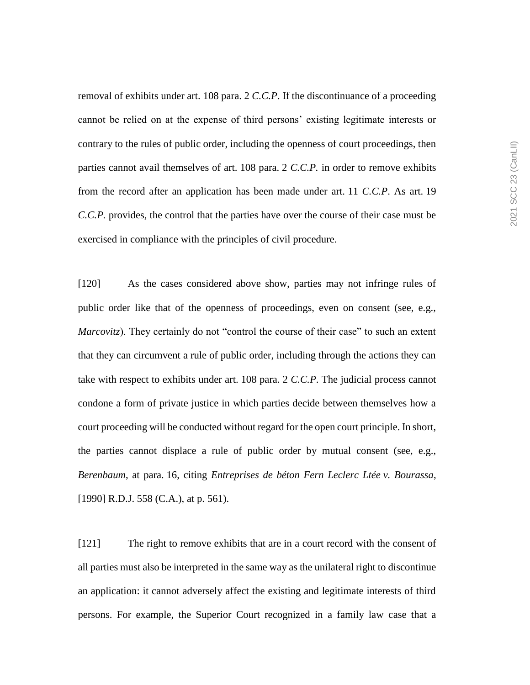removal of exhibits under art. 108 para. 2 *C.C.P*. If the discontinuance of a proceeding cannot be relied on at the expense of third persons' existing legitimate interests or contrary to the rules of public order, including the openness of court proceedings, then parties cannot avail themselves of art. 108 para. 2 *C.C.P.* in order to remove exhibits from the record after an application has been made under art. 11 *C.C.P*. As art. 19 *C.C.P.* provides, the control that the parties have over the course of their case must be exercised in compliance with the principles of civil procedure.

[120] As the cases considered above show, parties may not infringe rules of public order like that of the openness of proceedings, even on consent (see, e.g., *Marcovitz*). They certainly do not "control the course of their case" to such an extent that they can circumvent a rule of public order, including through the actions they can take with respect to exhibits under art. 108 para. 2 *C.C.P*. The judicial process cannot condone a form of private justice in which parties decide between themselves how a court proceeding will be conducted without regard for the open court principle. In short, the parties cannot displace a rule of public order by mutual consent (see, e.g., *Berenbaum*, at para. 16, citing *Entreprises de béton Fern Leclerc Ltée v. Bourassa*, [1990] R.D.J. 558 (C.A.), at p. 561).

[121] The right to remove exhibits that are in a court record with the consent of all parties must also be interpreted in the same way as the unilateral right to discontinue an application: it cannot adversely affect the existing and legitimate interests of third persons. For example, the Superior Court recognized in a family law case that a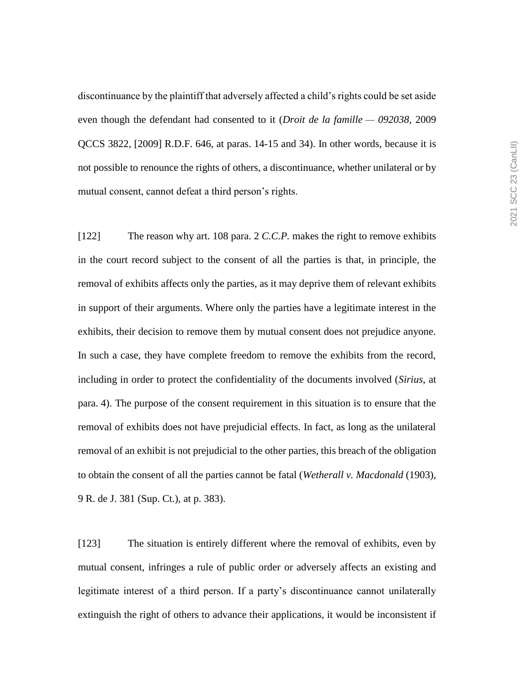discontinuance by the plaintiff that adversely affected a child's rights could be set aside even though the defendant had consented to it (*Droit de la famille — 092038*, 2009 QCCS 3822, [2009] R.D.F. 646, at paras. 14-15 and 34). In other words, because it is not possible to renounce the rights of others, a discontinuance, whether unilateral or by mutual consent, cannot defeat a third person's rights.

[122] The reason why art. 108 para. 2 *C.C.P.* makes the right to remove exhibits in the court record subject to the consent of all the parties is that, in principle, the removal of exhibits affects only the parties, as it may deprive them of relevant exhibits in support of their arguments. Where only the parties have a legitimate interest in the exhibits, their decision to remove them by mutual consent does not prejudice anyone. In such a case, they have complete freedom to remove the exhibits from the record, including in order to protect the confidentiality of the documents involved (*Sirius*, at para. 4). The purpose of the consent requirement in this situation is to ensure that the removal of exhibits does not have prejudicial effects. In fact, as long as the unilateral removal of an exhibit is not prejudicial to the other parties, this breach of the obligation to obtain the consent of all the parties cannot be fatal (*Wetherall v. Macdonald* (1903), 9 R. de J. 381 (Sup. Ct.), at p. 383).

[123] The situation is entirely different where the removal of exhibits, even by mutual consent, infringes a rule of public order or adversely affects an existing and legitimate interest of a third person. If a party's discontinuance cannot unilaterally extinguish the right of others to advance their applications, it would be inconsistent if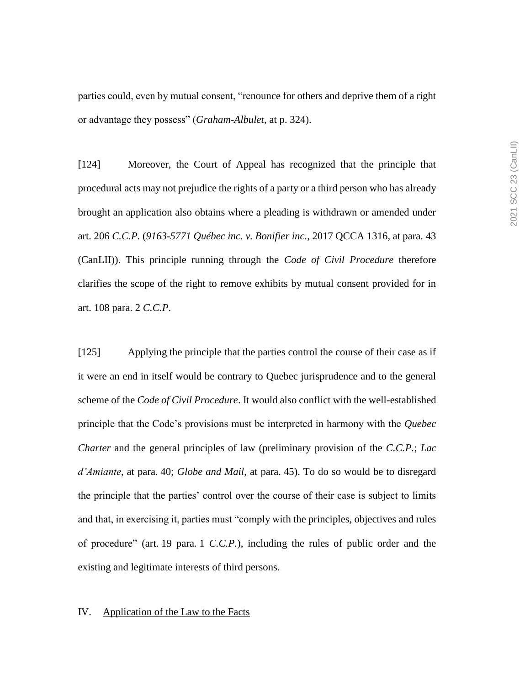parties could, even by mutual consent, "renounce for others and deprive them of a right or advantage they possess" (*Graham-Albulet*, at p. 324).

[124] Moreover, the Court of Appeal has recognized that the principle that procedural acts may not prejudice the rights of a party or a third person who has already brought an application also obtains where a pleading is withdrawn or amended under art. 206 *C.C.P.* (*9163-5771 Québec inc. v. Bonifier inc.*, 2017 QCCA 1316, at para. 43 (CanLII)). This principle running through the *Code of Civil Procedure* therefore clarifies the scope of the right to remove exhibits by mutual consent provided for in art. 108 para. 2 *C.C.P*.

[125] Applying the principle that the parties control the course of their case as if it were an end in itself would be contrary to Quebec jurisprudence and to the general scheme of the *Code of Civil Procedure*. It would also conflict with the well-established principle that the Code's provisions must be interpreted in harmony with the *Quebec Charter* and the general principles of law (preliminary provision of the *C.C.P.*; *Lac d'Amiante*, at para. 40; *Globe and Mail*, at para. 45). To do so would be to disregard the principle that the parties' control over the course of their case is subject to limits and that, in exercising it, parties must "comply with the principles, objectives and rules of procedure" (art. 19 para. 1 *C.C.P.*), including the rules of public order and the existing and legitimate interests of third persons.

### IV. Application of the Law to the Facts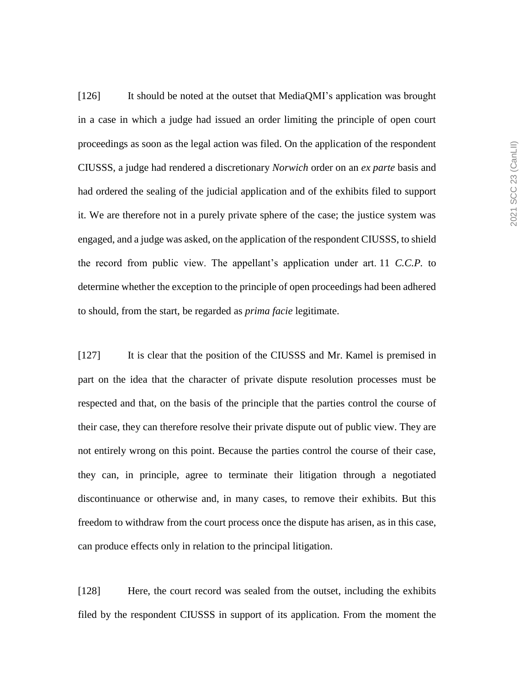[126] It should be noted at the outset that MediaQMI's application was brought in a case in which a judge had issued an order limiting the principle of open court proceedings as soon as the legal action was filed. On the application of the respondent CIUSSS, a judge had rendered a discretionary *Norwich* order on an *ex parte* basis and had ordered the sealing of the judicial application and of the exhibits filed to support it. We are therefore not in a purely private sphere of the case; the justice system was engaged, and a judge was asked, on the application of the respondent CIUSSS, to shield the record from public view. The appellant's application under art. 11 *C.C.P.* to determine whether the exception to the principle of open proceedings had been adhered to should, from the start, be regarded as *prima facie* legitimate.

[127] It is clear that the position of the CIUSSS and Mr. Kamel is premised in part on the idea that the character of private dispute resolution processes must be respected and that, on the basis of the principle that the parties control the course of their case, they can therefore resolve their private dispute out of public view. They are not entirely wrong on this point. Because the parties control the course of their case, they can, in principle, agree to terminate their litigation through a negotiated discontinuance or otherwise and, in many cases, to remove their exhibits. But this freedom to withdraw from the court process once the dispute has arisen, as in this case, can produce effects only in relation to the principal litigation.

[128] Here, the court record was sealed from the outset, including the exhibits filed by the respondent CIUSSS in support of its application. From the moment the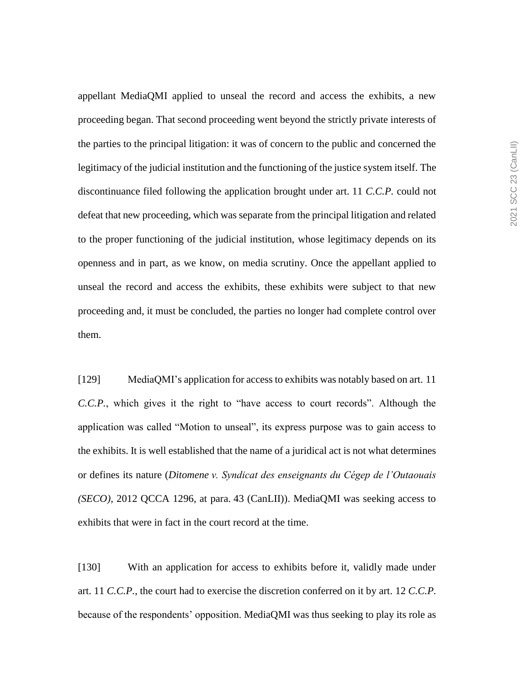appellant MediaQMI applied to unseal the record and access the exhibits, a new proceeding began. That second proceeding went beyond the strictly private interests of the parties to the principal litigation: it was of concern to the public and concerned the legitimacy of the judicial institution and the functioning of the justice system itself. The discontinuance filed following the application brought under art. 11 *C.C.P.* could not defeat that new proceeding, which was separate from the principal litigation and related to the proper functioning of the judicial institution, whose legitimacy depends on its openness and in part, as we know, on media scrutiny. Once the appellant applied to unseal the record and access the exhibits, these exhibits were subject to that new proceeding and, it must be concluded, the parties no longer had complete control over them.

[129] MediaQMI's application for access to exhibits was notably based on art. 11 *C.C.P.*, which gives it the right to "have access to court records". Although the application was called "Motion to unseal", its express purpose was to gain access to the exhibits. It is well established that the name of a juridical act is not what determines or defines its nature (*Ditomene v. Syndicat des enseignants du Cégep de l'Outaouais (SECO)*, 2012 QCCA 1296, at para. 43 (CanLII)). MediaQMI was seeking access to exhibits that were in fact in the court record at the time.

[130] With an application for access to exhibits before it, validly made under art. 11 *C.C.P.*, the court had to exercise the discretion conferred on it by art. 12 *C.C.P.* because of the respondents' opposition. MediaQMI was thus seeking to play its role as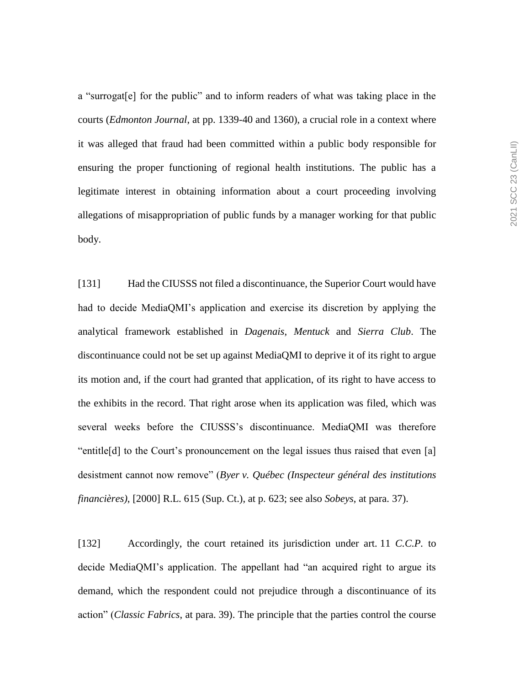a "surrogat[e] for the public" and to inform readers of what was taking place in the courts (*Edmonton Journal*, at pp. 1339-40 and 1360), a crucial role in a context where it was alleged that fraud had been committed within a public body responsible for ensuring the proper functioning of regional health institutions. The public has a legitimate interest in obtaining information about a court proceeding involving allegations of misappropriation of public funds by a manager working for that public body.

[131] Had the CIUSSS not filed a discontinuance, the Superior Court would have had to decide MediaQMI's application and exercise its discretion by applying the analytical framework established in *Dagenais*, *Mentuck* and *Sierra Club*. The discontinuance could not be set up against MediaQMI to deprive it of its right to argue its motion and, if the court had granted that application, of its right to have access to the exhibits in the record. That right arose when its application was filed, which was several weeks before the CIUSSS's discontinuance. MediaQMI was therefore "entitle[d] to the Court's pronouncement on the legal issues thus raised that even [a] desistment cannot now remove" (*Byer v. Québec (Inspecteur général des institutions financières)*, [2000] R.L. 615 (Sup. Ct.), at p. 623; see also *Sobeys*, at para. 37).

[132] Accordingly, the court retained its jurisdiction under art. 11 *C.C.P.* to decide MediaQMI's application. The appellant had "an acquired right to argue its demand, which the respondent could not prejudice through a discontinuance of its action" (*Classic Fabrics*, at para. 39). The principle that the parties control the course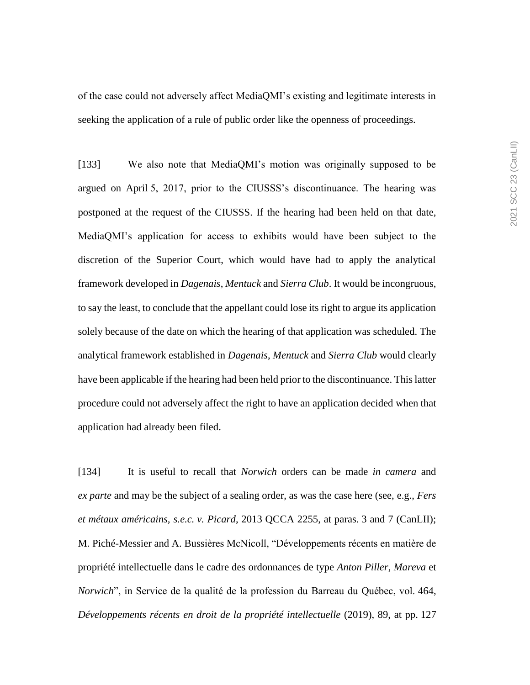of the case could not adversely affect MediaQMI's existing and legitimate interests in seeking the application of a rule of public order like the openness of proceedings.

[133] We also note that MediaQMI's motion was originally supposed to be argued on April 5, 2017, prior to the CIUSSS's discontinuance. The hearing was postponed at the request of the CIUSSS. If the hearing had been held on that date, MediaQMI's application for access to exhibits would have been subject to the discretion of the Superior Court, which would have had to apply the analytical framework developed in *Dagenais*, *Mentuck* and *Sierra Club*. It would be incongruous, to say the least, to conclude that the appellant could lose its right to argue its application solely because of the date on which the hearing of that application was scheduled. The analytical framework established in *Dagenais*, *Mentuck* and *Sierra Club* would clearly have been applicable if the hearing had been held prior to the discontinuance. This latter procedure could not adversely affect the right to have an application decided when that application had already been filed.

[134] It is useful to recall that *Norwich* orders can be made *in camera* and *ex parte* and may be the subject of a sealing order, as was the case here (see, e.g., *Fers et métaux américains, s.e.c. v. Picard*, 2013 QCCA 2255, at paras. 3 and 7 (CanLII); M. Piché-Messier and A. Bussières McNicoll, "Développements récents en matière de propriété intellectuelle dans le cadre des ordonnances de type *Anton Piller*, *Mareva* et *Norwich*", in Service de la qualité de la profession du Barreau du Québec, vol. 464, *Développements récents en droit de la propriété intellectuelle* (2019), 89, at pp. 127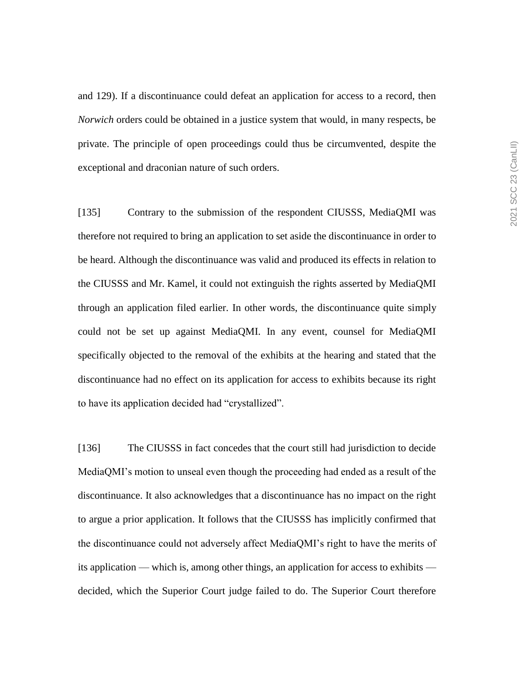and 129). If a discontinuance could defeat an application for access to a record, then *Norwich* orders could be obtained in a justice system that would, in many respects, be private. The principle of open proceedings could thus be circumvented, despite the exceptional and draconian nature of such orders.

[135] Contrary to the submission of the respondent CIUSSS, MediaQMI was therefore not required to bring an application to set aside the discontinuance in order to be heard. Although the discontinuance was valid and produced its effects in relation to the CIUSSS and Mr. Kamel, it could not extinguish the rights asserted by MediaQMI through an application filed earlier. In other words, the discontinuance quite simply could not be set up against MediaQMI. In any event, counsel for MediaQMI specifically objected to the removal of the exhibits at the hearing and stated that the discontinuance had no effect on its application for access to exhibits because its right to have its application decided had "crystallized".

[136] The CIUSSS in fact concedes that the court still had jurisdiction to decide MediaQMI's motion to unseal even though the proceeding had ended as a result of the discontinuance. It also acknowledges that a discontinuance has no impact on the right to argue a prior application. It follows that the CIUSSS has implicitly confirmed that the discontinuance could not adversely affect MediaQMI's right to have the merits of its application — which is, among other things, an application for access to exhibits decided, which the Superior Court judge failed to do. The Superior Court therefore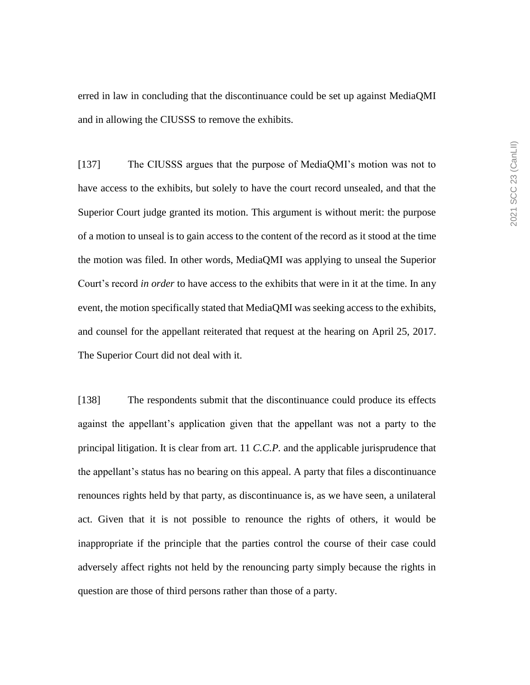erred in law in concluding that the discontinuance could be set up against MediaQMI and in allowing the CIUSSS to remove the exhibits.

[137] The CIUSSS argues that the purpose of MediaQMI's motion was not to have access to the exhibits, but solely to have the court record unsealed, and that the Superior Court judge granted its motion. This argument is without merit: the purpose of a motion to unseal is to gain access to the content of the record as it stood at the time the motion was filed. In other words, MediaQMI was applying to unseal the Superior Court's record *in order* to have access to the exhibits that were in it at the time. In any event, the motion specifically stated that MediaQMI was seeking access to the exhibits, and counsel for the appellant reiterated that request at the hearing on April 25, 2017. The Superior Court did not deal with it.

[138] The respondents submit that the discontinuance could produce its effects against the appellant's application given that the appellant was not a party to the principal litigation. It is clear from art. 11 *C.C.P.* and the applicable jurisprudence that the appellant's status has no bearing on this appeal. A party that files a discontinuance renounces rights held by that party, as discontinuance is, as we have seen, a unilateral act. Given that it is not possible to renounce the rights of others, it would be inappropriate if the principle that the parties control the course of their case could adversely affect rights not held by the renouncing party simply because the rights in question are those of third persons rather than those of a party.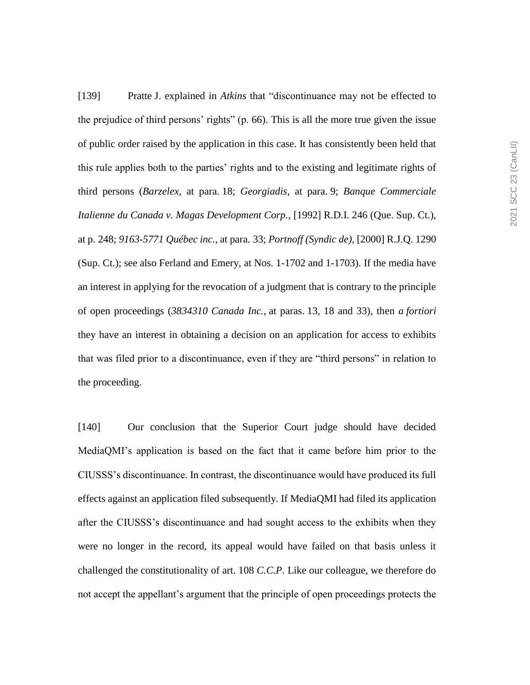[139] Pratte J. explained in *Atkins* that "discontinuance may not be effected to the prejudice of third persons' rights" (p. 66). This is all the more true given the issue of public order raised by the application in this case. It has consistently been held that this rule applies both to the parties' rights and to the existing and legitimate rights of third persons (*Barzelex*, at para. 18; *Georgiadis*, at para. 9; *Banque Commerciale Italienne du Canada v. Magas Development Corp.*, [1992] R.D.I. 246 (Que. Sup. Ct.), at p. 248; *9163-5771 Québec inc.*, at para. 33; *Portnoff (Syndic de)*, [2000] R.J.Q. 1290 (Sup. Ct.); see also Ferland and Emery, at Nos. 1-1702 and 1-1703). If the media have an interest in applying for the revocation of a judgment that is contrary to the principle of open proceedings (*3834310 Canada Inc.*, at paras. 13, 18 and 33), then *a fortiori*  they have an interest in obtaining a decision on an application for access to exhibits that was filed prior to a discontinuance, even if they are "third persons" in relation to the proceeding.

[140] Our conclusion that the Superior Court judge should have decided MediaQMI's application is based on the fact that it came before him prior to the CIUSSS's discontinuance. In contrast, the discontinuance would have produced its full effects against an application filed subsequently. If MediaQMI had filed its application after the CIUSSS's discontinuance and had sought access to the exhibits when they were no longer in the record, its appeal would have failed on that basis unless it challenged the constitutionality of art. 108 *C.C.P*. Like our colleague, we therefore do not accept the appellant's argument that the principle of open proceedings protects the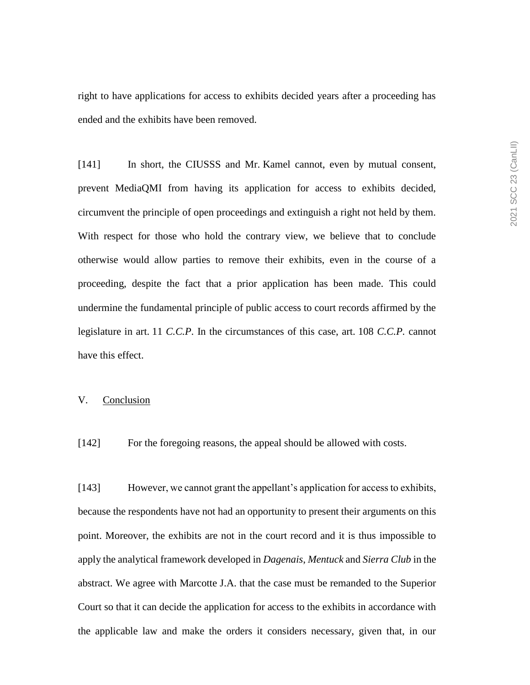right to have applications for access to exhibits decided years after a proceeding has ended and the exhibits have been removed.

[141] In short, the CIUSSS and Mr. Kamel cannot, even by mutual consent, prevent MediaQMI from having its application for access to exhibits decided, circumvent the principle of open proceedings and extinguish a right not held by them. With respect for those who hold the contrary view, we believe that to conclude otherwise would allow parties to remove their exhibits, even in the course of a proceeding, despite the fact that a prior application has been made. This could undermine the fundamental principle of public access to court records affirmed by the legislature in art. 11 *C.C.P*. In the circumstances of this case, art. 108 *C.C.P.* cannot have this effect.

### V. Conclusion

[142] For the foregoing reasons, the appeal should be allowed with costs.

[143] However, we cannot grant the appellant's application for access to exhibits, because the respondents have not had an opportunity to present their arguments on this point. Moreover, the exhibits are not in the court record and it is thus impossible to apply the analytical framework developed in *Dagenais*, *Mentuck* and *Sierra Club* in the abstract. We agree with Marcotte J.A. that the case must be remanded to the Superior Court so that it can decide the application for access to the exhibits in accordance with the applicable law and make the orders it considers necessary, given that, in our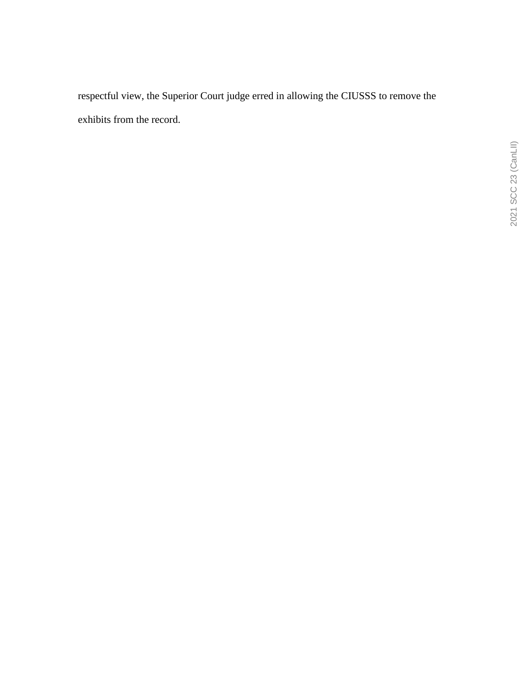respectful view, the Superior Court judge erred in allowing the CIUSSS to remove the exhibits from the record.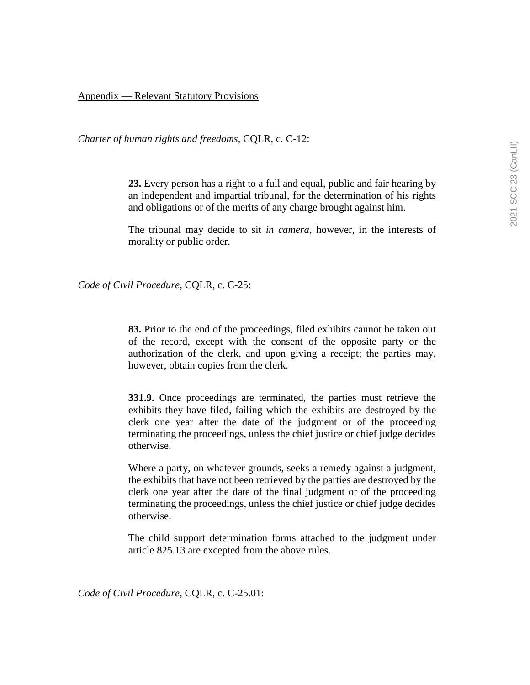# Appendix — Relevant Statutory Provisions

*Charter of human rights and freedoms*, CQLR, c. C-12:

**23.** Every person has a right to a full and equal, public and fair hearing by an independent and impartial tribunal, for the determination of his rights and obligations or of the merits of any charge brought against him.

The tribunal may decide to sit *in camera*, however, in the interests of morality or public order.

*Code of Civil Procedure*, CQLR, c. C-25:

**83.** Prior to the end of the proceedings, filed exhibits cannot be taken out of the record, except with the consent of the opposite party or the authorization of the clerk, and upon giving a receipt; the parties may, however, obtain copies from the clerk.

**331.9.** Once proceedings are terminated, the parties must retrieve the exhibits they have filed, failing which the exhibits are destroyed by the clerk one year after the date of the judgment or of the proceeding terminating the proceedings, unless the chief justice or chief judge decides otherwise.

Where a party, on whatever grounds, seeks a remedy against a judgment, the exhibits that have not been retrieved by the parties are destroyed by the clerk one year after the date of the final judgment or of the proceeding terminating the proceedings, unless the chief justice or chief judge decides otherwise.

The child support determination forms attached to the judgment under article 825.13 are excepted from the above rules.

*Code of Civil Procedure*, CQLR, c. C-25.01: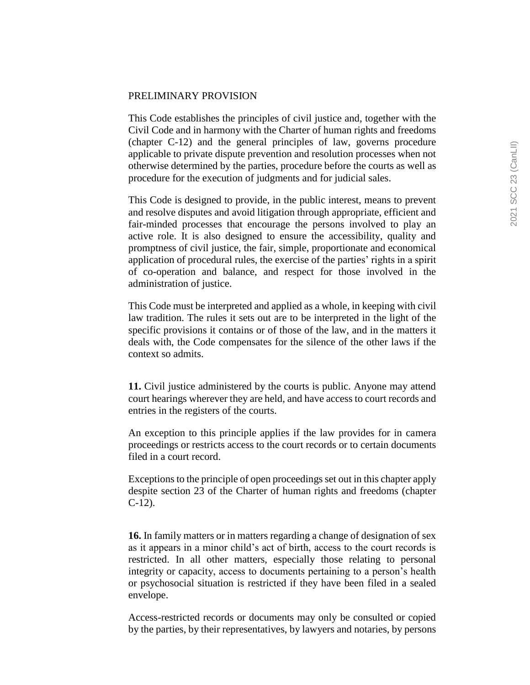# PRELIMINARY PROVISION

This Code establishes the principles of civil justice and, together with the Civil Code and in harmony with the Charter of human rights and freedoms (chapter C-12) and the general principles of law, governs procedure applicable to private dispute prevention and resolution processes when not otherwise determined by the parties, procedure before the courts as well as procedure for the execution of judgments and for judicial sales.

This Code is designed to provide, in the public interest, means to prevent and resolve disputes and avoid litigation through appropriate, efficient and fair-minded processes that encourage the persons involved to play an active role. It is also designed to ensure the accessibility, quality and promptness of civil justice, the fair, simple, proportionate and economical application of procedural rules, the exercise of the parties' rights in a spirit of co-operation and balance, and respect for those involved in the administration of justice.

This Code must be interpreted and applied as a whole, in keeping with civil law tradition. The rules it sets out are to be interpreted in the light of the specific provisions it contains or of those of the law, and in the matters it deals with, the Code compensates for the silence of the other laws if the context so admits.

**11.** Civil justice administered by the courts is public. Anyone may attend court hearings wherever they are held, and have access to court records and entries in the registers of the courts.

An exception to this principle applies if the law provides for in camera proceedings or restricts access to the court records or to certain documents filed in a court record.

Exceptions to the principle of open proceedings set out in this chapter apply despite section 23 of the Charter of human rights and freedoms (chapter C-12).

**16.** In family matters or in matters regarding a change of designation of sex as it appears in a minor child's act of birth, access to the court records is restricted. In all other matters, especially those relating to personal integrity or capacity, access to documents pertaining to a person's health or psychosocial situation is restricted if they have been filed in a sealed envelope.

Access-restricted records or documents may only be consulted or copied by the parties, by their representatives, by lawyers and notaries, by persons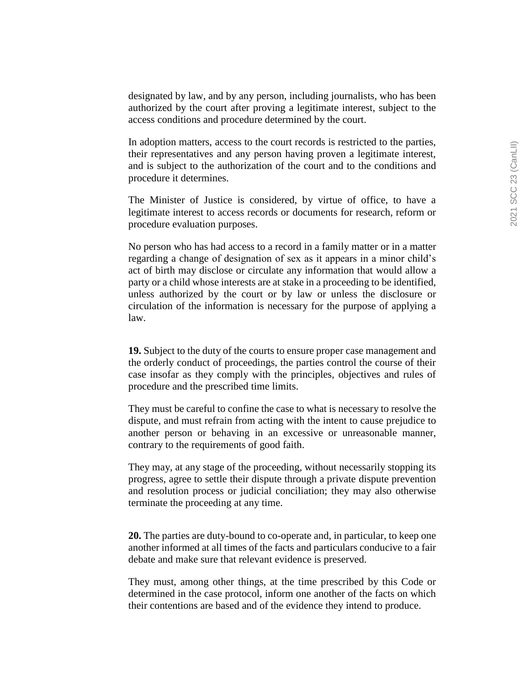designated by law, and by any person, including journalists, who has been authorized by the court after proving a legitimate interest, subject to the access conditions and procedure determined by the court.

In adoption matters, access to the court records is restricted to the parties, their representatives and any person having proven a legitimate interest, and is subject to the authorization of the court and to the conditions and procedure it determines.

The Minister of Justice is considered, by virtue of office, to have a legitimate interest to access records or documents for research, reform or procedure evaluation purposes.

No person who has had access to a record in a family matter or in a matter regarding a change of designation of sex as it appears in a minor child's act of birth may disclose or circulate any information that would allow a party or a child whose interests are at stake in a proceeding to be identified, unless authorized by the court or by law or unless the disclosure or circulation of the information is necessary for the purpose of applying a law.

**19.** Subject to the duty of the courts to ensure proper case management and the orderly conduct of proceedings, the parties control the course of their case insofar as they comply with the principles, objectives and rules of procedure and the prescribed time limits.

They must be careful to confine the case to what is necessary to resolve the dispute, and must refrain from acting with the intent to cause prejudice to another person or behaving in an excessive or unreasonable manner, contrary to the requirements of good faith.

They may, at any stage of the proceeding, without necessarily stopping its progress, agree to settle their dispute through a private dispute prevention and resolution process or judicial conciliation; they may also otherwise terminate the proceeding at any time.

**20.** The parties are duty-bound to co-operate and, in particular, to keep one another informed at all times of the facts and particulars conducive to a fair debate and make sure that relevant evidence is preserved.

They must, among other things, at the time prescribed by this Code or determined in the case protocol, inform one another of the facts on which their contentions are based and of the evidence they intend to produce.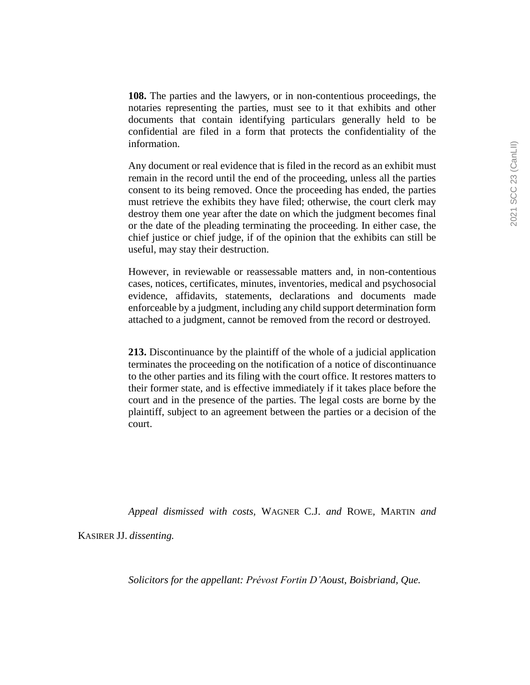**108.** The parties and the lawyers, or in non-contentious proceedings, the notaries representing the parties, must see to it that exhibits and other documents that contain identifying particulars generally held to be confidential are filed in a form that protects the confidentiality of the information.

Any document or real evidence that is filed in the record as an exhibit must remain in the record until the end of the proceeding, unless all the parties consent to its being removed. Once the proceeding has ended, the parties must retrieve the exhibits they have filed; otherwise, the court clerk may destroy them one year after the date on which the judgment becomes final or the date of the pleading terminating the proceeding. In either case, the chief justice or chief judge, if of the opinion that the exhibits can still be useful, may stay their destruction.

However, in reviewable or reassessable matters and, in non-contentious cases, notices, certificates, minutes, inventories, medical and psychosocial evidence, affidavits, statements, declarations and documents made enforceable by a judgment, including any child support determination form attached to a judgment, cannot be removed from the record or destroyed.

**213.** Discontinuance by the plaintiff of the whole of a judicial application terminates the proceeding on the notification of a notice of discontinuance to the other parties and its filing with the court office. It restores matters to their former state, and is effective immediately if it takes place before the court and in the presence of the parties. The legal costs are borne by the plaintiff, subject to an agreement between the parties or a decision of the court.

*Appeal dismissed with costs,* WAGNER C.J. *and* ROWE*,* MARTIN *and* 

KASIRER JJ. *dissenting.*

*Solicitors for the appellant: Prévost Fortin D'Aoust, Boisbriand, Que.*